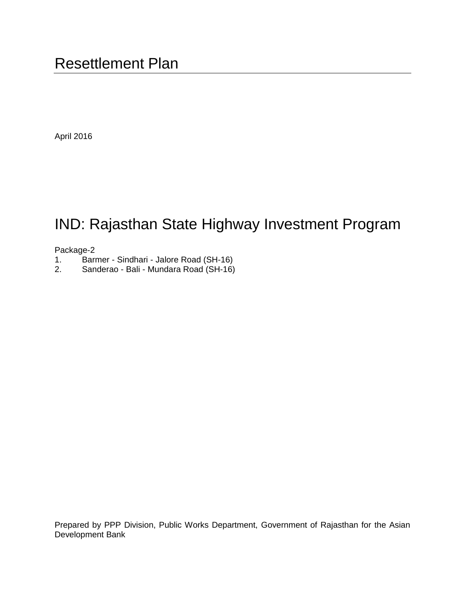April 2016

# IND: Rajasthan State Highway Investment Program

# Package-2<br>1. Barı

- 1. Barmer Sindhari Jalore Road (SH-16)
- 2. Sanderao Bali Mundara Road (SH-16)

Prepared by PPP Division, Public Works Department, Government of Rajasthan for the Asian Development Bank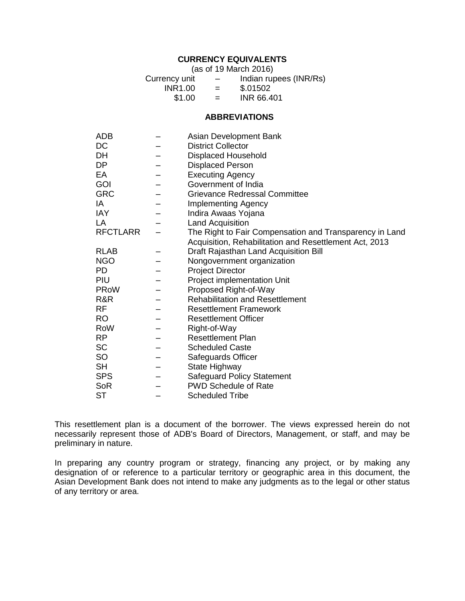# **CURRENCY EQUIVALENTS**

(as of 19 March 2016)

| Currency unit | $\overline{\phantom{m}}$ | Indian rupees (INR/Rs) |
|---------------|--------------------------|------------------------|
| INR1.00       | $=$                      | \$.01502               |
| \$1.00        | $=$                      | <b>INR 66,401</b>      |

#### **ABBREVIATIONS**

| ADB             | Asian Development Bank                                  |
|-----------------|---------------------------------------------------------|
| DC              | <b>District Collector</b>                               |
| DH              | <b>Displaced Household</b>                              |
| DP              | <b>Displaced Person</b>                                 |
| EA              | <b>Executing Agency</b>                                 |
| GOI             | Government of India                                     |
| GRC             | <b>Grievance Redressal Committee</b>                    |
| ΙA              | <b>Implementing Agency</b>                              |
| IAY             | Indira Awaas Yojana                                     |
| LA              | <b>Land Acquisition</b>                                 |
| <b>RFCTLARR</b> | The Right to Fair Compensation and Transparency in Land |
|                 | Acquisition, Rehabilitation and Resettlement Act, 2013  |
| <b>RLAB</b>     | Draft Rajasthan Land Acquisition Bill                   |
| <b>NGO</b>      | Nongovernment organization                              |
| PD              | <b>Project Director</b>                                 |
| PIU             | Project implementation Unit                             |
| <b>PRoW</b>     | Proposed Right-of-Way                                   |
| R&R             | <b>Rehabilitation and Resettlement</b>                  |
| RF              | <b>Resettlement Framework</b>                           |
| RO              | <b>Resettlement Officer</b>                             |
| RoW             | Right-of-Way                                            |
| RP.             | <b>Resettlement Plan</b>                                |
| SC              | <b>Scheduled Caste</b>                                  |
| SO              | Safeguards Officer                                      |
| SH              | State Highway                                           |
| <b>SPS</b>      | <b>Safeguard Policy Statement</b>                       |
| SoR             | <b>PWD Schedule of Rate</b>                             |
| ST              | <b>Scheduled Tribe</b>                                  |

This resettlement plan is a document of the borrower. The views expressed herein do not necessarily represent those of ADB's Board of Directors, Management, or staff, and may be preliminary in nature.

In preparing any country program or strategy, financing any project, or by making any designation of or reference to a particular territory or geographic area in this document, the Asian Development Bank does not intend to make any judgments as to the legal or other status of any territory or area.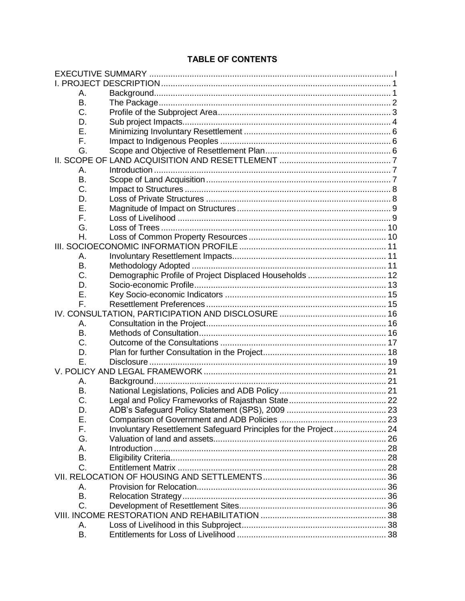# **TABLE OF CONTENTS**

| Α.        |                                                                  |  |
|-----------|------------------------------------------------------------------|--|
| В.        |                                                                  |  |
| C.        |                                                                  |  |
| D.        |                                                                  |  |
| Е.        |                                                                  |  |
| F.        |                                                                  |  |
| G.        |                                                                  |  |
|           |                                                                  |  |
| А.        |                                                                  |  |
| Β.        |                                                                  |  |
| C.        |                                                                  |  |
| D.        |                                                                  |  |
| Е.        |                                                                  |  |
| F.        |                                                                  |  |
| G.        |                                                                  |  |
| Η.        |                                                                  |  |
|           |                                                                  |  |
| А.        |                                                                  |  |
| В.        |                                                                  |  |
| C.        | Demographic Profile of Project Displaced Households  12          |  |
| D.        |                                                                  |  |
| Е.        |                                                                  |  |
| F.        |                                                                  |  |
|           |                                                                  |  |
| А.        |                                                                  |  |
| <b>B.</b> |                                                                  |  |
| C.        |                                                                  |  |
| D.        |                                                                  |  |
| Е.        |                                                                  |  |
|           |                                                                  |  |
| Α.        |                                                                  |  |
| В.        |                                                                  |  |
| C.        |                                                                  |  |
| D         |                                                                  |  |
| Е.        |                                                                  |  |
| F.        | Involuntary Resettlement Safeguard Principles for the Project 24 |  |
| G.        |                                                                  |  |
| А.        |                                                                  |  |
| Β.        |                                                                  |  |
| C.        |                                                                  |  |
|           |                                                                  |  |
| Α.        |                                                                  |  |
| Β.        |                                                                  |  |
| C.        |                                                                  |  |
|           |                                                                  |  |
| Α.        |                                                                  |  |
| Β.        |                                                                  |  |
|           |                                                                  |  |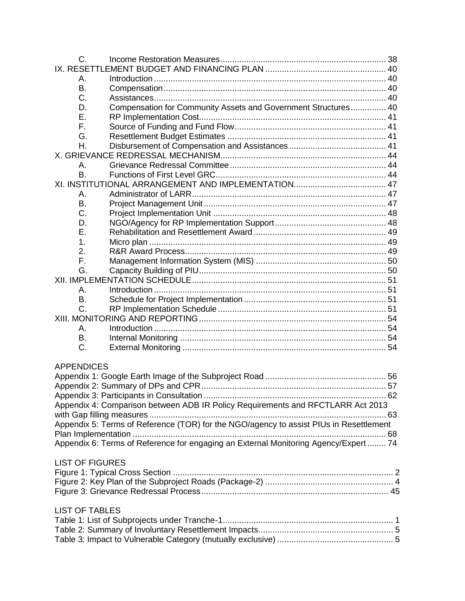| C.                     |                                                                                        |  |
|------------------------|----------------------------------------------------------------------------------------|--|
|                        |                                                                                        |  |
| Α.                     |                                                                                        |  |
| B.                     |                                                                                        |  |
| C.                     |                                                                                        |  |
| D.                     | Compensation for Community Assets and Government Structures 40                         |  |
| Е.                     |                                                                                        |  |
| F.                     |                                                                                        |  |
| G.                     |                                                                                        |  |
| Η.                     |                                                                                        |  |
|                        |                                                                                        |  |
| А.                     |                                                                                        |  |
| <b>B.</b>              |                                                                                        |  |
|                        |                                                                                        |  |
| А.                     |                                                                                        |  |
| Β.                     |                                                                                        |  |
| C.                     |                                                                                        |  |
| D.                     |                                                                                        |  |
| Е.                     |                                                                                        |  |
| 1.                     |                                                                                        |  |
| 2.                     |                                                                                        |  |
| F.                     |                                                                                        |  |
| G.                     |                                                                                        |  |
|                        |                                                                                        |  |
| Α.                     |                                                                                        |  |
| B.                     |                                                                                        |  |
| C.                     |                                                                                        |  |
|                        |                                                                                        |  |
| А.                     |                                                                                        |  |
| В.                     |                                                                                        |  |
| C.                     |                                                                                        |  |
|                        |                                                                                        |  |
| <b>APPENDICES</b>      |                                                                                        |  |
|                        |                                                                                        |  |
|                        |                                                                                        |  |
|                        |                                                                                        |  |
|                        | Appendix 4: Comparison between ADB IR Policy Requirements and RFCTLARR Act 2013        |  |
|                        |                                                                                        |  |
|                        | Appendix 5: Terms of Reference (TOR) for the NGO/agency to assist PIUs in Resettlement |  |
|                        |                                                                                        |  |
|                        | Appendix 6: Terms of Reference for engaging an External Monitoring Agency/Expert  74   |  |
|                        |                                                                                        |  |
| <b>LIST OF FIGURES</b> |                                                                                        |  |
|                        |                                                                                        |  |
|                        |                                                                                        |  |
|                        |                                                                                        |  |
|                        |                                                                                        |  |
| <b>LIST OF TABLES</b>  |                                                                                        |  |
|                        |                                                                                        |  |
|                        |                                                                                        |  |
|                        |                                                                                        |  |
|                        |                                                                                        |  |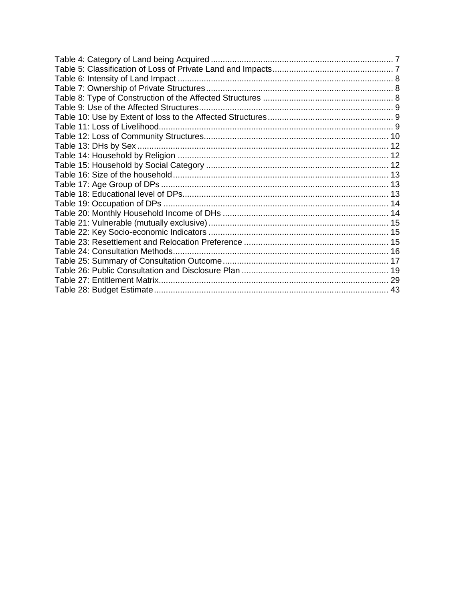| 43 |
|----|
|    |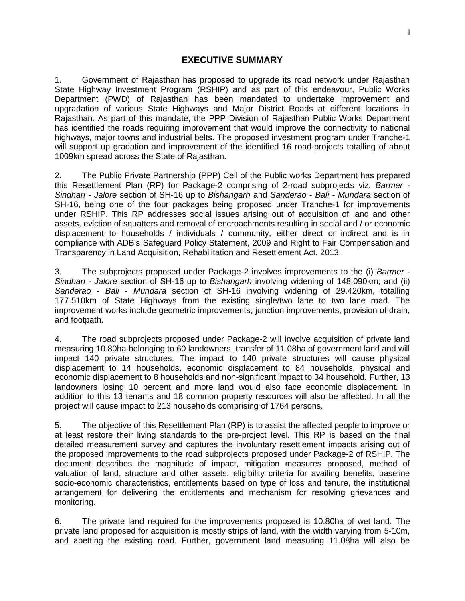## **EXECUTIVE SUMMARY**

<span id="page-6-0"></span>1. Government of Rajasthan has proposed to upgrade its road network under Rajasthan State Highway Investment Program (RSHIP) and as part of this endeavour, Public Works Department (PWD) of Rajasthan has been mandated to undertake improvement and upgradation of various State Highways and Major District Roads at different locations in Rajasthan. As part of this mandate, the PPP Division of Rajasthan Public Works Department has identified the roads requiring improvement that would improve the connectivity to national highways, major towns and industrial belts. The proposed investment program under Tranche-1 will support up gradation and improvement of the identified 16 road-projects totalling of about 1009km spread across the State of Rajasthan.

2. The Public Private Partnership (PPP) Cell of the Public works Department has prepared this Resettlement Plan (RP) for Package-2 comprising of 2-road subprojects viz. *Barmer - Sindhari - Jalore* section of SH-16 up to *Bishangarh* and *Sanderao - Bali - Mundara* section of SH-16, being one of the four packages being proposed under Tranche-1 for improvements under RSHIP. This RP addresses social issues arising out of acquisition of land and other assets, eviction of squatters and removal of encroachments resulting in social and / or economic displacement to households / individuals / community, either direct or indirect and is in compliance with ADB's Safeguard Policy Statement, 2009 and Right to Fair Compensation and Transparency in Land Acquisition, Rehabilitation and Resettlement Act, 2013.

3. The subprojects proposed under Package-2 involves improvements to the (i) *Barmer - Sindhari - Jalore* section of SH-16 up to *Bishangarh* involving widening of 148.090km; and (ii) *Sanderao - Bali - Mundara* section of SH-16 involving widening of 29.420km, totalling 177.510km of State Highways from the existing single/two lane to two lane road. The improvement works include geometric improvements; junction improvements; provision of drain; and footpath.

4. The road subprojects proposed under Package-2 will involve acquisition of private land measuring 10.80ha belonging to 60 landowners, transfer of 11.08ha of government land and will impact 140 private structures. The impact to 140 private structures will cause physical displacement to 14 households, economic displacement to 84 households, physical and economic displacement to 8 households and non-significant impact to 34 household. Further, 13 landowners losing 10 percent and more land would also face economic displacement. In addition to this 13 tenants and 18 common property resources will also be affected. In all the project will cause impact to 213 households comprising of 1764 persons.

5. The objective of this Resettlement Plan (RP) is to assist the affected people to improve or at least restore their living standards to the pre-project level. This RP is based on the final detailed measurement survey and captures the involuntary resettlement impacts arising out of the proposed improvements to the road subprojects proposed under Package-2 of RSHIP. The document describes the magnitude of impact, mitigation measures proposed, method of valuation of land, structure and other assets, eligibility criteria for availing benefits, baseline socio-economic characteristics, entitlements based on type of loss and tenure, the institutional arrangement for delivering the entitlements and mechanism for resolving grievances and monitoring.

6. The private land required for the improvements proposed is 10.80ha of wet land. The private land proposed for acquisition is mostly strips of land, with the width varying from 5-10m, and abetting the existing road. Further, government land measuring 11.08ha will also be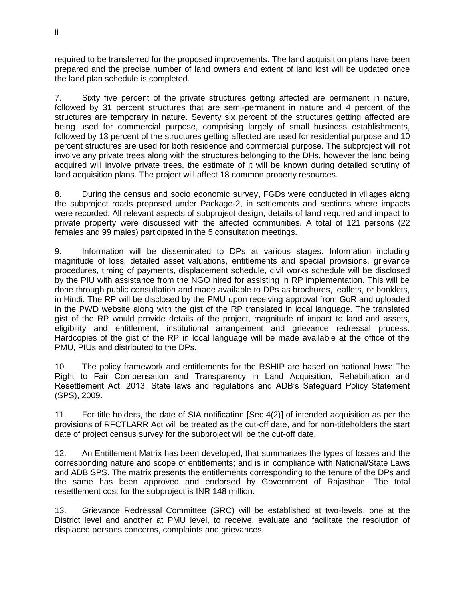required to be transferred for the proposed improvements. The land acquisition plans have been prepared and the precise number of land owners and extent of land lost will be updated once the land plan schedule is completed.

7. Sixty five percent of the private structures getting affected are permanent in nature, followed by 31 percent structures that are semi-permanent in nature and 4 percent of the structures are temporary in nature. Seventy six percent of the structures getting affected are being used for commercial purpose, comprising largely of small business establishments, followed by 13 percent of the structures getting affected are used for residential purpose and 10 percent structures are used for both residence and commercial purpose. The subproject will not involve any private trees along with the structures belonging to the DHs, however the land being acquired will involve private trees, the estimate of it will be known during detailed scrutiny of land acquisition plans. The project will affect 18 common property resources.

8. During the census and socio economic survey, FGDs were conducted in villages along the subproject roads proposed under Package-2, in settlements and sections where impacts were recorded. All relevant aspects of subproject design, details of land required and impact to private property were discussed with the affected communities. A total of 121 persons (22 females and 99 males) participated in the 5 consultation meetings.

9. Information will be disseminated to DPs at various stages. Information including magnitude of loss, detailed asset valuations, entitlements and special provisions, grievance procedures, timing of payments, displacement schedule, civil works schedule will be disclosed by the PIU with assistance from the NGO hired for assisting in RP implementation. This will be done through public consultation and made available to DPs as brochures, leaflets, or booklets, in Hindi. The RP will be disclosed by the PMU upon receiving approval from GoR and uploaded in the PWD website along with the gist of the RP translated in local language. The translated gist of the RP would provide details of the project, magnitude of impact to land and assets, eligibility and entitlement, institutional arrangement and grievance redressal process. Hardcopies of the gist of the RP in local language will be made available at the office of the PMU, PIUs and distributed to the DPs.

10. The policy framework and entitlements for the RSHIP are based on national laws: The Right to Fair Compensation and Transparency in Land Acquisition, Rehabilitation and Resettlement Act, 2013, State laws and regulations and ADB's Safeguard Policy Statement (SPS), 2009.

11. For title holders, the date of SIA notification [Sec 4(2)] of intended acquisition as per the provisions of RFCTLARR Act will be treated as the cut-off date, and for non-titleholders the start date of project census survey for the subproject will be the cut-off date.

12. An Entitlement Matrix has been developed, that summarizes the types of losses and the corresponding nature and scope of entitlements; and is in compliance with National/State Laws and ADB SPS. The matrix presents the entitlements corresponding to the tenure of the DPs and the same has been approved and endorsed by Government of Rajasthan. The total resettlement cost for the subproject is INR 148 million.

13. Grievance Redressal Committee (GRC) will be established at two-levels, one at the District level and another at PMU level, to receive, evaluate and facilitate the resolution of displaced persons concerns, complaints and grievances.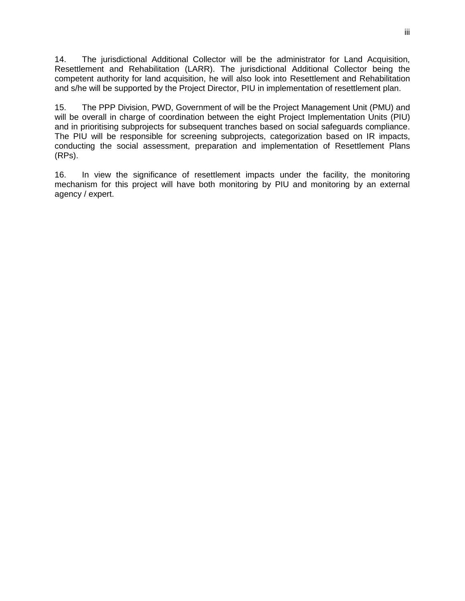14. The jurisdictional Additional Collector will be the administrator for Land Acquisition, Resettlement and Rehabilitation (LARR). The jurisdictional Additional Collector being the competent authority for land acquisition, he will also look into Resettlement and Rehabilitation and s/he will be supported by the Project Director, PIU in implementation of resettlement plan.

15. The PPP Division, PWD, Government of will be the Project Management Unit (PMU) and will be overall in charge of coordination between the eight Project Implementation Units (PIU) and in prioritising subprojects for subsequent tranches based on social safeguards compliance. The PIU will be responsible for screening subprojects, categorization based on IR impacts, conducting the social assessment, preparation and implementation of Resettlement Plans (RPs).

16. In view the significance of resettlement impacts under the facility, the monitoring mechanism for this project will have both monitoring by PIU and monitoring by an external agency / expert.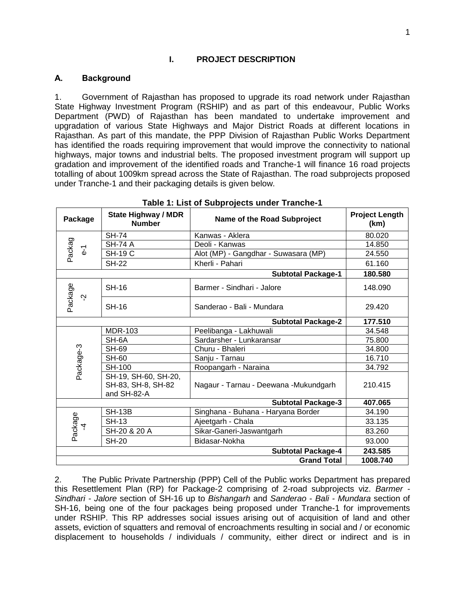#### **I. PROJECT DESCRIPTION**

#### <span id="page-10-1"></span><span id="page-10-0"></span>**A. Background**

1. Government of Rajasthan has proposed to upgrade its road network under Rajasthan State Highway Investment Program (RSHIP) and as part of this endeavour, Public Works Department (PWD) of Rajasthan has been mandated to undertake improvement and upgradation of various State Highways and Major District Roads at different locations in Rajasthan. As part of this mandate, the PPP Division of Rajasthan Public Works Department has identified the roads requiring improvement that would improve the connectivity to national highways, major towns and industrial belts. The proposed investment program will support up gradation and improvement of the identified roads and Tranche-1 will finance 16 road projects totalling of about 1009km spread across the State of Rajasthan. The road subprojects proposed under Tranche-1 and their packaging details is given below.

<span id="page-10-2"></span>

| Package                   | <b>State Highway / MDR</b><br><b>Number</b>               | Name of the Road Subproject            | <b>Project Length</b><br>(km) |
|---------------------------|-----------------------------------------------------------|----------------------------------------|-------------------------------|
|                           | <b>SH-74</b>                                              | Kanwas - Aklera                        | 80.020                        |
|                           | <b>SH-74 A</b>                                            | Deoli - Kanwas                         | 14.850                        |
| Packag<br>$\overline{d}$  | <b>SH-19 C</b>                                            | Alot (MP) - Gangdhar - Suwasara (MP)   | 24.550                        |
|                           | <b>SH-22</b>                                              | Kherli - Pahari                        | 61.160                        |
|                           |                                                           | <b>Subtotal Package-1</b>              | 180.580                       |
|                           | <b>SH-16</b>                                              | Barmer - Sindhari - Jalore             | 148.090                       |
| Package<br>Ņ              | <b>SH-16</b>                                              | Sanderao - Bali - Mundara              | 29.420                        |
|                           |                                                           | <b>Subtotal Package-2</b>              | 177.510                       |
|                           | <b>MDR-103</b>                                            | Peelibanga - Lakhuwali                 | 34.548                        |
|                           | SH-6A                                                     | Sardarsher - Lunkaransar               | 75.800                        |
| Package-3                 | <b>SH-69</b>                                              | Churu - Bhaleri                        | 34.800                        |
|                           | <b>SH-60</b>                                              | Sanju - Tarnau                         | 16.710                        |
|                           | <b>SH-100</b>                                             | Roopangarh - Naraina                   | 34.792                        |
|                           | SH-19, SH-60, SH-20,<br>SH-83, SH-8, SH-82<br>and SH-82-A | Nagaur - Tarnau - Deewana - Mukundgarh | 210.415                       |
|                           |                                                           | <b>Subtotal Package-3</b>              | 407.065                       |
|                           | <b>SH-13B</b>                                             | Singhana - Buhana - Haryana Border     | 34.190                        |
| 4                         | <b>SH-13</b>                                              | Ajeetgarh - Chala                      | 33.135                        |
| Package                   | SH-20 & 20 A                                              | Sikar-Ganeri-Jaswantgarh               | 83.260                        |
|                           | <b>SH-20</b><br>Bidasar-Nokha                             |                                        | 93,000                        |
| <b>Subtotal Package-4</b> |                                                           |                                        | 243.585                       |
|                           |                                                           | <b>Grand Total</b>                     | 1008.740                      |

#### **Table 1: List of Subprojects under Tranche-1**

2. The Public Private Partnership (PPP) Cell of the Public works Department has prepared this Resettlement Plan (RP) for Package-2 comprising of 2-road subprojects viz. *Barmer - Sindhari - Jalore* section of SH-16 up to *Bishangarh* and *Sanderao - Bali - Mundara* section of SH-16, being one of the four packages being proposed under Tranche-1 for improvements under RSHIP. This RP addresses social issues arising out of acquisition of land and other assets, eviction of squatters and removal of encroachments resulting in social and / or economic displacement to households / individuals / community, either direct or indirect and is in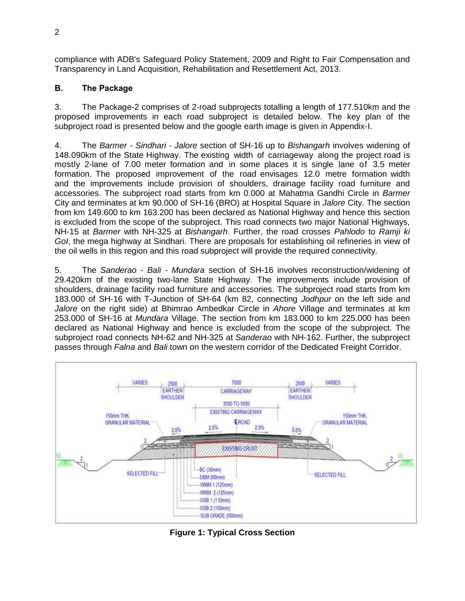compliance with ADB's Safeguard Policy Statement, 2009 and Right to Fair Compensation and Transparency in Land Acquisition, Rehabilitation and Resettlement Act, 2013.

# <span id="page-11-0"></span>**B. The Package**

3. The Package-2 comprises of 2-road subprojects totalling a length of 177.510km and the proposed improvements in each road subproject is detailed below. The key plan of the subproject road is presented below and the google earth image is given in Appendix-I.

4. The *Barmer - Sindhari - Jalore* section of SH-16 up to *Bishangarh* involves widening of 148.090km of the State Highway. The existing width of carriageway along the project road is mostly 2-lane of 7.00 meter formation and in some places it is single lane of 3.5 meter formation. The proposed improvement of the road envisages 12.0 metre formation width and the improvements include provision of shoulders, drainage facility road furniture and accessories. The subproject road starts from km 0.000 at Mahatma Gandhi Circle in *Barmer* City and terminates at km 90.000 of SH-16 (BRO) at Hospital Square in *Jalore* City. The section from km 149.600 to km 163.200 has been declared as National Highway and hence this section is excluded from the scope of the subproject. This road connects two major National Highways, NH-15 at *Barmer* with NH-325 at *Bishangarh*. Further, the road crosses *Pahlodo* to *Ramji ki GoI*, the mega highway at Sindhari. There are proposals for establishing oil refineries in view of the oil wells in this region and this road subproject will provide the required connectivity.

5. The *Sanderao - Bali - Mundara* section of SH-16 involves reconstruction/widening of 29.420km of the existing two-lane State Highway. The improvements include provision of shoulders, drainage facility road furniture and accessories. The subproject road starts from km 183.000 of SH-16 with T-Junction of SH-64 (km 82, connecting *Jodhpur* on the left side and *Jalore* on the right side) at Bhimrao Ambedkar Circle in *Ahore* Village and terminates at km 253.000 of SH-16 at *Mundara* Village. The section from km 183.000 to km 225.000 has been declared as National Highway and hence is excluded from the scope of the subproject. The subproject road connects NH-62 and NH-325 at *Sanderao* with NH-162. Further, the subproject passes through *Falna* and *Bali* town on the western corridor of the Dedicated Freight Corridor.



<span id="page-11-1"></span>**Figure 1: Typical Cross Section**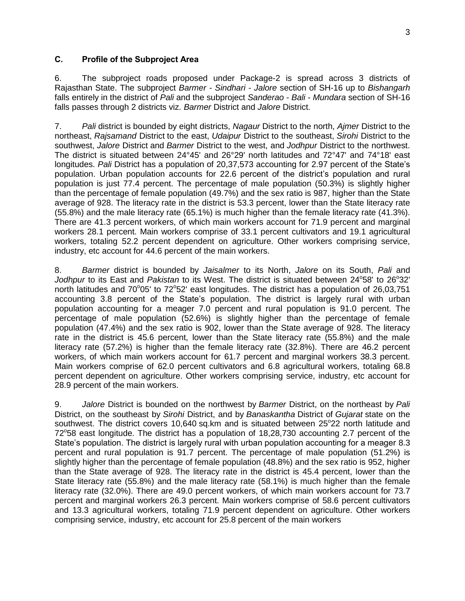#### <span id="page-12-0"></span>**C. Profile of the Subproject Area**

6. The subproject roads proposed under Package-2 is spread across 3 districts of Rajasthan State. The subproject *Barmer - Sindhari - Jalore* section of SH-16 up to *Bishangarh* falls entirely in the district of *Pali* and the subproject *Sanderao - Bali - Mundara* section of SH-16 falls passes through 2 districts viz. *Barmer* District and *Jalore* District.

7. *Pali* district is bounded by eight districts, *Nagaur* District to the north, *Ajmer* District to the northeast, *Rajsamand* District to the east, *Udaipur* District to the southeast, *Sirohi* District to the southwest, *Jalore* District and *Barmer* District to the west, and *Jodhpur* District to the northwest. The district is situated between 24°45' and 26°29' north latitudes and 72°47' and 74°18' east longitudes. *Pali* District has a population of 20,37,573 accounting for 2.97 percent of the State's population. Urban population accounts for 22.6 percent of the district's population and rural population is just 77.4 percent. The percentage of male population (50.3%) is slightly higher than the percentage of female population (49.7%) and the sex ratio is 987, higher than the State average of 928. The literacy rate in the district is 53.3 percent, lower than the State literacy rate (55.8%) and the male literacy rate (65.1%) is much higher than the female literacy rate (41.3%). There are 41.3 percent workers, of which main workers account for 71.9 percent and marginal workers 28.1 percent. Main workers comprise of 33.1 percent cultivators and 19.1 agricultural workers, totaling 52.2 percent dependent on agriculture. Other workers comprising service, industry, etc account for 44.6 percent of the main workers.

8. *Barmer* district is bounded by *Jaisalmer* to its North, *Jalore* on its South, *Pali* and Jodhpur to its East and Pakistan to its West. The district is situated between 24°58' to 26°32' north latitudes and 70°05' to 72°52' east longitudes. The district has a population of 26,03,751 accounting 3.8 percent of the State's population. The district is largely rural with urban population accounting for a meager 7.0 percent and rural population is 91.0 percent. The percentage of male population (52.6%) is slightly higher than the percentage of female population (47.4%) and the sex ratio is 902, lower than the State average of 928. The literacy rate in the district is 45.6 percent, lower than the State literacy rate (55.8%) and the male literacy rate (57.2%) is higher than the female literacy rate (32.8%). There are 46.2 percent workers, of which main workers account for 61.7 percent and marginal workers 38.3 percent. Main workers comprise of 62.0 percent cultivators and 6.8 agricultural workers, totaling 68.8 percent dependent on agriculture. Other workers comprising service, industry, etc account for 28.9 percent of the main workers.

9. *Jalore* District is bounded on the northwest by *Barmer* District, on the northeast by *Pali* District, on the southeast by *Sirohi* District, and by *Banaskantha* District of *Gujarat* state on the southwest. The district covers 10,640 sq.km and is situated between 25°22 north latitude and 72°58 east longitude. The district has a population of 18,28,730 accounting 2.7 percent of the State's population. The district is largely rural with urban population accounting for a meager 8.3 percent and rural population is 91.7 percent. The percentage of male population (51.2%) is slightly higher than the percentage of female population (48.8%) and the sex ratio is 952, higher than the State average of 928. The literacy rate in the district is 45.4 percent, lower than the State literacy rate (55.8%) and the male literacy rate (58.1%) is much higher than the female literacy rate (32.0%). There are 49.0 percent workers, of which main workers account for 73.7 percent and marginal workers 26.3 percent. Main workers comprise of 58.6 percent cultivators and 13.3 agricultural workers, totaling 71.9 percent dependent on agriculture. Other workers comprising service, industry, etc account for 25.8 percent of the main workers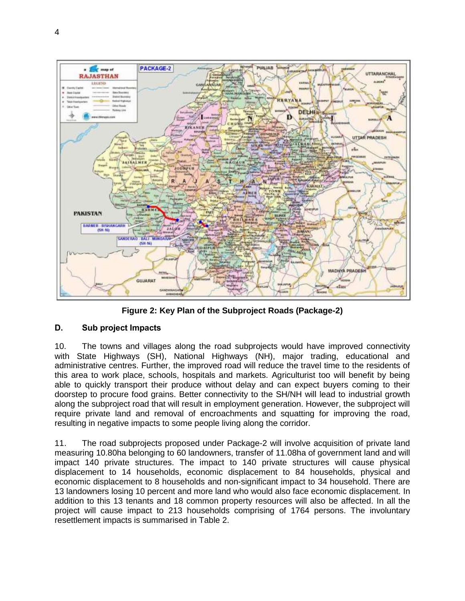

**Figure 2: Key Plan of the Subproject Roads (Package-2)**

# <span id="page-13-1"></span><span id="page-13-0"></span>**D. Sub project Impacts**

10. The towns and villages along the road subprojects would have improved connectivity with State Highways (SH), National Highways (NH), major trading, educational and administrative centres. Further, the improved road will reduce the travel time to the residents of this area to work place, schools, hospitals and markets. Agriculturist too will benefit by being able to quickly transport their produce without delay and can expect buyers coming to their doorstep to procure food grains. Better connectivity to the SH/NH will lead to industrial growth along the subproject road that will result in employment generation. However, the subproject will require private land and removal of encroachments and squatting for improving the road, resulting in negative impacts to some people living along the corridor.

11. The road subprojects proposed under Package-2 will involve acquisition of private land measuring 10.80ha belonging to 60 landowners, transfer of 11.08ha of government land and will impact 140 private structures. The impact to 140 private structures will cause physical displacement to 14 households, economic displacement to 84 households, physical and economic displacement to 8 households and non-significant impact to 34 household. There are 13 landowners losing 10 percent and more land who would also face economic displacement. In addition to this 13 tenants and 18 common property resources will also be affected. In all the project will cause impact to 213 households comprising of 1764 persons. The involuntary resettlement impacts is summarised in Table 2.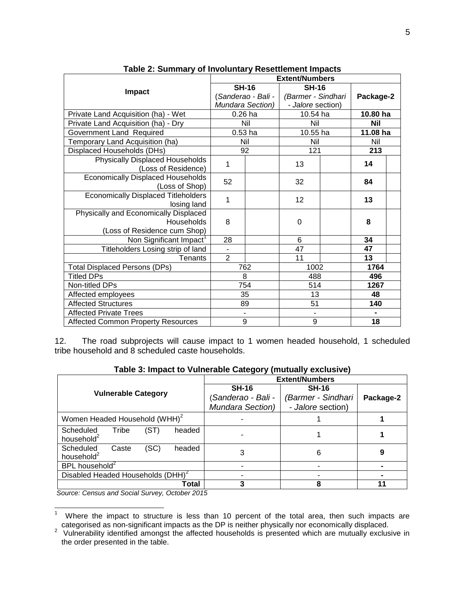<span id="page-14-0"></span>

| - - -- <i>-</i> - --- - - - 1                                                       | <b>Extent/Numbers</b> |                                |                    |  |                |  |
|-------------------------------------------------------------------------------------|-----------------------|--------------------------------|--------------------|--|----------------|--|
|                                                                                     |                       | <b>SH-16</b>                   | <b>SH-16</b>       |  |                |  |
| Impact                                                                              |                       | (Sanderao - Bali -             | (Barmer - Sindhari |  | Package-2      |  |
|                                                                                     |                       | Mundara Section)               | - Jalore section)  |  |                |  |
| Private Land Acquisition (ha) - Wet                                                 |                       | $0.26$ ha                      | 10.54 ha           |  | 10.80 ha       |  |
| Private Land Acquisition (ha) - Dry                                                 |                       | Nil                            | Nil                |  | <b>Nil</b>     |  |
| Government Land Required                                                            |                       | $0.53$ ha                      | 10.55 ha           |  | 11.08 ha       |  |
| Temporary Land Acquisition (ha)                                                     |                       | Nil                            | Nil                |  | Nil            |  |
| Displaced Households (DHs)                                                          |                       | 92                             | 121                |  | 213            |  |
| <b>Physically Displaced Households</b><br>(Loss of Residence)                       | 1                     |                                | 13                 |  | 14             |  |
| <b>Economically Displaced Households</b><br>(Loss of Shop)                          | 52                    |                                | 32                 |  | 84             |  |
| <b>Economically Displaced Titleholders</b><br>losing land                           | 1                     |                                | 12                 |  | 13             |  |
| Physically and Economically Displaced<br>Households<br>(Loss of Residence cum Shop) | 8                     |                                | 0                  |  | 8              |  |
| Non Significant Impact <sup>1</sup>                                                 | 28                    |                                | 6                  |  | 34             |  |
| Titleholders Losing strip of land                                                   | $\blacksquare$        |                                | 47                 |  | 47             |  |
| <b>Tenants</b>                                                                      | $\overline{2}$        |                                | 11                 |  | 13             |  |
| <b>Total Displaced Persons (DPs)</b>                                                |                       | 762                            | 1002               |  | 1764           |  |
| <b>Titled DPs</b>                                                                   | 8                     |                                | 488                |  | 496            |  |
| Non-titled DPs                                                                      |                       | 754                            | 514                |  | 1267           |  |
| Affected employees                                                                  |                       | 35                             | 13                 |  | 48             |  |
| <b>Affected Structures</b>                                                          | 89                    |                                | 51                 |  | 140            |  |
| <b>Affected Private Trees</b>                                                       |                       | ä,<br>$\overline{\phantom{0}}$ |                    |  | $\blacksquare$ |  |
| <b>Affected Common Property Resources</b>                                           |                       | 9                              | 9                  |  | 18             |  |

**Table 2: Summary of Involuntary Resettlement Impacts**

12. The road subprojects will cause impact to 1 women headed household, 1 scheduled tribe household and 8 scheduled caste households.

<span id="page-14-1"></span>

|                                                                | Table 3: Impact to Vulnerable Category (mutually exclusive) |                                         |           |  |
|----------------------------------------------------------------|-------------------------------------------------------------|-----------------------------------------|-----------|--|
|                                                                | <b>Extent/Numbers</b>                                       |                                         |           |  |
|                                                                | <b>SH-16</b>                                                | <b>SH-16</b>                            |           |  |
| <b>Vulnerable Category</b>                                     | Sanderao - Bali -<br>Mundara Section)                       | (Barmer - Sindhari<br>- Jalore section) | Package-2 |  |
| Women Headed Household (WHH) <sup>2</sup>                      |                                                             |                                         |           |  |
| (ST)<br>Scheduled<br>Tribe<br>headed<br>household <sup>2</sup> |                                                             |                                         |           |  |
| (SC)<br>Scheduled<br>headed<br>Caste<br>household <sup>2</sup> | 3                                                           | 6                                       |           |  |
| BPL household <sup>2</sup>                                     |                                                             |                                         |           |  |
| Disabled Headed Households (DHH) <sup>2</sup>                  |                                                             |                                         |           |  |
| Total                                                          |                                                             |                                         |           |  |

**Table 3: Impact to Vulnerable Category (mutually exclusive)**

*Source: Census and Social Survey, October 2015*

 $\frac{1}{1}$ Where the impact to structure is less than 10 percent of the total area, then such impacts are

categorised as non-significant impacts as the DP is neither physically nor economically displaced.<br><sup>2</sup> Vulnerability identified amongst the affected households is presented which are mutually exclusive in the order presented in the table.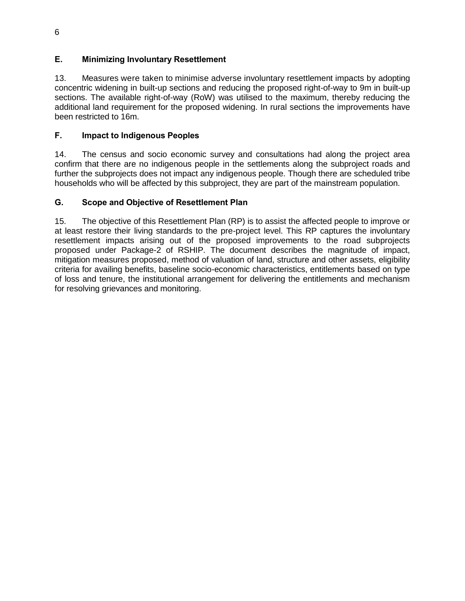# <span id="page-15-0"></span>**E. Minimizing Involuntary Resettlement**

13. Measures were taken to minimise adverse involuntary resettlement impacts by adopting concentric widening in built-up sections and reducing the proposed right-of-way to 9m in built-up sections. The available right-of-way (RoW) was utilised to the maximum, thereby reducing the additional land requirement for the proposed widening. In rural sections the improvements have been restricted to 16m.

# <span id="page-15-1"></span>**F. Impact to Indigenous Peoples**

14. The census and socio economic survey and consultations had along the project area confirm that there are no indigenous people in the settlements along the subproject roads and further the subprojects does not impact any indigenous people. Though there are scheduled tribe households who will be affected by this subproject, they are part of the mainstream population.

# <span id="page-15-2"></span>**G. Scope and Objective of Resettlement Plan**

15. The objective of this Resettlement Plan (RP) is to assist the affected people to improve or at least restore their living standards to the pre-project level. This RP captures the involuntary resettlement impacts arising out of the proposed improvements to the road subprojects proposed under Package-2 of RSHIP. The document describes the magnitude of impact, mitigation measures proposed, method of valuation of land, structure and other assets, eligibility criteria for availing benefits, baseline socio-economic characteristics, entitlements based on type of loss and tenure, the institutional arrangement for delivering the entitlements and mechanism for resolving grievances and monitoring.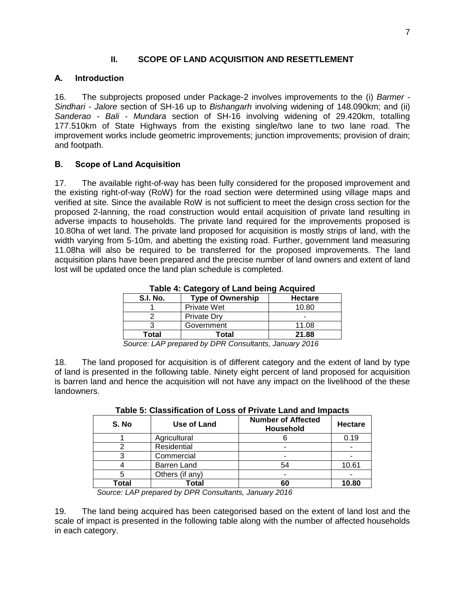# **II. SCOPE OF LAND ACQUISITION AND RESETTLEMENT**

# <span id="page-16-1"></span><span id="page-16-0"></span>**A. Introduction**

16. The subprojects proposed under Package-2 involves improvements to the (i) *Barmer - Sindhari - Jalore* section of SH-16 up to *Bishangarh* involving widening of 148.090km; and (ii) *Sanderao - Bali - Mundara* section of SH-16 involving widening of 29.420km, totalling 177.510km of State Highways from the existing single/two lane to two lane road. The improvement works include geometric improvements; junction improvements; provision of drain; and footpath.

# <span id="page-16-2"></span>**B. Scope of Land Acquisition**

17. The available right-of-way has been fully considered for the proposed improvement and the existing right-of-way (RoW) for the road section were determined using village maps and verified at site. Since the available RoW is not sufficient to meet the design cross section for the proposed 2-lanning, the road construction would entail acquisition of private land resulting in adverse impacts to households. The private land required for the improvements proposed is 10.80ha of wet land. The private land proposed for acquisition is mostly strips of land, with the width varying from 5-10m, and abetting the existing road. Further, government land measuring 11.08ha will also be required to be transferred for the proposed improvements. The land acquisition plans have been prepared and the precise number of land owners and extent of land lost will be updated once the land plan schedule is completed.

<span id="page-16-3"></span>

| <b>S.I. No.</b> | <b>Type of Ownership</b> | <b>Hectare</b> |  |  |
|-----------------|--------------------------|----------------|--|--|
|                 | <b>Private Wet</b>       | 10.80          |  |  |
|                 | <b>Private Dry</b>       |                |  |  |
|                 | Government               | 11.08          |  |  |
| Total           | Total                    | 21.88          |  |  |

**Table 4: Category of Land being Acquired**

*Source: LAP prepared by DPR Consultants, January 2016*

18. The land proposed for acquisition is of different category and the extent of land by type of land is presented in the following table. Ninety eight percent of land proposed for acquisition is barren land and hence the acquisition will not have any impact on the livelihood of the these landowners.

<span id="page-16-4"></span>

|       | I UNIV VI VIUVUIIVUNVII VI EVVV VI I IIIVUV EUIIU UIIU IIIINUVV |                                               |                |  |
|-------|-----------------------------------------------------------------|-----------------------------------------------|----------------|--|
| S. No | Use of Land                                                     | <b>Number of Affected</b><br><b>Household</b> | <b>Hectare</b> |  |
|       | Agricultural                                                    |                                               | 0.19           |  |
|       | Residential                                                     |                                               |                |  |
|       | Commercial                                                      |                                               |                |  |
|       | <b>Barren Land</b>                                              | 54                                            | 10.61          |  |
| 5     | Others (if any)                                                 |                                               |                |  |
| Total | Total                                                           | 60                                            | 10.80          |  |
|       |                                                                 |                                               |                |  |

**Table 5: Classification of Loss of Private Land and Impacts**

 *Source: LAP prepared by DPR Consultants, January 2016*

19. The land being acquired has been categorised based on the extent of land lost and the scale of impact is presented in the following table along with the number of affected households in each category.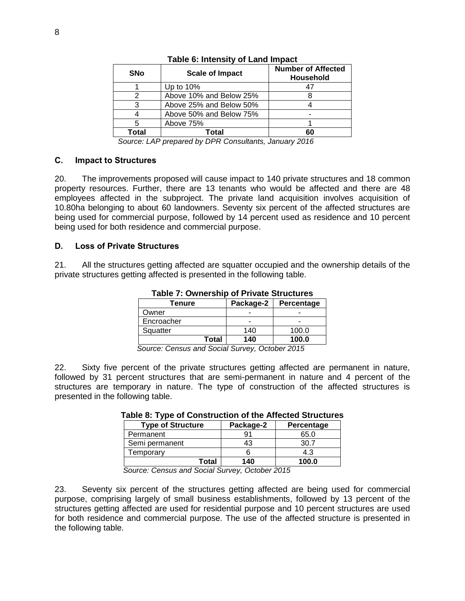<span id="page-17-2"></span>

| <b>SNo</b> | <b>Scale of Impact</b>  | <b>Number of Affected</b><br><b>Household</b> |
|------------|-------------------------|-----------------------------------------------|
|            | Up to $10\%$            |                                               |
|            | Above 10% and Below 25% |                                               |
| ว          | Above 25% and Below 50% |                                               |
|            | Above 50% and Below 75% |                                               |
| 5          | Above 75%               |                                               |
| Total      | Total                   | 60                                            |

#### **Table 6: Intensity of Land Impact**

 *Source: LAP prepared by DPR Consultants, January 2016*

#### <span id="page-17-0"></span>**C. Impact to Structures**

20. The improvements proposed will cause impact to 140 private structures and 18 common property resources. Further, there are 13 tenants who would be affected and there are 48 employees affected in the subproject. The private land acquisition involves acquisition of 10.80ha belonging to about 60 landowners. Seventy six percent of the affected structures are being used for commercial purpose, followed by 14 percent used as residence and 10 percent being used for both residence and commercial purpose.

#### <span id="page-17-1"></span>**D. Loss of Private Structures**

<span id="page-17-3"></span>21. All the structures getting affected are squatter occupied and the ownership details of the private structures getting affected is presented in the following table.

| $1$ able $1$ . Owner ship of Theate of actual $5$ |           |            |  |  |
|---------------------------------------------------|-----------|------------|--|--|
| <b>Tenure</b>                                     | Package-2 | Percentage |  |  |
| Owner                                             |           |            |  |  |
| Encroacher                                        |           |            |  |  |
| Squatter                                          | 140       | 100.0      |  |  |
| Total                                             | 140       | 100.0      |  |  |

**Table 7: Ownership of Private Structures**

 *Source: Census and Social Survey, October 2015*

<span id="page-17-4"></span>22. Sixty five percent of the private structures getting affected are permanent in nature, followed by 31 percent structures that are semi-permanent in nature and 4 percent of the structures are temporary in nature. The type of construction of the affected structures is presented in the following table.

| <b>Type of Structure</b> | Package-2 | Percentage |  |
|--------------------------|-----------|------------|--|
| Permanent                | 91        | 65.0       |  |
| Semi permanent           | 43        | ، 30       |  |
| Temporary                |           | 4.3        |  |
| Total                    | 140       | 100.0      |  |

#### **Table 8: Type of Construction of the Affected Structures**

*Source: Census and Social Survey, October 2015*

23. Seventy six percent of the structures getting affected are being used for commercial purpose, comprising largely of small business establishments, followed by 13 percent of the structures getting affected are used for residential purpose and 10 percent structures are used for both residence and commercial purpose. The use of the affected structure is presented in the following table.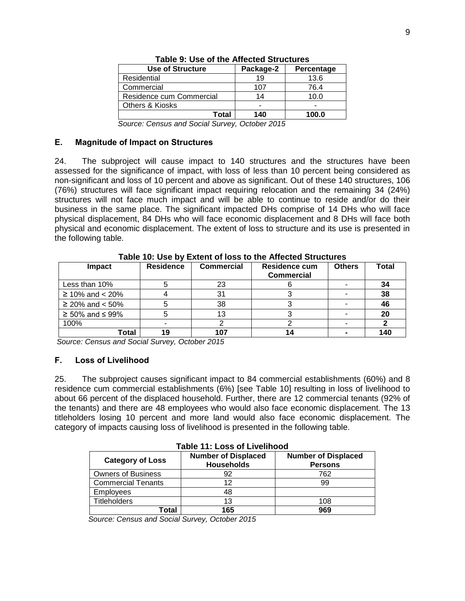<span id="page-18-2"></span>

| Use of Structure         | Package-2 | Percentage |
|--------------------------|-----------|------------|
| Residential              | 19        | 13.6       |
| Commercial               | 107       | 76.4       |
| Residence cum Commercial | 14        | 10.0       |
| Others & Kiosks          | -         | -          |
| Total                    | 140       | 100.0      |

**Table 9: Use of the Affected Structures**

 *Source: Census and Social Survey, October 2015*

#### <span id="page-18-0"></span>**E. Magnitude of Impact on Structures**

24. The subproject will cause impact to 140 structures and the structures have been assessed for the significance of impact, with loss of less than 10 percent being considered as non-significant and loss of 10 percent and above as significant. Out of these 140 structures, 106 (76%) structures will face significant impact requiring relocation and the remaining 34 (24%) structures will not face much impact and will be able to continue to reside and/or do their business in the same place. The significant impacted DHs comprise of 14 DHs who will face physical displacement, 84 DHs who will face economic displacement and 8 DHs will face both physical and economic displacement. The extent of loss to structure and its use is presented in the following table.

<span id="page-18-3"></span>

| Impact                      | <b>Residence</b> | <b>Commercial</b> | <b>Residence cum</b><br><b>Commercial</b> | <b>Others</b> | Total |
|-----------------------------|------------------|-------------------|-------------------------------------------|---------------|-------|
| Less than 10%               |                  | 23                |                                           |               | 34    |
| $≥ 10\%$ and < 20%          |                  | 31                |                                           |               | 38    |
| $≥$ 20% and < 50%           |                  | 38                |                                           |               | 46    |
| $\geq 50\%$ and $\leq 99\%$ |                  |                   |                                           |               | 20    |
| 100%                        |                  |                   |                                           |               |       |
| Total                       |                  |                   |                                           |               | 140   |

**Table 10: Use by Extent of loss to the Affected Structures**

*Source: Census and Social Survey, October 2015*

## <span id="page-18-1"></span>**F. Loss of Livelihood**

25. The subproject causes significant impact to 84 commercial establishments (60%) and 8 residence cum commercial establishments (6%) [see Table 10] resulting in loss of livelihood to about 66 percent of the displaced household. Further, there are 12 commercial tenants (92% of the tenants) and there are 48 employees who would also face economic displacement. The 13 titleholders losing 10 percent and more land would also face economic displacement. The category of impacts causing loss of livelihood is presented in the following table.

<span id="page-18-4"></span>

| TADIE TT. LUSS UT LIVEITIUUU |                                                 |                                              |  |  |
|------------------------------|-------------------------------------------------|----------------------------------------------|--|--|
| <b>Category of Loss</b>      | <b>Number of Displaced</b><br><b>Households</b> | <b>Number of Displaced</b><br><b>Persons</b> |  |  |
| <b>Owners of Business</b>    | 92                                              | 762                                          |  |  |
| <b>Commercial Tenants</b>    | 12                                              | 99                                           |  |  |
| <b>Employees</b>             | 48                                              |                                              |  |  |
| <b>Titleholders</b>          | 13                                              | 108                                          |  |  |
| Total                        | 165                                             | 969                                          |  |  |

**Table 11: Loss of Livelihood**

 *Source: Census and Social Survey, October 2015*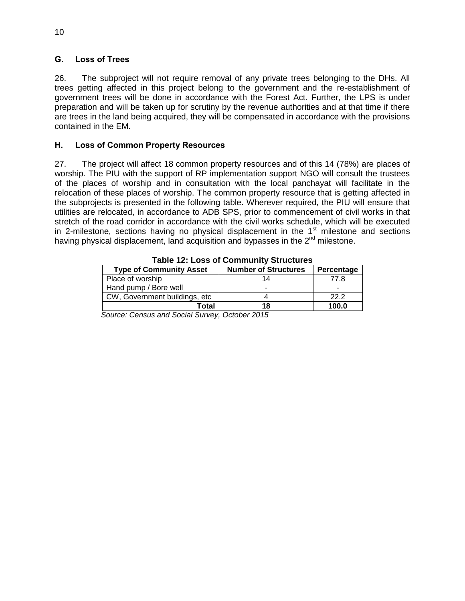# <span id="page-19-0"></span>**G. Loss of Trees**

26. The subproject will not require removal of any private trees belonging to the DHs. All trees getting affected in this project belong to the government and the re-establishment of government trees will be done in accordance with the Forest Act. Further, the LPS is under preparation and will be taken up for scrutiny by the revenue authorities and at that time if there are trees in the land being acquired, they will be compensated in accordance with the provisions contained in the EM.

# <span id="page-19-1"></span>**H. Loss of Common Property Resources**

27. The project will affect 18 common property resources and of this 14 (78%) are places of worship. The PIU with the support of RP implementation support NGO will consult the trustees of the places of worship and in consultation with the local panchayat will facilitate in the relocation of these places of worship. The common property resource that is getting affected in the subprojects is presented in the following table. Wherever required, the PIU will ensure that utilities are relocated, in accordance to ADB SPS, prior to commencement of civil works in that stretch of the road corridor in accordance with the civil works schedule, which will be executed in 2-milestone, sections having no physical displacement in the  $1<sup>st</sup>$  milestone and sections having physical displacement, land acquisition and bypasses in the  $2<sup>nd</sup>$  milestone.

<span id="page-19-2"></span>

| TURIV TET EVUU VI VVIIIIINIIILT ULIUVLUIVU |                             |            |  |  |  |
|--------------------------------------------|-----------------------------|------------|--|--|--|
| <b>Type of Community Asset</b>             | <b>Number of Structures</b> | Percentage |  |  |  |
| Place of worship                           |                             | 77.8       |  |  |  |
| Hand pump / Bore well                      |                             |            |  |  |  |
| CW, Government buildings, etc.             |                             | 22.2       |  |  |  |
| Total                                      | 18                          | 100.0      |  |  |  |
| .                                          |                             |            |  |  |  |

**Table 12: Loss of Community Structures**

 *Source: Census and Social Survey, October 2015*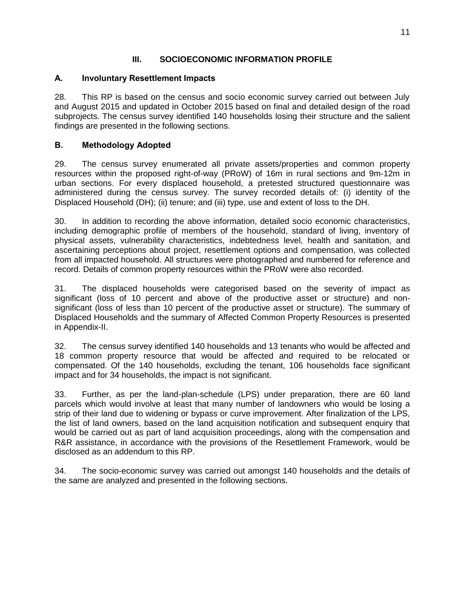# **III. SOCIOECONOMIC INFORMATION PROFILE**

# <span id="page-20-1"></span><span id="page-20-0"></span>**A. Involuntary Resettlement Impacts**

28. This RP is based on the census and socio economic survey carried out between July and August 2015 and updated in October 2015 based on final and detailed design of the road subprojects. The census survey identified 140 households losing their structure and the salient findings are presented in the following sections.

# <span id="page-20-2"></span>**B. Methodology Adopted**

29. The census survey enumerated all private assets/properties and common property resources within the proposed right-of-way (PRoW) of 16m in rural sections and 9m-12m in urban sections. For every displaced household, a pretested structured questionnaire was administered during the census survey. The survey recorded details of: (i) identity of the Displaced Household (DH); (ii) tenure; and (iii) type, use and extent of loss to the DH.

30. In addition to recording the above information, detailed socio economic characteristics, including demographic profile of members of the household, standard of living, inventory of physical assets, vulnerability characteristics, indebtedness level, health and sanitation, and ascertaining perceptions about project, resettlement options and compensation, was collected from all impacted household. All structures were photographed and numbered for reference and record. Details of common property resources within the PRoW were also recorded.

31. The displaced households were categorised based on the severity of impact as significant (loss of 10 percent and above of the productive asset or structure) and nonsignificant (loss of less than 10 percent of the productive asset or structure). The summary of Displaced Households and the summary of Affected Common Property Resources is presented in Appendix-II.

32. The census survey identified 140 households and 13 tenants who would be affected and 18 common property resource that would be affected and required to be relocated or compensated. Of the 140 households, excluding the tenant, 106 households face significant impact and for 34 households, the impact is not significant.

33. Further, as per the land-plan-schedule (LPS) under preparation, there are 60 land parcels which would involve at least that many number of landowners who would be losing a strip of their land due to widening or bypass or curve improvement. After finalization of the LPS, the list of land owners, based on the land acquisition notification and subsequent enquiry that would be carried out as part of land acquisition proceedings, along with the compensation and R&R assistance, in accordance with the provisions of the Resettlement Framework, would be disclosed as an addendum to this RP.

34. The socio-economic survey was carried out amongst 140 households and the details of the same are analyzed and presented in the following sections.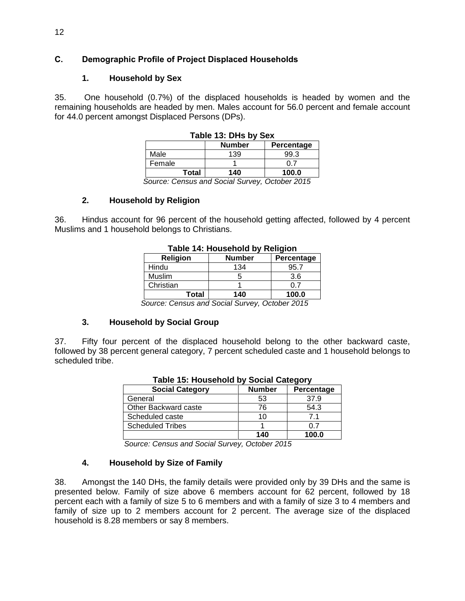# <span id="page-21-0"></span>**C. Demographic Profile of Project Displaced Households**

# **1. Household by Sex**

<span id="page-21-1"></span>35. One household (0.7%) of the displaced households is headed by women and the remaining households are headed by men. Males account for 56.0 percent and female account for 44.0 percent amongst Displaced Persons (DPs).

| Table 13: DHs by Sex |       |                          |                           |
|----------------------|-------|--------------------------|---------------------------|
|                      |       | <b>Number</b>            | Percentage                |
| Male                 |       | 139                      | 99.3                      |
| Female               |       |                          | ი 7                       |
|                      | Total | 140                      | 100.0                     |
|                      |       | $\sim$<br>$\cdot$ $\sim$ | .<br>$\sim$ $\sim$ $\sim$ |

# **Table 13: Dec**ree 13: Decree 13: Decree 13: Decree 13: Decree 13: Decree 13: Decree 13: Decree 13: Decree 13: Decree 13: Decree 13: Decree 13: Decree 13: Decree 13: Decree 13: Decree 13: Decree 13: Decree 13: Decree 13: D

 *Source: Census and Social Survey, October 2015*

# **2. Household by Religion**

<span id="page-21-2"></span>36. Hindus account for 96 percent of the household getting affected, followed by 4 percent Muslims and 1 household belongs to Christians.

| Table 14. Housenold by Religion |                 |            |  |  |
|---------------------------------|-----------------|------------|--|--|
| <b>Religion</b>                 | <b>Number</b>   | Percentage |  |  |
| Hindu                           | 134             | 95.7       |  |  |
| Muslim                          | 5               | 3.6        |  |  |
| Christian                       |                 | 0 7        |  |  |
| Total                           | 140             | 100.0      |  |  |
|                                 | . .<br>.<br>- - |            |  |  |

# **Table 14: Household by Religion**

*Source: Census and Social Survey, October 2015*

## **3. Household by Social Group**

<span id="page-21-3"></span>37. Fifty four percent of the displaced household belong to the other backward caste, followed by 38 percent general category, 7 percent scheduled caste and 1 household belongs to scheduled tribe.

| <b>Social Category</b>  | <b>Number</b> | Percentage |  |  |
|-------------------------|---------------|------------|--|--|
| General                 | 53            | 37.9       |  |  |
| Other Backward caste    | 76            | 54.3       |  |  |
| Scheduled caste         | 10            | 71         |  |  |
| <b>Scheduled Tribes</b> |               | 0.7        |  |  |
|                         | 140           | 100.0      |  |  |

#### **Table 15: Household by Social Category**

 *Source: Census and Social Survey, October 2015*

## **4. Household by Size of Family**

38. Amongst the 140 DHs, the family details were provided only by 39 DHs and the same is presented below. Family of size above 6 members account for 62 percent, followed by 18 percent each with a family of size 5 to 6 members and with a family of size 3 to 4 members and family of size up to 2 members account for 2 percent. The average size of the displaced household is 8.28 members or say 8 members.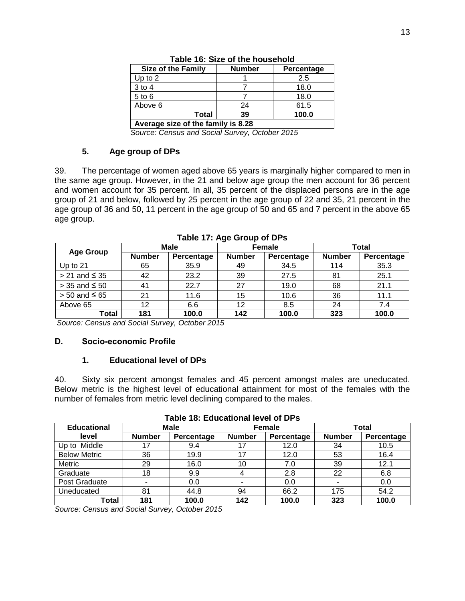<span id="page-22-1"></span>

| <b>Size of the Family</b>          | <b>Number</b> | Percentage |  |  |  |
|------------------------------------|---------------|------------|--|--|--|
| Up to $2$                          |               | 2.5        |  |  |  |
| 3 to 4                             |               | 18.0       |  |  |  |
| 5 to 6                             |               | 18.0       |  |  |  |
| Above 6                            | 24            | 61.5       |  |  |  |
| 100.0<br>Total<br>39               |               |            |  |  |  |
| Average size of the family is 8.28 |               |            |  |  |  |

|  |  | Table 16: Size of the household |
|--|--|---------------------------------|
|--|--|---------------------------------|

 *Source: Census and Social Survey, October 2015*

#### **5. Age group of DPs**

39. The percentage of women aged above 65 years is marginally higher compared to men in the same age group. However, in the 21 and below age group the men account for 36 percent and women account for 35 percent. In all, 35 percent of the displaced persons are in the age group of 21 and below, followed by 25 percent in the age group of 22 and 35, 21 percent in the age group of 36 and 50, 11 percent in the age group of 50 and 65 and 7 percent in the above 65 age group.

<span id="page-22-2"></span>

| <b>Age Group</b>     | Male          |            | <b>Female</b> |            | Total         |            |
|----------------------|---------------|------------|---------------|------------|---------------|------------|
|                      | <b>Number</b> | Percentage | <b>Number</b> | Percentage | <b>Number</b> | Percentage |
| Up to $21$           | 65            | 35.9       | 49            | 34.5       | 114           | 35.3       |
| $> 21$ and $\leq 35$ | 42            | 23.2       | 39            | 27.5       | 81            | 25.1       |
| $>$ 35 and $\leq$ 50 | 41            | 22.7       | 27            | 19.0       | 68            | 21.1       |
| $> 50$ and $\leq 65$ | 21            | 11.6       | 15            | 10.6       | 36            | 11.1       |
| Above 65             | 12            | 6.6        | 12            | 8.5        | 24            | 7.4        |
| Total                | 181           | 100.0      | 142           | 100.0      | 323           | 100.0      |

*Source: Census and Social Survey, October 2015*

## <span id="page-22-0"></span>**D. Socio-economic Profile**

## **1. Educational level of DPs**

40. Sixty six percent amongst females and 45 percent amongst males are uneducated. Below metric is the highest level of educational attainment for most of the females with the number of females from metric level declining compared to the males.

<span id="page-22-3"></span>

| TANIV TV. LUUVUUVITUI IVYVI VI DI J |               |                       |               |            |               |            |
|-------------------------------------|---------------|-----------------------|---------------|------------|---------------|------------|
| <b>Educational</b>                  |               | Male<br><b>Female</b> |               |            | <b>Total</b>  |            |
| level                               | <b>Number</b> | Percentage            | <b>Number</b> | Percentage | <b>Number</b> | Percentage |
| Up to Middle                        | 17            | 9.4                   |               | 12.0       | 34            | 10.5       |
| <b>Below Metric</b>                 | 36            | 19.9                  | 17            | 12.0       | 53            | 16.4       |
| Metric                              | 29            | 16.0                  | 10            | 7.0        | 39            | 12.1       |
| Graduate                            | 18            | 9.9                   |               | 2.8        | 22            | 6.8        |
| Post Graduate                       |               | 0.0                   |               | 0.0        |               | 0.0        |
| Uneducated                          | 81            | 44.8                  | 94            | 66.2       | 175           | 54.2       |
| Total                               | 181           | 100.0                 | 142           | 100.0      | 323           | 100.0      |

**Table 18: Educational level of DPs**

*Source: Census and Social Survey, October 2015*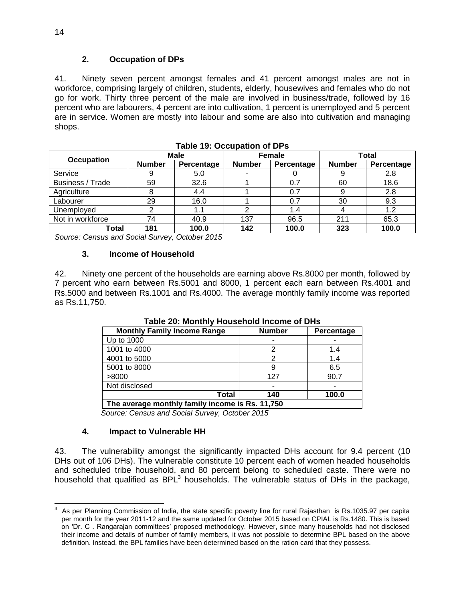# **2. Occupation of DPs**

41. Ninety seven percent amongst females and 41 percent amongst males are not in workforce, comprising largely of children, students, elderly, housewives and females who do not go for work. Thirty three percent of the male are involved in business/trade, followed by 16 percent who are labourers, 4 percent are into cultivation, 1 percent is unemployed and 5 percent are in service. Women are mostly into labour and some are also into cultivation and managing shops.

<span id="page-23-0"></span>

|                   | Male          |            | <b>Female</b> |            | Total         |            |
|-------------------|---------------|------------|---------------|------------|---------------|------------|
| <b>Occupation</b> | <b>Number</b> | Percentage | <b>Number</b> | Percentage | <b>Number</b> | Percentage |
| Service           | 9             | 5.0        |               |            |               | 2.8        |
| Business / Trade  | 59            | 32.6       |               | 0.7        | 60            | 18.6       |
| Agriculture       | 8             | 4.4        |               | 0.7        | 9             | 2.8        |
| Labourer          | 29            | 16.0       |               | 0.7        | 30            | 9.3        |
| Unemployed        | റ             | 1.1        |               | 1.4        |               | 1.2        |
| Not in workforce  | 74            | 40.9       | 137           | 96.5       | 211           | 65.3       |
| Total             | 181           | 100.0      | 142           | 100.0      | 323           | 100.0      |

| <b>Table 19: Occupation of DPs</b> |  |  |  |
|------------------------------------|--|--|--|
|                                    |  |  |  |

*Source: Census and Social Survey, October 2015*

#### **3. Income of Household**

<span id="page-23-1"></span>42. Ninety one percent of the households are earning above Rs.8000 per month, followed by 7 percent who earn between Rs.5001 and 8000, 1 percent each earn between Rs.4001 and Rs.5000 and between Rs.1001 and Rs.4000. The average monthly family income was reported as Rs.11,750.

| <b>Monthly Family Income Range</b>              | <b>Number</b> | Percentage |  |  |
|-------------------------------------------------|---------------|------------|--|--|
| Up to 1000                                      |               |            |  |  |
| 1001 to 4000                                    |               | 1.4        |  |  |
| 4001 to 5000                                    |               | 1.4        |  |  |
| 5001 to 8000                                    |               | 6.5        |  |  |
| >8000                                           | 127           | 90.7       |  |  |
| Not disclosed                                   |               |            |  |  |
| Total                                           | 140           | 100.0      |  |  |
| The average monthly family income is Rs. 11,750 |               |            |  |  |

**Table 20: Monthly Household Income of DHs**

 *Source: Census and Social Survey, October 2015*

## **4. Impact to Vulnerable HH**

43. The vulnerability amongst the significantly impacted DHs account for 9.4 percent (10 DHs out of 106 DHs). The vulnerable constitute 10 percent each of women headed households and scheduled tribe household, and 80 percent belong to scheduled caste. There were no household that qualified as  $BPL<sup>3</sup>$  households. The vulnerable status of DHs in the package,

 $\overline{a}$ 3 As per Planning Commission of India, the state specific poverty line for rural Rajasthan is Rs.1035.97 per capita per month for the year 2011-12 and the same updated for October 2015 based on CPIAL is Rs.1480. This is based on 'Dr. C . Rangarajan committees' proposed methodology. However, since many households had not disclosed their income and details of number of family members, it was not possible to determine BPL based on the above definition. Instead, the BPL families have been determined based on the ration card that they possess.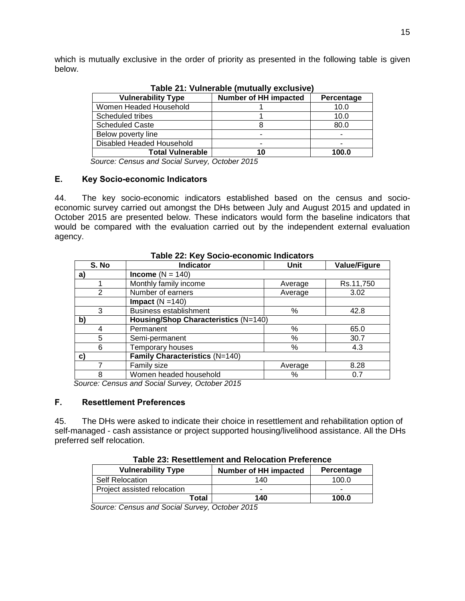<span id="page-24-2"></span>which is mutually exclusive in the order of priority as presented in the following table is given below.

| Table 21. Vullierable (Indicially exclusive) |                              |            |  |  |
|----------------------------------------------|------------------------------|------------|--|--|
| <b>Vulnerability Type</b>                    | <b>Number of HH impacted</b> | Percentage |  |  |
| Women Headed Household                       |                              | 10.0       |  |  |
| Scheduled tribes                             |                              | 10.0       |  |  |
| <b>Scheduled Caste</b>                       |                              | 80.0       |  |  |
| Below poverty line                           |                              |            |  |  |
| Disabled Headed Household                    |                              |            |  |  |
| <b>Total Vulnerable</b>                      | 10                           | 100.0      |  |  |
| .                                            |                              |            |  |  |

**Table 21: Vulnerable (mutually exclusive)**

 *Source: Census and Social Survey, October 2015*

#### <span id="page-24-0"></span>**E. Key Socio-economic Indicators**

44. The key socio-economic indicators established based on the census and socioeconomic survey carried out amongst the DHs between July and August 2015 and updated in October 2015 are presented below. These indicators would form the baseline indicators that would be compared with the evaluation carried out by the independent external evaluation agency.

<span id="page-24-3"></span>

| Table LET TOT OUGHO COONGINING INGICATORS |                                      |         |                     |  |
|-------------------------------------------|--------------------------------------|---------|---------------------|--|
| S. No                                     | <b>Indicator</b>                     | Unit    | <b>Value/Figure</b> |  |
| a)                                        | Income $(N = 140)$                   |         |                     |  |
|                                           | Monthly family income                | Average | Rs.11,750           |  |
| $\overline{2}$                            | Number of earners                    | Average | 3.02                |  |
|                                           | Impact $(N = 140)$                   |         |                     |  |
| 3                                         | <b>Business establishment</b>        | %       | 42.8                |  |
| b)                                        | Housing/Shop Characteristics (N=140) |         |                     |  |
|                                           | Permanent                            | %       | 65.0                |  |
| 5                                         | Semi-permanent                       | %       | 30.7                |  |
| 6                                         | Temporary houses                     | %       | 4.3                 |  |
| $\mathbf{C}$                              | Family Characteristics (N=140)       |         |                     |  |
|                                           | Family size                          | Average | 8.28                |  |
| 8                                         | Women headed household               | %       | 0.7                 |  |

**Table 22: Key Socio-economic Indicators**

 *Source: Census and Social Survey, October 2015*

#### <span id="page-24-1"></span>**F. Resettlement Preferences**

45. The DHs were asked to indicate their choice in resettlement and rehabilitation option of self-managed - cash assistance or project supported housing/livelihood assistance. All the DHs preferred self relocation.

<span id="page-24-4"></span>

| <b>Vulnerability Type</b>   | <b>Number of HH impacted</b> | Percentage |
|-----------------------------|------------------------------|------------|
| <b>Self Relocation</b>      | 140                          | 100.0      |
| Project assisted relocation | -                            | -          |
| ™otal                       | 140                          | 100.0      |

**Table 23: Resettlement and Relocation Preference**

 *Source: Census and Social Survey, October 2015*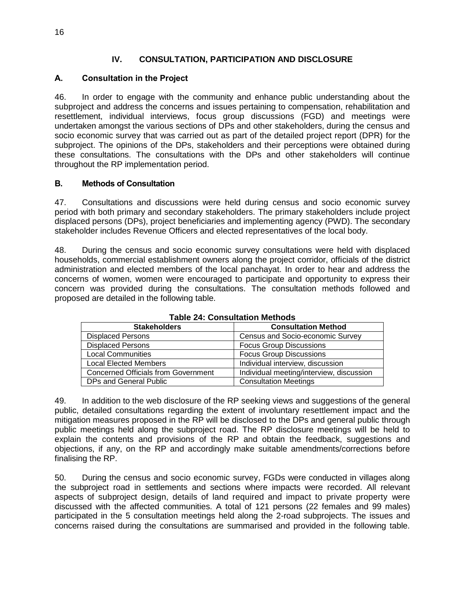# **IV. CONSULTATION, PARTICIPATION AND DISCLOSURE**

# <span id="page-25-1"></span><span id="page-25-0"></span>**A. Consultation in the Project**

46. In order to engage with the community and enhance public understanding about the subproject and address the concerns and issues pertaining to compensation, rehabilitation and resettlement, individual interviews, focus group discussions (FGD) and meetings were undertaken amongst the various sections of DPs and other stakeholders, during the census and socio economic survey that was carried out as part of the detailed project report (DPR) for the subproject. The opinions of the DPs, stakeholders and their perceptions were obtained during these consultations. The consultations with the DPs and other stakeholders will continue throughout the RP implementation period.

## <span id="page-25-2"></span>**B. Methods of Consultation**

47. Consultations and discussions were held during census and socio economic survey period with both primary and secondary stakeholders. The primary stakeholders include project displaced persons (DPs), project beneficiaries and implementing agency (PWD). The secondary stakeholder includes Revenue Officers and elected representatives of the local body.

48. During the census and socio economic survey consultations were held with displaced households, commercial establishment owners along the project corridor, officials of the district administration and elected members of the local panchayat. In order to hear and address the concerns of women, women were encouraged to participate and opportunity to express their concern was provided during the consultations. The consultation methods followed and proposed are detailed in the following table.

<span id="page-25-3"></span>

| <b>Stakeholders</b>                        | <b>Consultation Method</b>               |  |  |
|--------------------------------------------|------------------------------------------|--|--|
| <b>Displaced Persons</b>                   | Census and Socio-economic Survey         |  |  |
| <b>Displaced Persons</b>                   | <b>Focus Group Discussions</b>           |  |  |
| Local Communities                          | <b>Focus Group Discussions</b>           |  |  |
| Local Elected Members                      | Individual interview, discussion         |  |  |
| <b>Concerned Officials from Government</b> | Individual meeting/interview, discussion |  |  |
| DPs and General Public                     | <b>Consultation Meetings</b>             |  |  |

**Table 24: Consultation Methods**

49. In addition to the web disclosure of the RP seeking views and suggestions of the general public, detailed consultations regarding the extent of involuntary resettlement impact and the mitigation measures proposed in the RP will be disclosed to the DPs and general public through public meetings held along the subproject road. The RP disclosure meetings will be held to explain the contents and provisions of the RP and obtain the feedback, suggestions and objections, if any, on the RP and accordingly make suitable amendments/corrections before finalising the RP.

50. During the census and socio economic survey, FGDs were conducted in villages along the subproject road in settlements and sections where impacts were recorded. All relevant aspects of subproject design, details of land required and impact to private property were discussed with the affected communities. A total of 121 persons (22 females and 99 males) participated in the 5 consultation meetings held along the 2-road subprojects. The issues and concerns raised during the consultations are summarised and provided in the following table.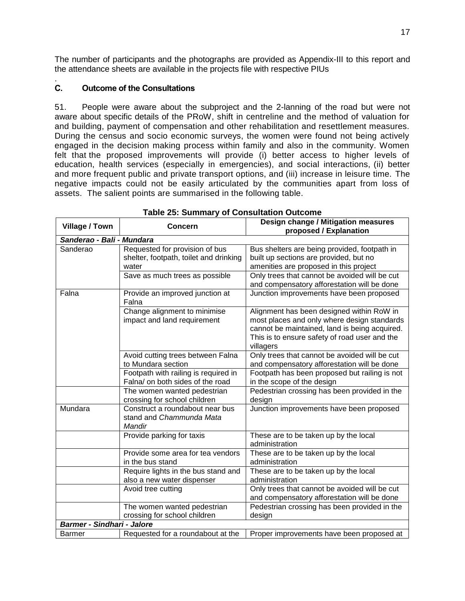The number of participants and the photographs are provided as Appendix-III to this report and the attendance sheets are available in the projects file with respective PIUs

#### <span id="page-26-0"></span>. **C. Outcome of the Consultations**

51. People were aware about the subproject and the 2-lanning of the road but were not aware about specific details of the PRoW, shift in centreline and the method of valuation for and building, payment of compensation and other rehabilitation and resettlement measures. During the census and socio economic surveys, the women were found not being actively engaged in the decision making process within family and also in the community. Women felt that the proposed improvements will provide (i) better access to higher levels of education, health services (especially in emergencies), and social interactions, (ii) better and more frequent public and private transport options, and (iii) increase in leisure time. The negative impacts could not be easily articulated by the communities apart from loss of assets. The salient points are summarised in the following table.

<span id="page-26-1"></span>

| Village / Town                    | <b>Concern</b>                                                                    | Design change / Mitigation measures<br>proposed / Explanation                                                                                                                                           |
|-----------------------------------|-----------------------------------------------------------------------------------|---------------------------------------------------------------------------------------------------------------------------------------------------------------------------------------------------------|
| Sanderao - Bali - Mundara         |                                                                                   |                                                                                                                                                                                                         |
| Sanderao                          | Requested for provision of bus<br>shelter, footpath, toilet and drinking<br>water | Bus shelters are being provided, footpath in<br>built up sections are provided, but no<br>amenities are proposed in this project                                                                        |
|                                   | Save as much trees as possible                                                    | Only trees that cannot be avoided will be cut<br>and compensatory afforestation will be done                                                                                                            |
| Falna                             | Provide an improved junction at<br>Falna                                          | Junction improvements have been proposed                                                                                                                                                                |
|                                   | Change alignment to minimise<br>impact and land requirement                       | Alignment has been designed within RoW in<br>most places and only where design standards<br>cannot be maintained, land is being acquired.<br>This is to ensure safety of road user and the<br>villagers |
|                                   | Avoid cutting trees between Falna<br>to Mundara section                           | Only trees that cannot be avoided will be cut<br>and compensatory afforestation will be done                                                                                                            |
|                                   | Footpath with railing is required in<br>Falna/ on both sides of the road          | Footpath has been proposed but railing is not<br>in the scope of the design                                                                                                                             |
|                                   | The women wanted pedestrian<br>crossing for school children                       | Pedestrian crossing has been provided in the<br>design                                                                                                                                                  |
| Mundara                           | Construct a roundabout near bus<br>stand and Chammunda Mata<br>Mandir             | Junction improvements have been proposed                                                                                                                                                                |
|                                   | Provide parking for taxis                                                         | These are to be taken up by the local<br>administration                                                                                                                                                 |
|                                   | Provide some area for tea vendors<br>in the bus stand                             | These are to be taken up by the local<br>administration                                                                                                                                                 |
|                                   | Require lights in the bus stand and<br>also a new water dispenser                 | These are to be taken up by the local<br>administration                                                                                                                                                 |
|                                   | Avoid tree cutting                                                                | Only trees that cannot be avoided will be cut<br>and compensatory afforestation will be done                                                                                                            |
|                                   | The women wanted pedestrian<br>crossing for school children                       | Pedestrian crossing has been provided in the<br>design                                                                                                                                                  |
| <b>Barmer - Sindhari - Jalore</b> |                                                                                   |                                                                                                                                                                                                         |
| <b>Barmer</b>                     | Requested for a roundabout at the                                                 | Proper improvements have been proposed at                                                                                                                                                               |

**Table 25: Summary of Consultation Outcome**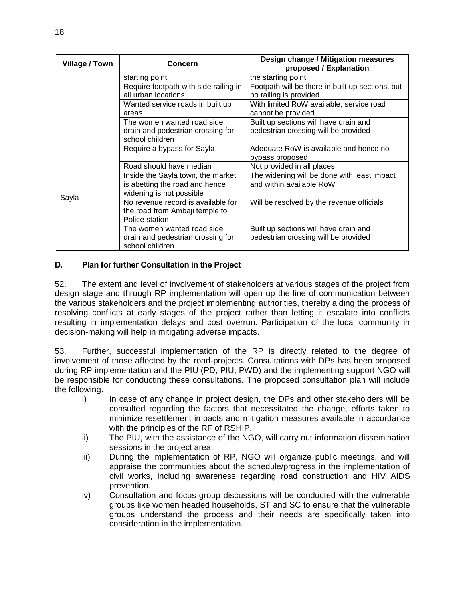| Village / Town | <b>Concern</b>                                                                                  | Design change / Mitigation measures<br>proposed / Explanation                 |
|----------------|-------------------------------------------------------------------------------------------------|-------------------------------------------------------------------------------|
|                | starting point                                                                                  | the starting point                                                            |
|                | Require footpath with side railing in<br>all urban locations                                    | Footpath will be there in built up sections, but<br>no railing is provided    |
|                | Wanted service roads in built up<br>areas                                                       | With limited RoW available, service road<br>cannot be provided                |
|                | The women wanted road side<br>drain and pedestrian crossing for<br>school children              | Built up sections will have drain and<br>pedestrian crossing will be provided |
|                | Require a bypass for Sayla                                                                      | Adequate RoW is available and hence no<br>bypass proposed                     |
|                | Road should have median                                                                         | Not provided in all places                                                    |
|                | Inside the Sayla town, the market<br>is abetting the road and hence<br>widening is not possible | The widening will be done with least impact<br>and within available RoW       |
| Sayla          | No revenue record is available for<br>the road from Ambaji temple to<br>Police station          | Will be resolved by the revenue officials                                     |
|                | The women wanted road side<br>drain and pedestrian crossing for<br>school children              | Built up sections will have drain and<br>pedestrian crossing will be provided |

# <span id="page-27-0"></span>**D. Plan for further Consultation in the Project**

52. The extent and level of involvement of stakeholders at various stages of the project from design stage and through RP implementation will open up the line of communication between the various stakeholders and the project implementing authorities, thereby aiding the process of resolving conflicts at early stages of the project rather than letting it escalate into conflicts resulting in implementation delays and cost overrun. Participation of the local community in decision-making will help in mitigating adverse impacts.

53. Further, successful implementation of the RP is directly related to the degree of involvement of those affected by the road-projects. Consultations with DPs has been proposed during RP implementation and the PIU (PD, PIU, PWD) and the implementing support NGO will be responsible for conducting these consultations. The proposed consultation plan will include the following.

- i) In case of any change in project design, the DPs and other stakeholders will be consulted regarding the factors that necessitated the change, efforts taken to minimize resettlement impacts and mitigation measures available in accordance with the principles of the RF of RSHIP.
- ii) The PIU, with the assistance of the NGO, will carry out information dissemination sessions in the project area.
- iii) During the implementation of RP, NGO will organize public meetings, and will appraise the communities about the schedule/progress in the implementation of civil works, including awareness regarding road construction and HIV AIDS prevention.
- iv) Consultation and focus group discussions will be conducted with the vulnerable groups like women headed households, ST and SC to ensure that the vulnerable groups understand the process and their needs are specifically taken into consideration in the implementation.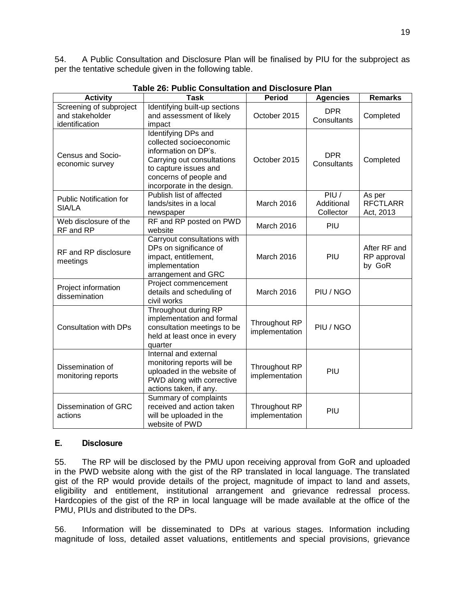54. A Public Consultation and Disclosure Plan will be finalised by PIU for the subproject as per the tentative schedule given in the following table.

<span id="page-28-1"></span>

| <b>Activity</b>                                              | <b>Task</b>                                                                                                                                                                           | <b>Period</b>                   | <b>Agencies</b>                 | <b>Remarks</b>                         |
|--------------------------------------------------------------|---------------------------------------------------------------------------------------------------------------------------------------------------------------------------------------|---------------------------------|---------------------------------|----------------------------------------|
| Screening of subproject<br>and stakeholder<br>identification | Identifying built-up sections<br>and assessment of likely<br>impact                                                                                                                   | October 2015                    | <b>DPR</b><br>Consultants       | Completed                              |
| Census and Socio-<br>economic survey                         | Identifying DPs and<br>collected socioeconomic<br>information on DP's.<br>Carrying out consultations<br>to capture issues and<br>concerns of people and<br>incorporate in the design. | October 2015                    | <b>DPR</b><br>Consultants       | Completed                              |
| <b>Public Notification for</b><br>SIA/LA                     | Publish list of affected<br>lands/sites in a local<br>newspaper                                                                                                                       | March 2016                      | PIU/<br>Additional<br>Collector | As per<br><b>RFCTLARR</b><br>Act, 2013 |
| Web disclosure of the<br>RF and RP                           | RF and RP posted on PWD<br>website                                                                                                                                                    | March 2016                      | PIU                             |                                        |
| RF and RP disclosure<br>meetings                             | Carryout consultations with<br>DPs on significance of<br>impact, entitlement,<br>implementation<br>arrangement and GRC                                                                | March 2016                      | PIU                             | After RF and<br>RP approval<br>by GoR  |
| Project information<br>dissemination                         | Project commencement<br>details and scheduling of<br>civil works                                                                                                                      | March 2016                      | PIU / NGO                       |                                        |
| <b>Consultation with DPs</b>                                 | Throughout during RP<br>implementation and formal<br>consultation meetings to be<br>held at least once in every<br>quarter                                                            | Throughout RP<br>implementation | PIU / NGO                       |                                        |
| Dissemination of<br>monitoring reports                       | Internal and external<br>monitoring reports will be<br>uploaded in the website of<br>PWD along with corrective<br>actions taken, if any.                                              | Throughout RP<br>implementation | PIU                             |                                        |
| Dissemination of GRC<br>actions                              | Summary of complaints<br>received and action taken<br>will be uploaded in the<br>website of PWD                                                                                       | Throughout RP<br>implementation | PIU                             |                                        |

**Table 26: Public Consultation and Disclosure Plan**

# <span id="page-28-0"></span>**E. Disclosure**

55. The RP will be disclosed by the PMU upon receiving approval from GoR and uploaded in the PWD website along with the gist of the RP translated in local language. The translated gist of the RP would provide details of the project, magnitude of impact to land and assets, eligibility and entitlement, institutional arrangement and grievance redressal process. Hardcopies of the gist of the RP in local language will be made available at the office of the PMU, PIUs and distributed to the DPs.

56. Information will be disseminated to DPs at various stages. Information including magnitude of loss, detailed asset valuations, entitlements and special provisions, grievance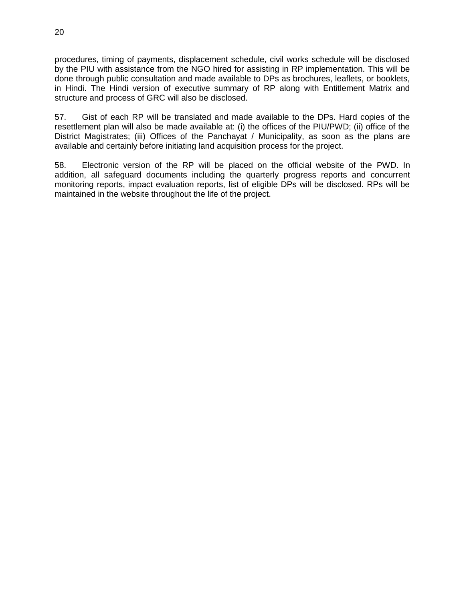procedures, timing of payments, displacement schedule, civil works schedule will be disclosed by the PIU with assistance from the NGO hired for assisting in RP implementation. This will be done through public consultation and made available to DPs as brochures, leaflets, or booklets, in Hindi. The Hindi version of executive summary of RP along with Entitlement Matrix and structure and process of GRC will also be disclosed.

57. Gist of each RP will be translated and made available to the DPs. Hard copies of the resettlement plan will also be made available at: (i) the offices of the PIU/PWD; (ii) office of the District Magistrates; (iii) Offices of the Panchayat / Municipality, as soon as the plans are available and certainly before initiating land acquisition process for the project.

58. Electronic version of the RP will be placed on the official website of the PWD. In addition, all safeguard documents including the quarterly progress reports and concurrent monitoring reports, impact evaluation reports, list of eligible DPs will be disclosed. RPs will be maintained in the website throughout the life of the project.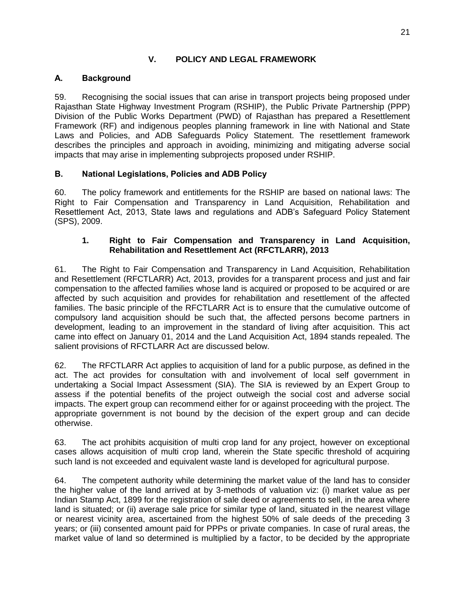# **V. POLICY AND LEGAL FRAMEWORK**

# <span id="page-30-1"></span><span id="page-30-0"></span>**A. Background**

59. Recognising the social issues that can arise in transport projects being proposed under Rajasthan State Highway Investment Program (RSHIP), the Public Private Partnership (PPP) Division of the Public Works Department (PWD) of Rajasthan has prepared a Resettlement Framework (RF) and indigenous peoples planning framework in line with National and State Laws and Policies, and ADB Safeguards Policy Statement. The resettlement framework describes the principles and approach in avoiding, minimizing and mitigating adverse social impacts that may arise in implementing subprojects proposed under RSHIP.

# <span id="page-30-2"></span>**B. National Legislations, Policies and ADB Policy**

60. The policy framework and entitlements for the RSHIP are based on national laws: The Right to Fair Compensation and Transparency in Land Acquisition, Rehabilitation and Resettlement Act, 2013, State laws and regulations and ADB's Safeguard Policy Statement (SPS), 2009.

# **1. Right to Fair Compensation and Transparency in Land Acquisition, Rehabilitation and Resettlement Act (RFCTLARR), 2013**

61. The Right to Fair Compensation and Transparency in Land Acquisition, Rehabilitation and Resettlement (RFCTLARR) Act, 2013, provides for a transparent process and just and fair compensation to the affected families whose land is acquired or proposed to be acquired or are affected by such acquisition and provides for rehabilitation and resettlement of the affected families. The basic principle of the RFCTLARR Act is to ensure that the cumulative outcome of compulsory land acquisition should be such that, the affected persons become partners in development, leading to an improvement in the standard of living after acquisition. This act came into effect on January 01, 2014 and the Land Acquisition Act, 1894 stands repealed. The salient provisions of RFCTLARR Act are discussed below.

62. The RFCTLARR Act applies to acquisition of land for a public purpose, as defined in the act. The act provides for consultation with and involvement of local self government in undertaking a Social Impact Assessment (SIA). The SIA is reviewed by an Expert Group to assess if the potential benefits of the project outweigh the social cost and adverse social impacts. The expert group can recommend either for or against proceeding with the project. The appropriate government is not bound by the decision of the expert group and can decide otherwise.

63. The act prohibits acquisition of multi crop land for any project, however on exceptional cases allows acquisition of multi crop land, wherein the State specific threshold of acquiring such land is not exceeded and equivalent waste land is developed for agricultural purpose.

64. The competent authority while determining the market value of the land has to consider the higher value of the land arrived at by 3-methods of valuation viz: (i) market value as per Indian Stamp Act, 1899 for the registration of sale deed or agreements to sell, in the area where land is situated; or (ii) average sale price for similar type of land, situated in the nearest village or nearest vicinity area, ascertained from the highest 50% of sale deeds of the preceding 3 years; or (iii) consented amount paid for PPPs or private companies. In case of rural areas, the market value of land so determined is multiplied by a factor, to be decided by the appropriate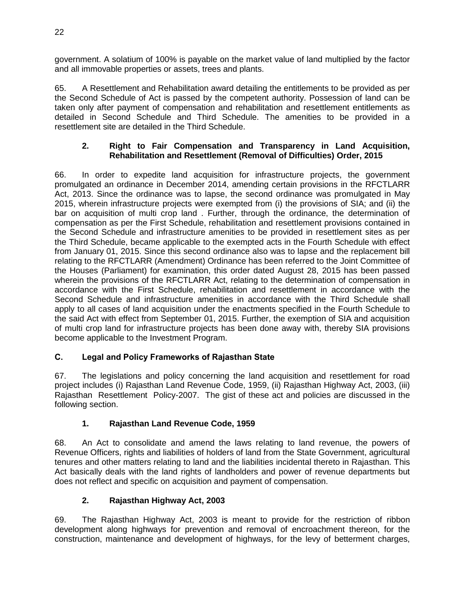government. A solatium of 100% is payable on the market value of land multiplied by the factor and all immovable properties or assets, trees and plants.

65. A Resettlement and Rehabilitation award detailing the entitlements to be provided as per the Second Schedule of Act is passed by the competent authority. Possession of land can be taken only after payment of compensation and rehabilitation and resettlement entitlements as detailed in Second Schedule and Third Schedule. The amenities to be provided in a resettlement site are detailed in the Third Schedule.

# **2. Right to Fair Compensation and Transparency in Land Acquisition, Rehabilitation and Resettlement (Removal of Difficulties) Order, 2015**

66. In order to expedite land acquisition for infrastructure projects, the government promulgated an ordinance in December 2014, amending certain provisions in the RFCTLARR Act, 2013. Since the ordinance was to lapse, the second ordinance was promulgated in May 2015, wherein infrastructure projects were exempted from (i) the provisions of SIA; and (ii) the bar on acquisition of multi crop land . Further, through the ordinance, the determination of compensation as per the First Schedule, rehabilitation and resettlement provisions contained in the Second Schedule and infrastructure amenities to be provided in resettlement sites as per the Third Schedule, became applicable to the exempted acts in the Fourth Schedule with effect from January 01, 2015. Since this second ordinance also was to lapse and the replacement bill relating to the RFCTLARR (Amendment) Ordinance has been referred to the Joint Committee of the Houses (Parliament) for examination, this order dated August 28, 2015 has been passed wherein the provisions of the RFCTLARR Act, relating to the determination of compensation in accordance with the First Schedule, rehabilitation and resettlement in accordance with the Second Schedule and infrastructure amenities in accordance with the Third Schedule shall apply to all cases of land acquisition under the enactments specified in the Fourth Schedule to the said Act with effect from September 01, 2015. Further, the exemption of SIA and acquisition of multi crop land for infrastructure projects has been done away with, thereby SIA provisions become applicable to the Investment Program.

# <span id="page-31-0"></span>**C. Legal and Policy Frameworks of Rajasthan State**

67. The legislations and policy concerning the land acquisition and resettlement for road project includes (i) Rajasthan Land Revenue Code, 1959, (ii) Rajasthan Highway Act, 2003, (iii) Rajasthan Resettlement Policy-2007. The gist of these act and policies are discussed in the following section.

# **1. Rajasthan Land Revenue Code, 1959**

68. An Act to consolidate and amend the laws relating to land revenue, the powers of Revenue Officers, rights and liabilities of holders of land from the State Government, agricultural tenures and other matters relating to land and the liabilities incidental thereto in Rajasthan. This Act basically deals with the land rights of landholders and power of revenue departments but does not reflect and specific on acquisition and payment of compensation.

# **2. Rajasthan Highway Act, 2003**

69. The Rajasthan Highway Act, 2003 is meant to provide for the restriction of ribbon development along highways for prevention and removal of encroachment thereon, for the construction, maintenance and development of highways, for the levy of betterment charges,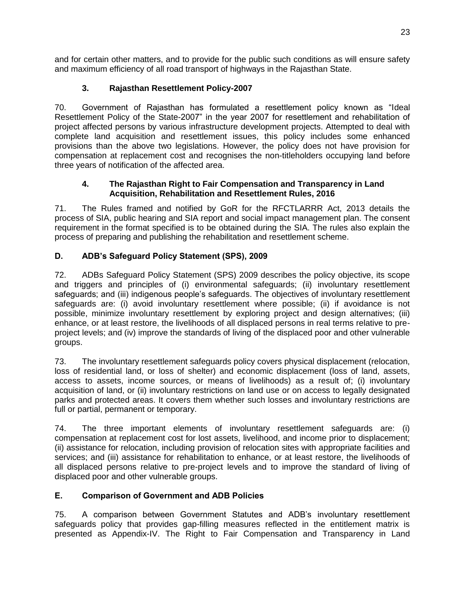and for certain other matters, and to provide for the public such conditions as will ensure safety and maximum efficiency of all road transport of highways in the Rajasthan State.

# **3. Rajasthan Resettlement Policy-2007**

70. Government of Rajasthan has formulated a resettlement policy known as "Ideal Resettlement Policy of the State-2007" in the year 2007 for resettlement and rehabilitation of project affected persons by various infrastructure development projects. Attempted to deal with complete land acquisition and resettlement issues, this policy includes some enhanced provisions than the above two legislations. However, the policy does not have provision for compensation at replacement cost and recognises the non-titleholders occupying land before three years of notification of the affected area.

# **4. The Rajasthan Right to Fair Compensation and Transparency in Land Acquisition, Rehabilitation and Resettlement Rules, 2016**

71. The Rules framed and notified by GoR for the RFCTLARRR Act, 2013 details the process of SIA, public hearing and SIA report and social impact management plan. The consent requirement in the format specified is to be obtained during the SIA. The rules also explain the process of preparing and publishing the rehabilitation and resettlement scheme.

# <span id="page-32-0"></span>**D. ADB's Safeguard Policy Statement (SPS), 2009**

72. ADBs Safeguard Policy Statement (SPS) 2009 describes the policy objective, its scope and triggers and principles of (i) environmental safeguards; (ii) involuntary resettlement safeguards; and (iii) indigenous people's safeguards. The objectives of involuntary resettlement safeguards are: (i) avoid involuntary resettlement where possible; (ii) if avoidance is not possible, minimize involuntary resettlement by exploring project and design alternatives; (iii) enhance, or at least restore, the livelihoods of all displaced persons in real terms relative to preproject levels; and (iv) improve the standards of living of the displaced poor and other vulnerable groups.

73. The involuntary resettlement safeguards policy covers physical displacement (relocation, loss of residential land, or loss of shelter) and economic displacement (loss of land, assets, access to assets, income sources, or means of livelihoods) as a result of; (i) involuntary acquisition of land, or (ii) involuntary restrictions on land use or on access to legally designated parks and protected areas. It covers them whether such losses and involuntary restrictions are full or partial, permanent or temporary.

74. The three important elements of involuntary resettlement safeguards are: (i) compensation at replacement cost for lost assets, livelihood, and income prior to displacement; (ii) assistance for relocation, including provision of relocation sites with appropriate facilities and services; and (iii) assistance for rehabilitation to enhance, or at least restore, the livelihoods of all displaced persons relative to pre-project levels and to improve the standard of living of displaced poor and other vulnerable groups.

# <span id="page-32-1"></span>**E. Comparison of Government and ADB Policies**

75. A comparison between Government Statutes and ADB's involuntary resettlement safeguards policy that provides gap-filling measures reflected in the entitlement matrix is presented as Appendix-IV. The Right to Fair Compensation and Transparency in Land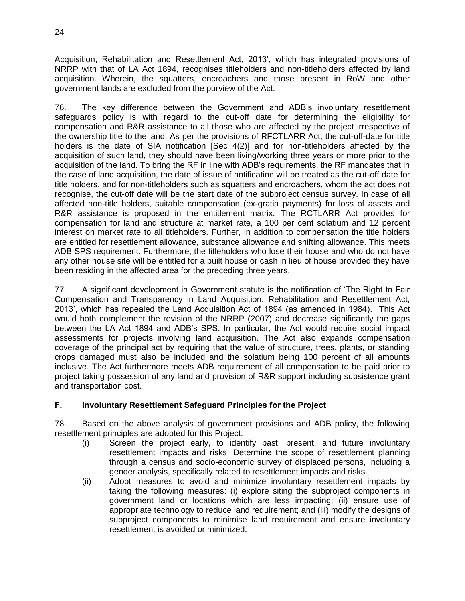Acquisition, Rehabilitation and Resettlement Act, 2013', which has integrated provisions of NRRP with that of LA Act 1894, recognises titleholders and non-titleholders affected by land acquisition. Wherein, the squatters, encroachers and those present in RoW and other government lands are excluded from the purview of the Act.

76. The key difference between the Government and ADB's involuntary resettlement safeguards policy is with regard to the cut-off date for determining the eligibility for compensation and R&R assistance to all those who are affected by the project irrespective of the ownership title to the land. As per the provisions of RFCTLARR Act, the cut-off-date for title holders is the date of SIA notification [Sec 4(2)] and for non-titleholders affected by the acquisition of such land, they should have been living/working three years or more prior to the acquisition of the land. To bring the RF in line with ADB's requirements, the RF mandates that in the case of land acquisition, the date of issue of notification will be treated as the cut-off date for title holders, and for non-titleholders such as squatters and encroachers, whom the act does not recognise, the cut-off date will be the start date of the subproject census survey. In case of all affected non-title holders, suitable compensation (ex-gratia payments) for loss of assets and R&R assistance is proposed in the entitlement matrix. The RCTLARR Act provides for compensation for land and structure at market rate, a 100 per cent solatium and 12 percent interest on market rate to all titleholders. Further, in addition to compensation the title holders are entitled for resettlement allowance, substance allowance and shifting allowance. This meets ADB SPS requirement. Furthermore, the titleholders who lose their house and who do not have any other house site will be entitled for a built house or cash in lieu of house provided they have been residing in the affected area for the preceding three years.

77. A significant development in Government statute is the notification of 'The Right to Fair Compensation and Transparency in Land Acquisition, Rehabilitation and Resettlement Act, 2013', which has repealed the Land Acquisition Act of 1894 (as amended in 1984). This Act would both complement the revision of the NRRP (2007) and decrease significantly the gaps between the LA Act 1894 and ADB's SPS. In particular, the Act would require social impact assessments for projects involving land acquisition. The Act also expands compensation coverage of the principal act by requiring that the value of structure, trees, plants, or standing crops damaged must also be included and the solatium being 100 percent of all amounts inclusive. The Act furthermore meets ADB requirement of all compensation to be paid prior to project taking possession of any land and provision of R&R support including subsistence grant and transportation cost.

# <span id="page-33-0"></span>**F. Involuntary Resettlement Safeguard Principles for the Project**

78. Based on the above analysis of government provisions and ADB policy, the following resettlement principles are adopted for this Project:

- (i) Screen the project early, to identify past, present, and future involuntary resettlement impacts and risks. Determine the scope of resettlement planning through a census and socio-economic survey of displaced persons, including a gender analysis, specifically related to resettlement impacts and risks.
- (ii) Adopt measures to avoid and minimize involuntary resettlement impacts by taking the following measures: (i) explore siting the subproject components in government land or locations which are less impacting; (ii) ensure use of appropriate technology to reduce land requirement; and (iii) modify the designs of subproject components to minimise land requirement and ensure involuntary resettlement is avoided or minimized.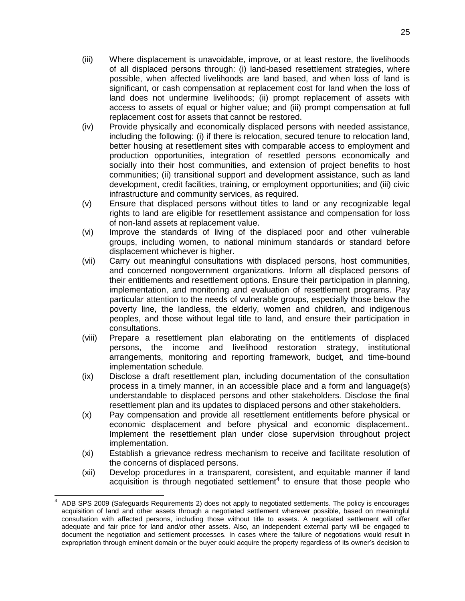- (iii) Where displacement is unavoidable, improve, or at least restore, the livelihoods of all displaced persons through: (i) land-based resettlement strategies, where possible, when affected livelihoods are land based, and when loss of land is significant, or cash compensation at replacement cost for land when the loss of land does not undermine livelihoods; (ii) prompt replacement of assets with access to assets of equal or higher value; and (iii) prompt compensation at full replacement cost for assets that cannot be restored.
- (iv) Provide physically and economically displaced persons with needed assistance, including the following: (i) if there is relocation, secured tenure to relocation land, better housing at resettlement sites with comparable access to employment and production opportunities, integration of resettled persons economically and socially into their host communities, and extension of project benefits to host communities; (ii) transitional support and development assistance, such as land development, credit facilities, training, or employment opportunities; and (iii) civic infrastructure and community services, as required.
- (v) Ensure that displaced persons without titles to land or any recognizable legal rights to land are eligible for resettlement assistance and compensation for loss of non-land assets at replacement value.
- (vi) Improve the standards of living of the displaced poor and other vulnerable groups, including women, to national minimum standards or standard before displacement whichever is higher.
- (vii) Carry out meaningful consultations with displaced persons, host communities, and concerned nongovernment organizations. Inform all displaced persons of their entitlements and resettlement options. Ensure their participation in planning, implementation, and monitoring and evaluation of resettlement programs. Pay particular attention to the needs of vulnerable groups, especially those below the poverty line, the landless, the elderly, women and children, and indigenous peoples, and those without legal title to land, and ensure their participation in consultations.
- (viii) Prepare a resettlement plan elaborating on the entitlements of displaced persons, the income and livelihood restoration strategy, institutional arrangements, monitoring and reporting framework, budget, and time-bound implementation schedule.
- (ix) Disclose a draft resettlement plan, including documentation of the consultation process in a timely manner, in an accessible place and a form and language(s) understandable to displaced persons and other stakeholders. Disclose the final resettlement plan and its updates to displaced persons and other stakeholders.
- (x) Pay compensation and provide all resettlement entitlements before physical or economic displacement and before physical and economic displacement.. Implement the resettlement plan under close supervision throughout project implementation.
- (xi) Establish a grievance redress mechanism to receive and facilitate resolution of the concerns of displaced persons.
- (xii) Develop procedures in a transparent, consistent, and equitable manner if land acquisition is through negotiated settlement<sup>4</sup> to ensure that those people who

 $\overline{a}$ 

<sup>4</sup> ADB SPS 2009 (Safeguards Requirements 2) does not apply to negotiated settlements. The policy is encourages acquisition of land and other assets through a negotiated settlement wherever possible, based on meaningful consultation with affected persons, including those without title to assets. A negotiated settlement will offer adequate and fair price for land and/or other assets. Also, an independent external party will be engaged to document the negotiation and settlement processes. In cases where the failure of negotiations would result in expropriation through eminent domain or the buyer could acquire the property regardless of its owner's decision to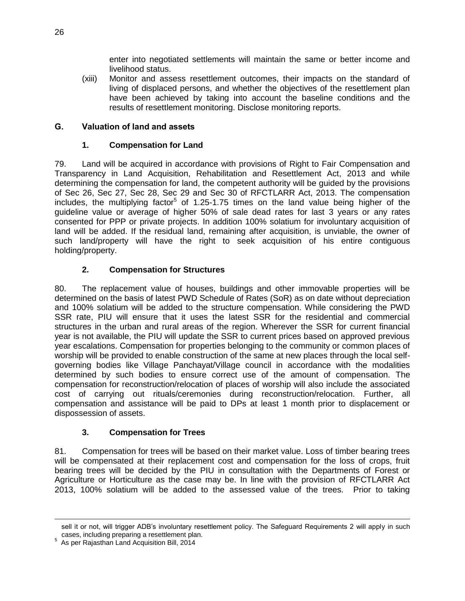enter into negotiated settlements will maintain the same or better income and livelihood status.

(xiii) Monitor and assess resettlement outcomes, their impacts on the standard of living of displaced persons, and whether the objectives of the resettlement plan have been achieved by taking into account the baseline conditions and the results of resettlement monitoring. Disclose monitoring reports.

# <span id="page-35-0"></span>**G. Valuation of land and assets**

# **1. Compensation for Land**

79. Land will be acquired in accordance with provisions of Right to Fair Compensation and Transparency in Land Acquisition, Rehabilitation and Resettlement Act, 2013 and while determining the compensation for land, the competent authority will be guided by the provisions of Sec 26, Sec 27, Sec 28, Sec 29 and Sec 30 of RFCTLARR Act, 2013. The compensation includes, the multiplying factor<sup>5</sup> of 1.25-1.75 times on the land value being higher of the guideline value or average of higher 50% of sale dead rates for last 3 years or any rates consented for PPP or private projects. In addition 100% solatium for involuntary acquisition of land will be added. If the residual land, remaining after acquisition, is unviable, the owner of such land/property will have the right to seek acquisition of his entire contiguous holding/property.

# **2. Compensation for Structures**

80. The replacement value of houses, buildings and other immovable properties will be determined on the basis of latest PWD Schedule of Rates (SoR) as on date without depreciation and 100% solatium will be added to the structure compensation. While considering the PWD SSR rate, PIU will ensure that it uses the latest SSR for the residential and commercial structures in the urban and rural areas of the region. Wherever the SSR for current financial year is not available, the PIU will update the SSR to current prices based on approved previous year escalations. Compensation for properties belonging to the community or common places of worship will be provided to enable construction of the same at new places through the local selfgoverning bodies like Village Panchayat/Village council in accordance with the modalities determined by such bodies to ensure correct use of the amount of compensation. The compensation for reconstruction/relocation of places of worship will also include the associated cost of carrying out rituals/ceremonies during reconstruction/relocation. Further, all compensation and assistance will be paid to DPs at least 1 month prior to displacement or dispossession of assets.

# **3. Compensation for Trees**

81. Compensation for trees will be based on their market value. Loss of timber bearing trees will be compensated at their replacement cost and compensation for the loss of crops, fruit bearing trees will be decided by the PIU in consultation with the Departments of Forest or Agriculture or Horticulture as the case may be. In line with the provision of RFCTLARR Act 2013, 100% solatium will be added to the assessed value of the trees. Prior to taking

 $\overline{a}$ sell it or not, will trigger ADB's involuntary resettlement policy. The Safeguard Requirements 2 will apply in such cases, including preparing a resettlement plan.

<sup>5</sup> As per Rajasthan Land Acquisition Bill, 2014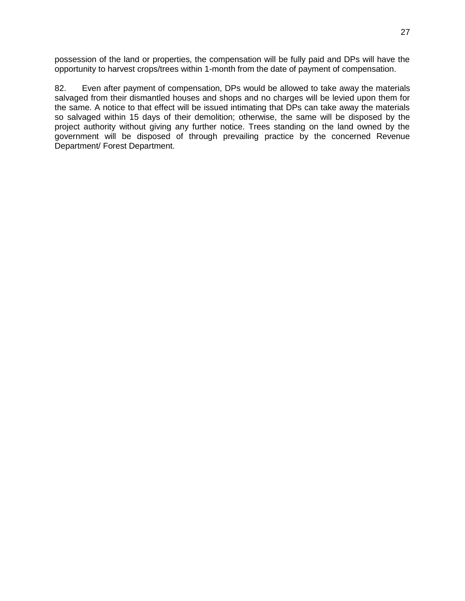possession of the land or properties, the compensation will be fully paid and DPs will have the opportunity to harvest crops/trees within 1-month from the date of payment of compensation.

82. Even after payment of compensation, DPs would be allowed to take away the materials salvaged from their dismantled houses and shops and no charges will be levied upon them for the same. A notice to that effect will be issued intimating that DPs can take away the materials so salvaged within 15 days of their demolition; otherwise, the same will be disposed by the project authority without giving any further notice. Trees standing on the land owned by the government will be disposed of through prevailing practice by the concerned Revenue Department/ Forest Department.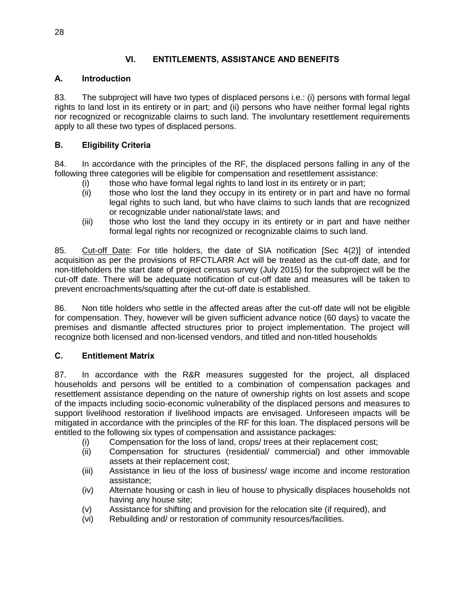## **VI. ENTITLEMENTS, ASSISTANCE AND BENEFITS**

#### **A. Introduction**

83. The subproject will have two types of displaced persons i.e.: (i) persons with formal legal rights to land lost in its entirety or in part; and (ii) persons who have neither formal legal rights nor recognized or recognizable claims to such land. The involuntary resettlement requirements apply to all these two types of displaced persons.

## **B. Eligibility Criteria**

84. In accordance with the principles of the RF, the displaced persons falling in any of the following three categories will be eligible for compensation and resettlement assistance:

- (i) those who have formal legal rights to land lost in its entirety or in part;
- (ii) those who lost the land they occupy in its entirety or in part and have no formal legal rights to such land, but who have claims to such lands that are recognized or recognizable under national/state laws; and
- (iii) those who lost the land they occupy in its entirety or in part and have neither formal legal rights nor recognized or recognizable claims to such land.

85. Cut-off Date: For title holders, the date of SIA notification [Sec 4(2)] of intended acquisition as per the provisions of RFCTLARR Act will be treated as the cut-off date, and for non-titleholders the start date of project census survey (July 2015) for the subproject will be the cut-off date. There will be adequate notification of cut-off date and measures will be taken to prevent encroachments/squatting after the cut-off date is established.

86. Non title holders who settle in the affected areas after the cut-off date will not be eligible for compensation. They, however will be given sufficient advance notice (60 days) to vacate the premises and dismantle affected structures prior to project implementation. The project will recognize both licensed and non-licensed vendors, and titled and non-titled households

## **C. Entitlement Matrix**

87. In accordance with the R&R measures suggested for the project, all displaced households and persons will be entitled to a combination of compensation packages and resettlement assistance depending on the nature of ownership rights on lost assets and scope of the impacts including socio-economic vulnerability of the displaced persons and measures to support livelihood restoration if livelihood impacts are envisaged. Unforeseen impacts will be mitigated in accordance with the principles of the RF for this loan. The displaced persons will be entitled to the following six types of compensation and assistance packages:

- (i) Compensation for the loss of land, crops/ trees at their replacement cost;
- (ii) Compensation for structures (residential/ commercial) and other immovable assets at their replacement cost;
- (iii) Assistance in lieu of the loss of business/ wage income and income restoration assistance;
- (iv) Alternate housing or cash in lieu of house to physically displaces households not having any house site;
- (v) Assistance for shifting and provision for the relocation site (if required), and
- (vi) Rebuilding and/ or restoration of community resources/facilities.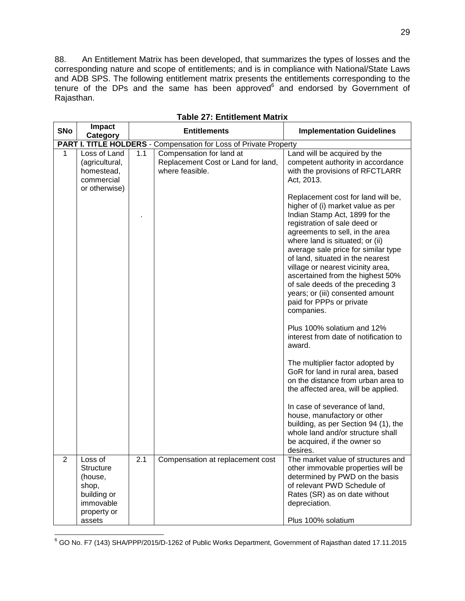88. An Entitlement Matrix has been developed, that summarizes the types of losses and the corresponding nature and scope of entitlements; and is in compliance with National/State Laws and ADB SPS. The following entitlement matrix presents the entitlements corresponding to the tenure of the DPs and the same has been approved $6$  and endorsed by Government of Rajasthan.

| <b>SNo</b> | Impact<br>Category                                                                  |     | <b>Entitlements</b>                                                               | <b>Implementation Guidelines</b>                                                                                                                                                                                                                                                                                                                                                                                                                                                                                                                                                                                                                                                                                                                                                                                                                                                                                      |  |  |  |  |
|------------|-------------------------------------------------------------------------------------|-----|-----------------------------------------------------------------------------------|-----------------------------------------------------------------------------------------------------------------------------------------------------------------------------------------------------------------------------------------------------------------------------------------------------------------------------------------------------------------------------------------------------------------------------------------------------------------------------------------------------------------------------------------------------------------------------------------------------------------------------------------------------------------------------------------------------------------------------------------------------------------------------------------------------------------------------------------------------------------------------------------------------------------------|--|--|--|--|
|            |                                                                                     |     | PART I. TITLE HOLDERS - Compensation for Loss of Private Property                 |                                                                                                                                                                                                                                                                                                                                                                                                                                                                                                                                                                                                                                                                                                                                                                                                                                                                                                                       |  |  |  |  |
| 1          | Loss of Land<br>(agricultural,<br>homestead,<br>commercial<br>or otherwise)         | 1.1 | Compensation for land at<br>Replacement Cost or Land for land,<br>where feasible. | Land will be acquired by the<br>competent authority in accordance<br>with the provisions of RFCTLARR<br>Act, 2013.                                                                                                                                                                                                                                                                                                                                                                                                                                                                                                                                                                                                                                                                                                                                                                                                    |  |  |  |  |
|            |                                                                                     |     |                                                                                   | Replacement cost for land will be,<br>higher of (i) market value as per<br>Indian Stamp Act, 1899 for the<br>registration of sale deed or<br>agreements to sell, in the area<br>where land is situated; or (ii)<br>average sale price for similar type<br>of land, situated in the nearest<br>village or nearest vicinity area,<br>ascertained from the highest 50%<br>of sale deeds of the preceding 3<br>years; or (iii) consented amount<br>paid for PPPs or private<br>companies.<br>Plus 100% solatium and 12%<br>interest from date of notification to<br>award.<br>The multiplier factor adopted by<br>GoR for land in rural area, based<br>on the distance from urban area to<br>the affected area, will be applied.<br>In case of severance of land,<br>house, manufactory or other<br>building, as per Section 94 (1), the<br>whole land and/or structure shall<br>be acquired, if the owner so<br>desires. |  |  |  |  |
| 2          | Loss of<br>Structure<br>(house,<br>shop,<br>building or<br>immovable<br>property or | 2.1 | Compensation at replacement cost                                                  | The market value of structures and<br>other immovable properties will be<br>determined by PWD on the basis<br>of relevant PWD Schedule of<br>Rates (SR) as on date without<br>depreciation.                                                                                                                                                                                                                                                                                                                                                                                                                                                                                                                                                                                                                                                                                                                           |  |  |  |  |
|            | assets                                                                              |     |                                                                                   | Plus 100% solatium                                                                                                                                                                                                                                                                                                                                                                                                                                                                                                                                                                                                                                                                                                                                                                                                                                                                                                    |  |  |  |  |

**Table 27: Entitlement Matrix**

  $^6$  GO No. F7 (143) SHA/PPP/2015/D-1262 of Public Works Department, Government of Rajasthan dated 17.11.2015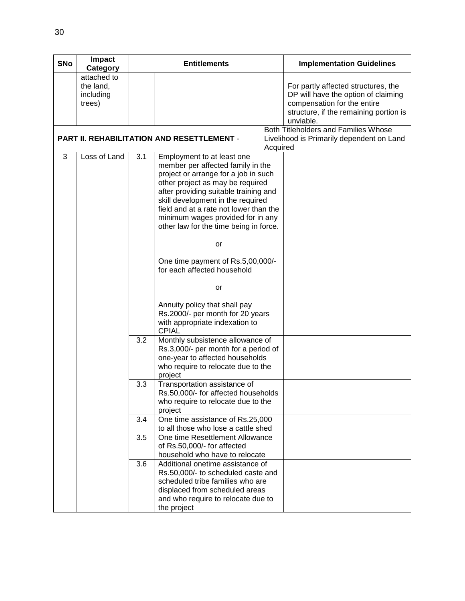| <b>SNo</b> | Impact<br>Category                              |     | <b>Entitlements</b>                                                                                                                                                                                                                                                                                                                                                                                                                                                                                                                                       | <b>Implementation Guidelines</b>                                                                                                                                 |
|------------|-------------------------------------------------|-----|-----------------------------------------------------------------------------------------------------------------------------------------------------------------------------------------------------------------------------------------------------------------------------------------------------------------------------------------------------------------------------------------------------------------------------------------------------------------------------------------------------------------------------------------------------------|------------------------------------------------------------------------------------------------------------------------------------------------------------------|
|            | attached to<br>the land,<br>including<br>trees) |     |                                                                                                                                                                                                                                                                                                                                                                                                                                                                                                                                                           | For partly affected structures, the<br>DP will have the option of claiming<br>compensation for the entire<br>structure, if the remaining portion is<br>unviable. |
|            |                                                 |     | <b>PART II. REHABILITATION AND RESETTLEMENT -</b><br>Acquired                                                                                                                                                                                                                                                                                                                                                                                                                                                                                             | Both Titleholders and Families Whose<br>Livelihood is Primarily dependent on Land                                                                                |
| 3          | Loss of Land                                    | 3.1 | Employment to at least one<br>member per affected family in the<br>project or arrange for a job in such<br>other project as may be required<br>after providing suitable training and<br>skill development in the required<br>field and at a rate not lower than the<br>minimum wages provided for in any<br>other law for the time being in force.<br>or<br>One time payment of Rs.5,00,000/-<br>for each affected household<br>or<br>Annuity policy that shall pay<br>Rs.2000/- per month for 20 years<br>with appropriate indexation to<br><b>CPIAL</b> |                                                                                                                                                                  |
|            |                                                 | 3.2 | Monthly subsistence allowance of<br>Rs.3,000/- per month for a period of<br>one-year to affected households<br>who require to relocate due to the<br>project                                                                                                                                                                                                                                                                                                                                                                                              |                                                                                                                                                                  |
|            |                                                 | 3.3 | Transportation assistance of<br>Rs.50,000/- for affected households<br>who require to relocate due to the<br>project                                                                                                                                                                                                                                                                                                                                                                                                                                      |                                                                                                                                                                  |
|            |                                                 | 3.4 | One time assistance of Rs.25,000<br>to all those who lose a cattle shed                                                                                                                                                                                                                                                                                                                                                                                                                                                                                   |                                                                                                                                                                  |
|            |                                                 | 3.5 | One time Resettlement Allowance<br>of Rs.50,000/- for affected<br>household who have to relocate                                                                                                                                                                                                                                                                                                                                                                                                                                                          |                                                                                                                                                                  |
|            |                                                 | 3.6 | Additional onetime assistance of<br>Rs.50,000/- to scheduled caste and<br>scheduled tribe families who are<br>displaced from scheduled areas<br>and who require to relocate due to<br>the project                                                                                                                                                                                                                                                                                                                                                         |                                                                                                                                                                  |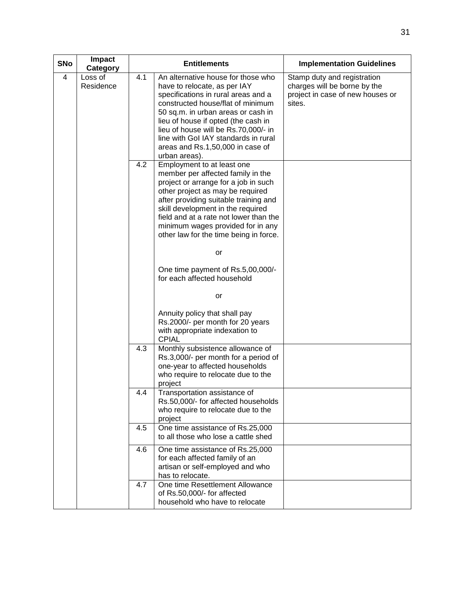| <b>SNo</b>     | Impact<br>Category   |     | <b>Entitlements</b>                                                                                                                                                                                                                                                                                                                                              | <b>Implementation Guidelines</b>                                                                          |
|----------------|----------------------|-----|------------------------------------------------------------------------------------------------------------------------------------------------------------------------------------------------------------------------------------------------------------------------------------------------------------------------------------------------------------------|-----------------------------------------------------------------------------------------------------------|
| $\overline{4}$ | Loss of<br>Residence | 4.1 | An alternative house for those who<br>have to relocate, as per IAY<br>specifications in rural areas and a<br>constructed house/flat of minimum<br>50 sq.m. in urban areas or cash in<br>lieu of house if opted (the cash in<br>lieu of house will be Rs.70,000/- in<br>line with Gol IAY standards in rural<br>areas and Rs.1,50,000 in case of<br>urban areas). | Stamp duty and registration<br>charges will be borne by the<br>project in case of new houses or<br>sites. |
|                |                      | 4.2 | Employment to at least one<br>member per affected family in the<br>project or arrange for a job in such<br>other project as may be required<br>after providing suitable training and<br>skill development in the required<br>field and at a rate not lower than the<br>minimum wages provided for in any<br>other law for the time being in force.<br>or         |                                                                                                           |
|                |                      |     | One time payment of Rs.5,00,000/-<br>for each affected household                                                                                                                                                                                                                                                                                                 |                                                                                                           |
|                |                      |     | or<br>Annuity policy that shall pay<br>Rs.2000/- per month for 20 years<br>with appropriate indexation to<br><b>CPIAL</b>                                                                                                                                                                                                                                        |                                                                                                           |
|                |                      | 4.3 | Monthly subsistence allowance of<br>Rs.3,000/- per month for a period of<br>one-year to affected households<br>who require to relocate due to the<br>project                                                                                                                                                                                                     |                                                                                                           |
|                |                      | 4.4 | Transportation assistance of<br>Rs.50,000/- for affected households<br>who require to relocate due to the<br>project                                                                                                                                                                                                                                             |                                                                                                           |
|                |                      | 4.5 | One time assistance of Rs.25,000<br>to all those who lose a cattle shed                                                                                                                                                                                                                                                                                          |                                                                                                           |
|                |                      | 4.6 | One time assistance of Rs.25,000<br>for each affected family of an<br>artisan or self-employed and who<br>has to relocate.                                                                                                                                                                                                                                       |                                                                                                           |
|                |                      | 4.7 | One time Resettlement Allowance<br>of Rs.50,000/- for affected<br>household who have to relocate                                                                                                                                                                                                                                                                 |                                                                                                           |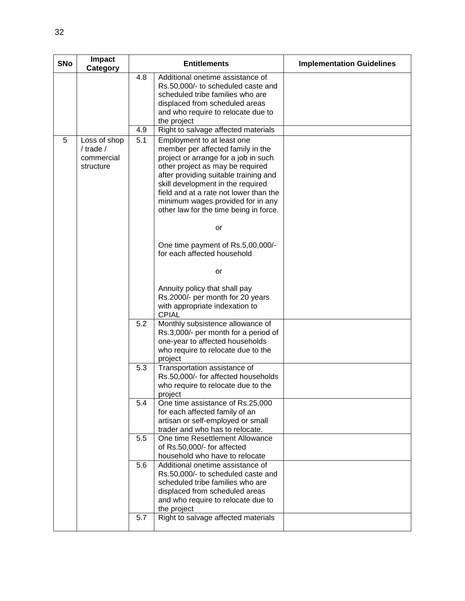| <b>SNo</b> | Impact<br>Category                                       |            | <b>Entitlements</b>                                                                                                                                                                                                                                                                                                                                | <b>Implementation Guidelines</b> |
|------------|----------------------------------------------------------|------------|----------------------------------------------------------------------------------------------------------------------------------------------------------------------------------------------------------------------------------------------------------------------------------------------------------------------------------------------------|----------------------------------|
|            |                                                          | 4.8        | Additional onetime assistance of<br>Rs.50,000/- to scheduled caste and<br>scheduled tribe families who are<br>displaced from scheduled areas<br>and who require to relocate due to<br>the project                                                                                                                                                  |                                  |
|            |                                                          | 4.9        | Right to salvage affected materials                                                                                                                                                                                                                                                                                                                |                                  |
| 5          | Loss of shop<br>$/$ trade $/$<br>commercial<br>structure | 5.1        | Employment to at least one<br>member per affected family in the<br>project or arrange for a job in such<br>other project as may be required<br>after providing suitable training and<br>skill development in the required<br>field and at a rate not lower than the<br>minimum wages provided for in any<br>other law for the time being in force. |                                  |
|            |                                                          |            | or                                                                                                                                                                                                                                                                                                                                                 |                                  |
|            |                                                          |            | One time payment of Rs.5,00,000/-<br>for each affected household                                                                                                                                                                                                                                                                                   |                                  |
|            |                                                          |            | or                                                                                                                                                                                                                                                                                                                                                 |                                  |
|            |                                                          |            | Annuity policy that shall pay<br>Rs.2000/- per month for 20 years<br>with appropriate indexation to<br><b>CPIAL</b>                                                                                                                                                                                                                                |                                  |
|            |                                                          | 5.2        | Monthly subsistence allowance of<br>Rs.3,000/- per month for a period of<br>one-year to affected households<br>who require to relocate due to the<br>project                                                                                                                                                                                       |                                  |
|            |                                                          | 5.3        | Transportation assistance of<br>Rs.50,000/- for affected households<br>who require to relocate due to the<br>project                                                                                                                                                                                                                               |                                  |
|            |                                                          | 5.4        | One time assistance of Rs.25,000<br>for each affected family of an<br>artisan or self-employed or small<br>trader and who has to relocate.                                                                                                                                                                                                         |                                  |
|            |                                                          | 5.5        | One time Resettlement Allowance<br>of Rs.50,000/- for affected<br>household who have to relocate                                                                                                                                                                                                                                                   |                                  |
|            |                                                          | 5.6<br>5.7 | Additional onetime assistance of<br>Rs.50,000/- to scheduled caste and<br>scheduled tribe families who are<br>displaced from scheduled areas<br>and who require to relocate due to<br>the project<br>Right to salvage affected materials                                                                                                           |                                  |
|            |                                                          |            |                                                                                                                                                                                                                                                                                                                                                    |                                  |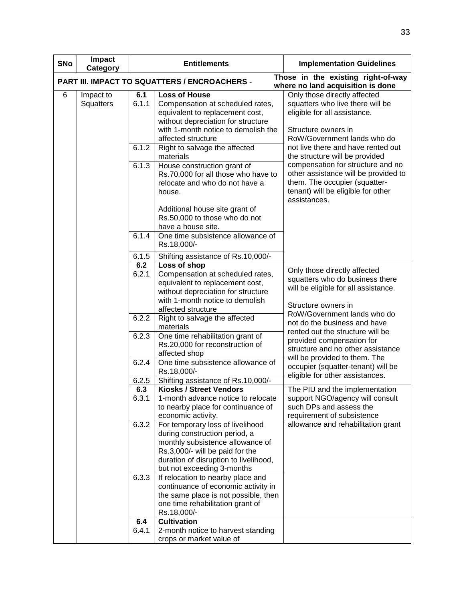| <b>SNo</b> | Impact<br>Category     |              | <b>Entitlements</b>                                                                                                                                                                                             | <b>Implementation Guidelines</b>                                                                                                                                 |  |  |  |  |
|------------|------------------------|--------------|-----------------------------------------------------------------------------------------------------------------------------------------------------------------------------------------------------------------|------------------------------------------------------------------------------------------------------------------------------------------------------------------|--|--|--|--|
|            |                        |              | PART III. IMPACT TO SQUATTERS / ENCROACHERS -                                                                                                                                                                   | Those in the existing right-of-way<br>where no land acquisition is done                                                                                          |  |  |  |  |
| 6          | Impact to<br>Squatters | 6.1<br>6.1.1 | <b>Loss of House</b><br>Compensation at scheduled rates,<br>equivalent to replacement cost,<br>without depreciation for structure<br>with 1-month notice to demolish the<br>affected structure                  | Only those directly affected<br>squatters who live there will be<br>eligible for all assistance.<br>Structure owners in<br>RoW/Government lands who do           |  |  |  |  |
|            |                        | 6.1.2        | Right to salvage the affected<br>materials                                                                                                                                                                      | not live there and have rented out<br>the structure will be provided                                                                                             |  |  |  |  |
|            |                        | 6.1.3        | House construction grant of<br>Rs.70,000 for all those who have to<br>relocate and who do not have a<br>house.                                                                                                  | compensation for structure and no<br>other assistance will be provided to<br>them. The occupier (squatter-<br>tenant) will be eligible for other<br>assistances. |  |  |  |  |
|            |                        |              | Additional house site grant of<br>Rs.50,000 to those who do not<br>have a house site.                                                                                                                           |                                                                                                                                                                  |  |  |  |  |
|            |                        | 6.1.4        | One time subsistence allowance of<br>Rs.18,000/-                                                                                                                                                                |                                                                                                                                                                  |  |  |  |  |
|            |                        | 6.1.5        | Shifting assistance of Rs.10,000/-                                                                                                                                                                              |                                                                                                                                                                  |  |  |  |  |
|            |                        | 6.2          | Loss of shop                                                                                                                                                                                                    |                                                                                                                                                                  |  |  |  |  |
|            |                        |              | Compensation at scheduled rates,<br>equivalent to replacement cost,<br>without depreciation for structure                                                                                                       | Only those directly affected<br>squatters who do business there<br>will be eligible for all assistance.                                                          |  |  |  |  |
|            |                        | 6.2.2        | with 1-month notice to demolish<br>affected structure                                                                                                                                                           | Structure owners in<br>RoW/Government lands who do                                                                                                               |  |  |  |  |
|            |                        |              | Right to salvage the affected<br>materials                                                                                                                                                                      | not do the business and have<br>rented out the structure will be                                                                                                 |  |  |  |  |
|            |                        | 6.2.3        | One time rehabilitation grant of<br>Rs.20,000 for reconstruction of<br>affected shop                                                                                                                            | provided compensation for<br>structure and no other assistance<br>will be provided to them. The                                                                  |  |  |  |  |
|            |                        | 6.2.4        | One time subsistence allowance of<br>Rs.18,000/-                                                                                                                                                                | occupier (squatter-tenant) will be<br>eligible for other assistances.                                                                                            |  |  |  |  |
|            |                        | 6.2.5        | Shifting assistance of Rs.10,000/-                                                                                                                                                                              |                                                                                                                                                                  |  |  |  |  |
|            |                        | 6.3<br>6.3.1 | <b>Kiosks / Street Vendors</b><br>1-month advance notice to relocate<br>to nearby place for continuance of<br>economic activity.                                                                                | The PIU and the implementation<br>support NGO/agency will consult<br>such DPs and assess the<br>requirement of subsistence                                       |  |  |  |  |
|            |                        | 6.3.2        | For temporary loss of livelihood<br>during construction period, a<br>monthly subsistence allowance of<br>Rs.3,000/- will be paid for the<br>duration of disruption to livelihood,<br>but not exceeding 3-months | allowance and rehabilitation grant                                                                                                                               |  |  |  |  |
|            |                        | 6.3.3        | If relocation to nearby place and<br>continuance of economic activity in<br>the same place is not possible, then<br>one time rehabilitation grant of<br>Rs.18,000/-                                             |                                                                                                                                                                  |  |  |  |  |
|            |                        | 6.4          | <b>Cultivation</b>                                                                                                                                                                                              |                                                                                                                                                                  |  |  |  |  |
|            |                        | 6.4.1        | 2-month notice to harvest standing<br>crops or market value of                                                                                                                                                  |                                                                                                                                                                  |  |  |  |  |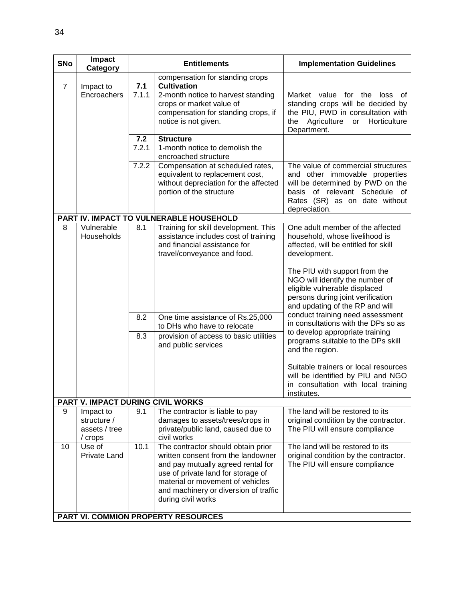| <b>SNo</b>     | Impact<br>Category                                   |                   | <b>Entitlements</b>                                                                                                                                                                                                                                                             | <b>Implementation Guidelines</b>                                                                                                                                                                                                                                                                                                                                                                                                                                                                                                                                                                                  |
|----------------|------------------------------------------------------|-------------------|---------------------------------------------------------------------------------------------------------------------------------------------------------------------------------------------------------------------------------------------------------------------------------|-------------------------------------------------------------------------------------------------------------------------------------------------------------------------------------------------------------------------------------------------------------------------------------------------------------------------------------------------------------------------------------------------------------------------------------------------------------------------------------------------------------------------------------------------------------------------------------------------------------------|
|                |                                                      |                   | compensation for standing crops                                                                                                                                                                                                                                                 |                                                                                                                                                                                                                                                                                                                                                                                                                                                                                                                                                                                                                   |
| $\overline{7}$ | Impact to<br>Encroachers                             | 7.1<br>7.1.1      | <b>Cultivation</b><br>2-month notice to harvest standing<br>crops or market value of<br>compensation for standing crops, if<br>notice is not given.                                                                                                                             | Market value for the<br>loss<br>of<br>standing crops will be decided by<br>the PIU, PWD in consultation with<br>Agriculture<br>Horticulture<br>the<br>or<br>Department.                                                                                                                                                                                                                                                                                                                                                                                                                                           |
|                |                                                      | 7.2<br>7.2.1      | <b>Structure</b><br>1-month notice to demolish the<br>encroached structure                                                                                                                                                                                                      |                                                                                                                                                                                                                                                                                                                                                                                                                                                                                                                                                                                                                   |
|                |                                                      | 7.2.2             | Compensation at scheduled rates,<br>equivalent to replacement cost,<br>without depreciation for the affected<br>portion of the structure                                                                                                                                        | The value of commercial structures<br>and other immovable properties<br>will be determined by PWD on the<br>basis of relevant Schedule of<br>Rates (SR) as on date without<br>depreciation.                                                                                                                                                                                                                                                                                                                                                                                                                       |
|                |                                                      |                   | PART IV. IMPACT TO VULNERABLE HOUSEHOLD                                                                                                                                                                                                                                         |                                                                                                                                                                                                                                                                                                                                                                                                                                                                                                                                                                                                                   |
| 8              | Vulnerable<br>Households                             | 8.1<br>8.2<br>8.3 | Training for skill development. This<br>assistance includes cost of training<br>and financial assistance for<br>travel/conveyance and food.<br>One time assistance of Rs.25,000<br>to DHs who have to relocate<br>provision of access to basic utilities<br>and public services | One adult member of the affected<br>household, whose livelihood is<br>affected, will be entitled for skill<br>development.<br>The PIU with support from the<br>NGO will identify the number of<br>eligible vulnerable displaced<br>persons during joint verification<br>and updating of the RP and will<br>conduct training need assessment<br>in consultations with the DPs so as<br>to develop appropriate training<br>programs suitable to the DPs skill<br>and the region.<br>Suitable trainers or local resources<br>will be identified by PIU and NGO<br>in consultation with local training<br>institutes. |
|                | PART V. IMPACT DURING CIVIL WORKS                    |                   |                                                                                                                                                                                                                                                                                 |                                                                                                                                                                                                                                                                                                                                                                                                                                                                                                                                                                                                                   |
| 9              | Impact to<br>structure /<br>assets / tree<br>/ crops | 9.1               | The contractor is liable to pay<br>damages to assets/trees/crops in<br>private/public land, caused due to<br>civil works                                                                                                                                                        | The land will be restored to its<br>original condition by the contractor.<br>The PIU will ensure compliance                                                                                                                                                                                                                                                                                                                                                                                                                                                                                                       |
| 10             | Use of<br>Private Land                               | 10.1              | The contractor should obtain prior<br>written consent from the landowner<br>and pay mutually agreed rental for<br>use of private land for storage of<br>material or movement of vehicles<br>and machinery or diversion of traffic<br>during civil works                         | The land will be restored to its<br>original condition by the contractor.<br>The PIU will ensure compliance                                                                                                                                                                                                                                                                                                                                                                                                                                                                                                       |
|                |                                                      |                   | PART VI. COMMION PROPERTY RESOURCES                                                                                                                                                                                                                                             |                                                                                                                                                                                                                                                                                                                                                                                                                                                                                                                                                                                                                   |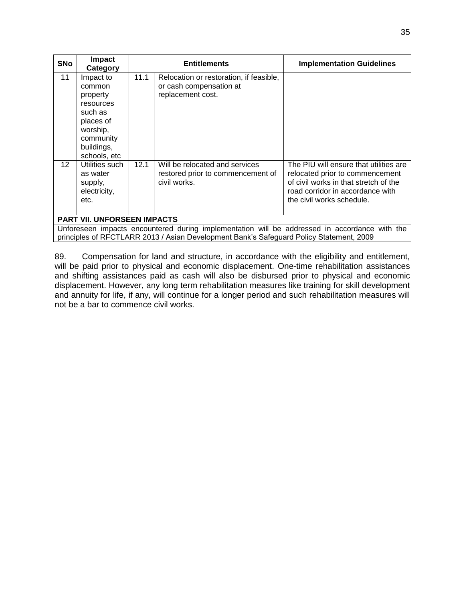| <b>SNo</b>      | <b>Impact</b><br>Category                                                                                   |      | <b>Entitlements</b>                                                                                                                                                                      | <b>Implementation Guidelines</b>                                                                                                                                                    |
|-----------------|-------------------------------------------------------------------------------------------------------------|------|------------------------------------------------------------------------------------------------------------------------------------------------------------------------------------------|-------------------------------------------------------------------------------------------------------------------------------------------------------------------------------------|
| 11              | Impact to<br>common<br>property<br>resources<br>such as<br>places of<br>worship,<br>community<br>buildings, | 11.1 | Relocation or restoration, if feasible,<br>or cash compensation at<br>replacement cost.                                                                                                  |                                                                                                                                                                                     |
| 12 <sup>2</sup> | schools, etc<br>Utilities such<br>as water<br>supply,<br>electricity,<br>etc.                               | 12.1 | Will be relocated and services<br>restored prior to commencement of<br>civil works.                                                                                                      | The PIU will ensure that utilities are<br>relocated prior to commencement<br>of civil works in that stretch of the<br>road corridor in accordance with<br>the civil works schedule. |
|                 | <b>PART VII. UNFORSEEN IMPACTS</b>                                                                          |      |                                                                                                                                                                                          |                                                                                                                                                                                     |
|                 |                                                                                                             |      | Unforeseen impacts encountered during implementation will be addressed in accordance with the<br>principles of RFCTLARR 2013 / Asian Development Bank's Safeguard Policy Statement, 2009 |                                                                                                                                                                                     |

89. Compensation for land and structure, in accordance with the eligibility and entitlement, will be paid prior to physical and economic displacement. One-time rehabilitation assistances and shifting assistances paid as cash will also be disbursed prior to physical and economic displacement. However, any long term rehabilitation measures like training for skill development and annuity for life, if any, will continue for a longer period and such rehabilitation measures will not be a bar to commence civil works.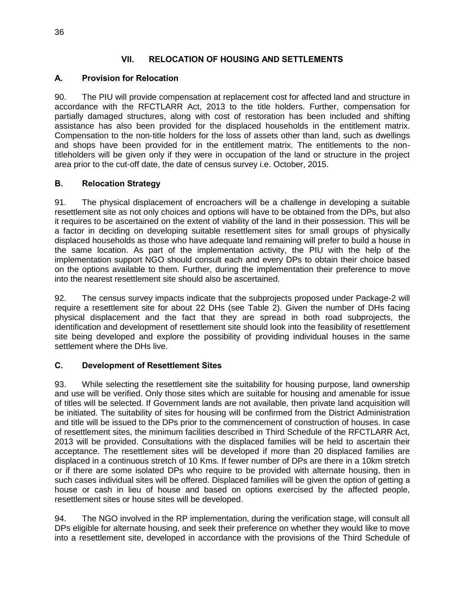#### **VII. RELOCATION OF HOUSING AND SETTLEMENTS**

#### **A. Provision for Relocation**

90. The PIU will provide compensation at replacement cost for affected land and structure in accordance with the RFCTLARR Act, 2013 to the title holders. Further, compensation for partially damaged structures, along with cost of restoration has been included and shifting assistance has also been provided for the displaced households in the entitlement matrix. Compensation to the non-title holders for the loss of assets other than land, such as dwellings and shops have been provided for in the entitlement matrix. The entitlements to the nontitleholders will be given only if they were in occupation of the land or structure in the project area prior to the cut-off date, the date of census survey i.e. October, 2015.

#### **B. Relocation Strategy**

91. The physical displacement of encroachers will be a challenge in developing a suitable resettlement site as not only choices and options will have to be obtained from the DPs, but also it requires to be ascertained on the extent of viability of the land in their possession. This will be a factor in deciding on developing suitable resettlement sites for small groups of physically displaced households as those who have adequate land remaining will prefer to build a house in the same location. As part of the implementation activity, the PIU with the help of the implementation support NGO should consult each and every DPs to obtain their choice based on the options available to them. Further, during the implementation their preference to move into the nearest resettlement site should also be ascertained.

92. The census survey impacts indicate that the subprojects proposed under Package-2 will require a resettlement site for about 22 DHs (see Table 2). Given the number of DHs facing physical displacement and the fact that they are spread in both road subprojects, the identification and development of resettlement site should look into the feasibility of resettlement site being developed and explore the possibility of providing individual houses in the same settlement where the DHs live.

#### **C. Development of Resettlement Sites**

93. While selecting the resettlement site the suitability for housing purpose, land ownership and use will be verified. Only those sites which are suitable for housing and amenable for issue of titles will be selected. If Government lands are not available, then private land acquisition will be initiated. The suitability of sites for housing will be confirmed from the District Administration and title will be issued to the DPs prior to the commencement of construction of houses. In case of resettlement sites, the minimum facilities described in Third Schedule of the RFCTLARR Act, 2013 will be provided. Consultations with the displaced families will be held to ascertain their acceptance. The resettlement sites will be developed if more than 20 displaced families are displaced in a continuous stretch of 10 Kms. If fewer number of DPs are there in a 10km stretch or if there are some isolated DPs who require to be provided with alternate housing, then in such cases individual sites will be offered. Displaced families will be given the option of getting a house or cash in lieu of house and based on options exercised by the affected people, resettlement sites or house sites will be developed.

94. The NGO involved in the RP implementation, during the verification stage, will consult all DPs eligible for alternate housing, and seek their preference on whether they would like to move into a resettlement site, developed in accordance with the provisions of the Third Schedule of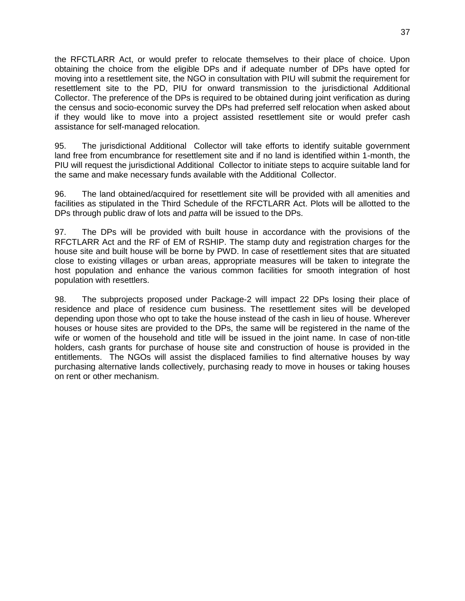the RFCTLARR Act, or would prefer to relocate themselves to their place of choice. Upon obtaining the choice from the eligible DPs and if adequate number of DPs have opted for moving into a resettlement site, the NGO in consultation with PIU will submit the requirement for resettlement site to the PD, PIU for onward transmission to the jurisdictional Additional Collector. The preference of the DPs is required to be obtained during joint verification as during the census and socio-economic survey the DPs had preferred self relocation when asked about if they would like to move into a project assisted resettlement site or would prefer cash assistance for self-managed relocation.

95. The jurisdictional Additional Collector will take efforts to identify suitable government land free from encumbrance for resettlement site and if no land is identified within 1-month, the PIU will request the jurisdictional Additional Collector to initiate steps to acquire suitable land for the same and make necessary funds available with the Additional Collector.

96. The land obtained/acquired for resettlement site will be provided with all amenities and facilities as stipulated in the Third Schedule of the RFCTLARR Act. Plots will be allotted to the DPs through public draw of lots and *patta* will be issued to the DPs.

97. The DPs will be provided with built house in accordance with the provisions of the RFCTLARR Act and the RF of EM of RSHIP. The stamp duty and registration charges for the house site and built house will be borne by PWD. In case of resettlement sites that are situated close to existing villages or urban areas, appropriate measures will be taken to integrate the host population and enhance the various common facilities for smooth integration of host population with resettlers.

98. The subprojects proposed under Package-2 will impact 22 DPs losing their place of residence and place of residence cum business. The resettlement sites will be developed depending upon those who opt to take the house instead of the cash in lieu of house. Wherever houses or house sites are provided to the DPs, the same will be registered in the name of the wife or women of the household and title will be issued in the joint name. In case of non-title holders, cash grants for purchase of house site and construction of house is provided in the entitlements. The NGOs will assist the displaced families to find alternative houses by way purchasing alternative lands collectively, purchasing ready to move in houses or taking houses on rent or other mechanism.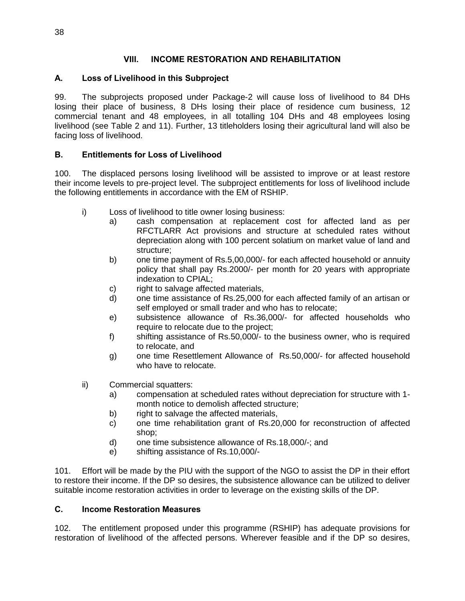#### **VIII. INCOME RESTORATION AND REHABILITATION**

#### **A. Loss of Livelihood in this Subproject**

99. The subprojects proposed under Package-2 will cause loss of livelihood to 84 DHs losing their place of business, 8 DHs losing their place of residence cum business, 12 commercial tenant and 48 employees, in all totalling 104 DHs and 48 employees losing livelihood (see Table 2 and 11). Further, 13 titleholders losing their agricultural land will also be facing loss of livelihood.

#### **B. Entitlements for Loss of Livelihood**

100. The displaced persons losing livelihood will be assisted to improve or at least restore their income levels to pre-project level. The subproject entitlements for loss of livelihood include the following entitlements in accordance with the EM of RSHIP.

- i) Loss of livelihood to title owner losing business:
	- a) cash compensation at replacement cost for affected land as per RFCTLARR Act provisions and structure at scheduled rates without depreciation along with 100 percent solatium on market value of land and structure;
	- b) one time payment of Rs.5,00,000/- for each affected household or annuity policy that shall pay Rs.2000/- per month for 20 years with appropriate indexation to CPIAL;
	- c) right to salvage affected materials,
	- d) one time assistance of Rs.25,000 for each affected family of an artisan or self employed or small trader and who has to relocate;
	- e) subsistence allowance of Rs.36,000/- for affected households who require to relocate due to the project;
	- f) shifting assistance of Rs.50,000/- to the business owner, who is required to relocate, and
	- g) one time Resettlement Allowance of Rs.50,000/- for affected household who have to relocate.
- ii) Commercial squatters:
	- a) compensation at scheduled rates without depreciation for structure with 1 month notice to demolish affected structure;
	- b) right to salvage the affected materials,
	- c) one time rehabilitation grant of Rs.20,000 for reconstruction of affected shop;
	- d) one time subsistence allowance of Rs.18,000/-; and
	- e) shifting assistance of Rs.10,000/-

101. Effort will be made by the PIU with the support of the NGO to assist the DP in their effort to restore their income. If the DP so desires, the subsistence allowance can be utilized to deliver suitable income restoration activities in order to leverage on the existing skills of the DP.

#### **C. Income Restoration Measures**

102. The entitlement proposed under this programme (RSHIP) has adequate provisions for restoration of livelihood of the affected persons. Wherever feasible and if the DP so desires,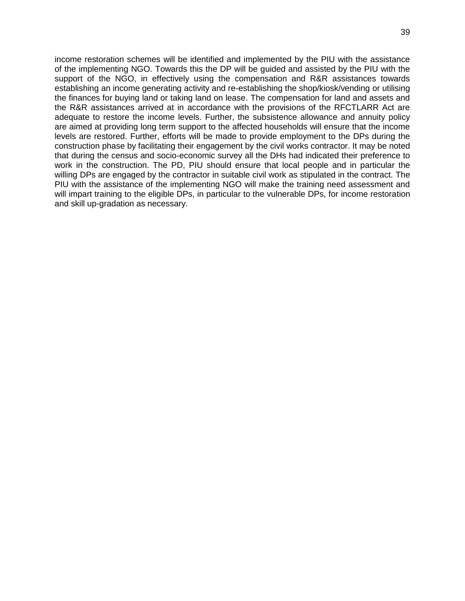income restoration schemes will be identified and implemented by the PIU with the assistance of the implementing NGO. Towards this the DP will be guided and assisted by the PIU with the support of the NGO, in effectively using the compensation and R&R assistances towards establishing an income generating activity and re-establishing the shop/kiosk/vending or utilising the finances for buying land or taking land on lease. The compensation for land and assets and the R&R assistances arrived at in accordance with the provisions of the RFCTLARR Act are adequate to restore the income levels. Further, the subsistence allowance and annuity policy are aimed at providing long term support to the affected households will ensure that the income levels are restored. Further, efforts will be made to provide employment to the DPs during the construction phase by facilitating their engagement by the civil works contractor. It may be noted that during the census and socio-economic survey all the DHs had indicated their preference to work in the construction. The PD, PIU should ensure that local people and in particular the willing DPs are engaged by the contractor in suitable civil work as stipulated in the contract. The PIU with the assistance of the implementing NGO will make the training need assessment and will impart training to the eligible DPs, in particular to the vulnerable DPs, for income restoration and skill up-gradation as necessary.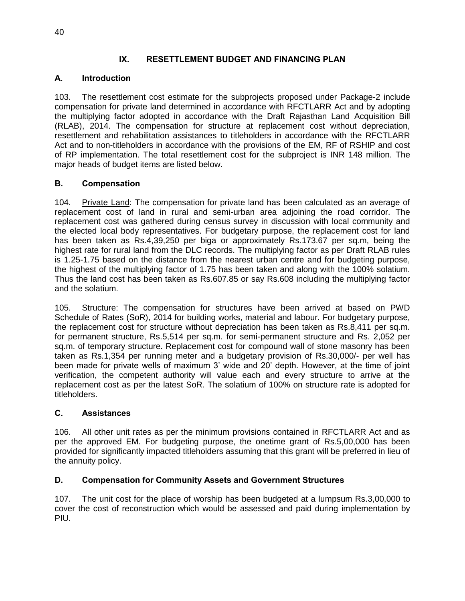#### **IX. RESETTLEMENT BUDGET AND FINANCING PLAN**

## **A. Introduction**

103. The resettlement cost estimate for the subprojects proposed under Package-2 include compensation for private land determined in accordance with RFCTLARR Act and by adopting the multiplying factor adopted in accordance with the Draft Rajasthan Land Acquisition Bill (RLAB), 2014. The compensation for structure at replacement cost without depreciation, resettlement and rehabilitation assistances to titleholders in accordance with the RFCTLARR Act and to non-titleholders in accordance with the provisions of the EM, RF of RSHIP and cost of RP implementation. The total resettlement cost for the subproject is INR 148 million. The major heads of budget items are listed below.

#### **B. Compensation**

104. Private Land: The compensation for private land has been calculated as an average of replacement cost of land in rural and semi-urban area adjoining the road corridor. The replacement cost was gathered during census survey in discussion with local community and the elected local body representatives. For budgetary purpose, the replacement cost for land has been taken as Rs.4,39,250 per biga or approximately Rs.173.67 per sq.m, being the highest rate for rural land from the DLC records. The multiplying factor as per Draft RLAB rules is 1.25-1.75 based on the distance from the nearest urban centre and for budgeting purpose, the highest of the multiplying factor of 1.75 has been taken and along with the 100% solatium. Thus the land cost has been taken as Rs.607.85 or say Rs.608 including the multiplying factor and the solatium.

105. Structure: The compensation for structures have been arrived at based on PWD Schedule of Rates (SoR), 2014 for building works, material and labour. For budgetary purpose, the replacement cost for structure without depreciation has been taken as Rs.8,411 per sq.m. for permanent structure, Rs.5,514 per sq.m. for semi-permanent structure and Rs. 2,052 per sq.m. of temporary structure. Replacement cost for compound wall of stone masonry has been taken as Rs.1,354 per running meter and a budgetary provision of Rs.30,000/- per well has been made for private wells of maximum 3' wide and 20' depth. However, at the time of joint verification, the competent authority will value each and every structure to arrive at the replacement cost as per the latest SoR. The solatium of 100% on structure rate is adopted for titleholders.

#### **C. Assistances**

106. All other unit rates as per the minimum provisions contained in RFCTLARR Act and as per the approved EM. For budgeting purpose, the onetime grant of Rs.5,00,000 has been provided for significantly impacted titleholders assuming that this grant will be preferred in lieu of the annuity policy.

## **D. Compensation for Community Assets and Government Structures**

107. The unit cost for the place of worship has been budgeted at a lumpsum Rs.3,00,000 to cover the cost of reconstruction which would be assessed and paid during implementation by PIU.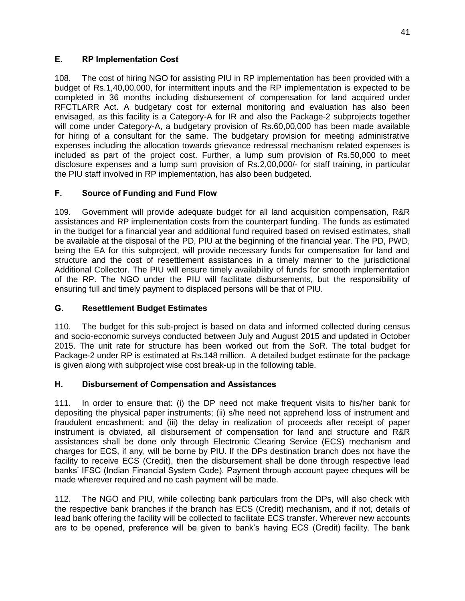### **E. RP Implementation Cost**

108. The cost of hiring NGO for assisting PIU in RP implementation has been provided with a budget of Rs.1,40,00,000, for intermittent inputs and the RP implementation is expected to be completed in 36 months including disbursement of compensation for land acquired under RFCTLARR Act. A budgetary cost for external monitoring and evaluation has also been envisaged, as this facility is a Category-A for IR and also the Package-2 subprojects together will come under Category-A, a budgetary provision of Rs.60,00,000 has been made available for hiring of a consultant for the same. The budgetary provision for meeting administrative expenses including the allocation towards grievance redressal mechanism related expenses is included as part of the project cost. Further, a lump sum provision of Rs.50,000 to meet disclosure expenses and a lump sum provision of Rs.2,00,000/- for staff training, in particular the PIU staff involved in RP implementation, has also been budgeted.

## **F. Source of Funding and Fund Flow**

109. Government will provide adequate budget for all land acquisition compensation, R&R assistances and RP implementation costs from the counterpart funding. The funds as estimated in the budget for a financial year and additional fund required based on revised estimates, shall be available at the disposal of the PD, PIU at the beginning of the financial year. The PD, PWD, being the EA for this subproject, will provide necessary funds for compensation for land and structure and the cost of resettlement assistances in a timely manner to the jurisdictional Additional Collector. The PIU will ensure timely availability of funds for smooth implementation of the RP. The NGO under the PIU will facilitate disbursements, but the responsibility of ensuring full and timely payment to displaced persons will be that of PIU.

#### **G. Resettlement Budget Estimates**

110. The budget for this sub-project is based on data and informed collected during census and socio-economic surveys conducted between July and August 2015 and updated in October 2015. The unit rate for structure has been worked out from the SoR. The total budget for Package-2 under RP is estimated at Rs.148 million. A detailed budget estimate for the package is given along with subproject wise cost break-up in the following table.

#### **H. Disbursement of Compensation and Assistances**

111. In order to ensure that: (i) the DP need not make frequent visits to his/her bank for depositing the physical paper instruments; (ii) s/he need not apprehend loss of instrument and fraudulent encashment; and (iii) the delay in realization of proceeds after receipt of paper instrument is obviated, all disbursement of compensation for land and structure and R&R assistances shall be done only through Electronic Clearing Service (ECS) mechanism and charges for ECS, if any, will be borne by PIU. If the DPs destination branch does not have the facility to receive ECS (Credit), then the disbursement shall be done through respective lead banks' IFSC (Indian Financial System Code). Payment through account payee cheques will be made wherever required and no cash payment will be made.

112. The NGO and PIU, while collecting bank particulars from the DPs, will also check with the respective bank branches if the branch has ECS (Credit) mechanism, and if not, details of lead bank offering the facility will be collected to facilitate ECS transfer. Wherever new accounts are to be opened, preference will be given to bank's having ECS (Credit) facility. The bank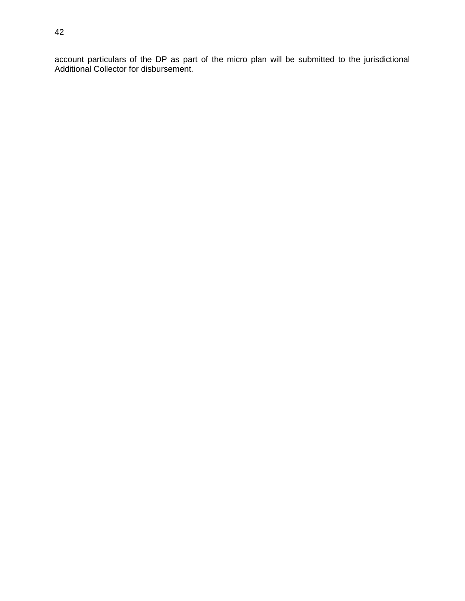account particulars of the DP as part of the micro plan will be submitted to the jurisdictional Additional Collector for disbursement.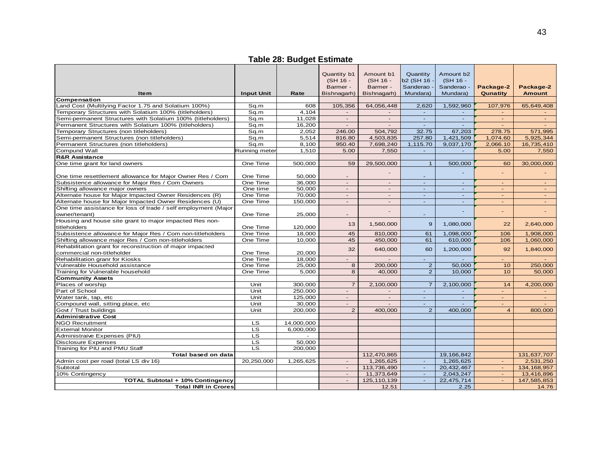# **Table 28: Budget Estimate**

|                                                                |                          |            | Quantity b1              | Amount b1      | Quantity              | Amount b <sub>2</sub> |                          |                          |
|----------------------------------------------------------------|--------------------------|------------|--------------------------|----------------|-----------------------|-----------------------|--------------------------|--------------------------|
|                                                                |                          |            | (SH 16 -                 | (SH 16 -       | b <sub>2</sub> (SH 16 | (SH 16 -              |                          |                          |
|                                                                |                          |            | Barmer -                 | Barmer -       | Sanderao ·            | Sanderao -            | Package-2                | Package-2                |
| <b>Item</b>                                                    | <b>Input Unit</b>        | Rate       | Bishnagarh)              | Bishnagarh)    | Mundara)              | Mundara)              | Qunatity                 | <b>Amount</b>            |
| Compensation                                                   |                          |            |                          |                |                       |                       |                          |                          |
| Land Cost (Multilying Factor 1.75 and Solatium 100%)           | Sq.m                     | 608        | 105,356                  | 64,056,448     | 2,620                 | 1,592,960             | 107,976                  | 65,649,408               |
| Temporary Structures with Solatium 100% (titleholders)         | Sq.m                     | 4,104      |                          |                |                       |                       |                          |                          |
| Semi-permanent Structures with Solatium 100% (titleholders)    | Sq.m                     | 11.028     | $\sim$                   | $\sim$         | $\sim$                | $\sim$                | $\sim$                   | $\sim$                   |
| Permanent Structures with Solatium 100% (titleholders)         | Sq.m                     | 16,200     | $\blacksquare$           | $\sim$         | $\blacksquare$        | $\blacksquare$        | $\overline{\phantom{a}}$ |                          |
| Temporary Structures (non titleholders)                        | Sq.m                     | 2,052      | 246.00                   | 504,792        | 32.75                 | 67,203                | 278.75                   | 571,995                  |
| Semi-permanent Structures (non titleholders)                   | Sq.m                     | 5,514      | 816.80                   | 4,503,835      | 257.80                | 1,421,509             | 1,074.60                 | 5,925,344                |
| Permanent Structures (non titleholders)                        | Sq.m                     | 8,100      | 950.40                   | 7,698,240      | 1,115.70              | 9,037,170             | 2,066.10                 | 16,735,410               |
| Compund Wall                                                   | Running meter            | 1,510      | 5.00                     | 7,550          | $\sim$                | $\omega$              | 5.00                     | 7,550                    |
| <b>R&amp;R Assistance</b>                                      |                          |            |                          |                |                       |                       |                          |                          |
| One time grant for land owners                                 | One Time                 | 500,000    | 59                       | 29,500,000     | $\mathbf{1}$          | 500,000               | 60                       | 30,000,000               |
|                                                                |                          |            |                          |                |                       |                       |                          |                          |
| One time resettlement allowance for Major Owner Res / Com      | One Time                 | 50,000     |                          |                | $\overline{a}$        |                       |                          |                          |
| Subsistence allowance for Major Res / Com Owners               | One Time                 | 36,000     | $\overline{a}$           |                | $\sim$                | $\sim$                |                          | $\overline{\phantom{0}}$ |
| Shifting allowance major owners                                | One time                 | 50,000     | $\overline{a}$           | $\overline{a}$ | $\omega$              | $\omega$              | $\sim$                   | $\blacksquare$           |
| Alternate house for Major Impacted Owner Residences (R)        | One Time                 | 70,000     | $\sim$                   | $\overline{a}$ | $\omega$              | $\omega$              | $\sim$                   | $\sim$                   |
| Alternate house for Major Impacted Owner Residences (U)        | One Time                 | 150,000    | $\overline{\phantom{a}}$ | $\sim$         | ÷.                    | $\sim$                | $\sim$                   | $\sim$                   |
| One time assistance for loss of trade / self employment (Major |                          |            |                          |                |                       |                       |                          |                          |
| owner/tenant)                                                  | One Time                 | 25,000     | $\overline{\phantom{a}}$ |                | $\blacksquare$        |                       |                          |                          |
| Housing and house site grant to major impacted Res non-        |                          |            |                          |                |                       |                       |                          |                          |
| titleholders                                                   | One Time                 | 120,000    | 13                       | 1,560,000      | 9                     | 1,080,000             | 22                       | 2,640,000                |
| Subsistence allowance for Major Res / Com non-titleholders     | One Time                 | 18,000     | 45                       | 810,000        | 61                    | 1,098,000             | 106                      | 1,908,000                |
| Shifting allowance major Res / Com non-titleholders            | One Time                 | 10,000     | 45                       | 450,000        | 61                    | 610,000               | 106                      | 1,060,000                |
| Rehabilitation grant for reconstruction of major impacted      |                          |            |                          |                |                       |                       |                          |                          |
| commercial non-titleholder                                     | One Time                 | 20,000     | 32                       | 640,000        | 60                    | 1,200,000             | 92                       | 1,840,000                |
| Rehabilitation granr for Kiosks                                | One Time                 | 18,000     |                          |                | ÷.                    |                       |                          |                          |
| Vulnerable Household assistance                                | One Time                 | 25,000     | 8                        | 200,000        | $\overline{2}$        | 50,000                | 10                       | 250,000                  |
| Training for Vulnerable household                              | One Time                 | 5,000      | 8                        | 40,000         | $\overline{2}$        | 10,000                | 10                       | 50,000                   |
| <b>Community Assets</b>                                        |                          |            |                          |                |                       |                       |                          |                          |
| Places of worship                                              | Unit                     | 300,000    | $\overline{7}$           | 2,100,000      | $\overline{7}$        | 2,100,000             | 14                       | 4,200,000                |
| Part of School                                                 | Unit                     | 250,000    | $\overline{\phantom{a}}$ |                | $\overline{a}$        |                       | $\sim$                   |                          |
| Water tank, tap, etc                                           | Unit                     | 125,000    | $\sim$                   | $\blacksquare$ | $\sim$                | $\omega$              | $\sim$                   | $\omega_{\rm c}$         |
| Compound wall, sitting place, etc                              | Unit                     | 30,000     | $\overline{\phantom{a}}$ | $\sim$         | $\blacksquare$        | $\sim$                | $\sim$                   |                          |
| Govt / Trust buildings                                         | Unit                     | 200,000    | $\overline{2}$           | 400,000        | $\overline{2}$        | 400,000               | $\overline{4}$           | 800,000                  |
| <b>Administrative Cost</b>                                     |                          |            |                          |                |                       |                       |                          |                          |
| <b>NGO Recruitment</b>                                         | LS.                      | 14,000,000 |                          |                |                       |                       |                          |                          |
| <b>External Monitor</b>                                        | LS                       | 6,000,000  |                          |                |                       |                       |                          |                          |
| Administraive Expenses (PIU)                                   | $\overline{\mathsf{LS}}$ |            |                          |                |                       |                       |                          |                          |
| <b>Disclosure Expenses</b>                                     | LS                       | 50.000     |                          |                |                       |                       |                          |                          |
| Training for PIU and PMU Staff                                 | <b>LS</b>                | 200,000    |                          |                |                       |                       |                          |                          |
| Total based on data                                            |                          |            |                          | 112,470,865    |                       | 19,166,842            |                          | 131,637,707              |
| Admin cost per road (total LS div 16)                          | 20,250,000               | 1,265,625  | $\overline{a}$           | 1,265,625      | $\sim$                | 1,265,625             | $\sim$                   | 2,531,250                |
| Subtotal                                                       |                          |            | $\sim$                   | 113,736,490    | $\sim$                | 20,432,467            | $\sim$                   | 134, 168, 957            |
| 10% Contingency                                                |                          |            |                          | 11,373,649     | $\overline{a}$        | 2,043,247             | $\sim$                   | 13,416,896               |
| <b>TOTAL Subtotal + 10% Contingency</b>                        |                          |            | $\sim$                   | 125, 110, 139  | $\omega$              | 22,475,714            | $\sim$                   | 147,585,853              |
| <b>Total INR in Crores</b>                                     |                          |            |                          | 12.51          |                       | 2.25                  |                          | 14.76                    |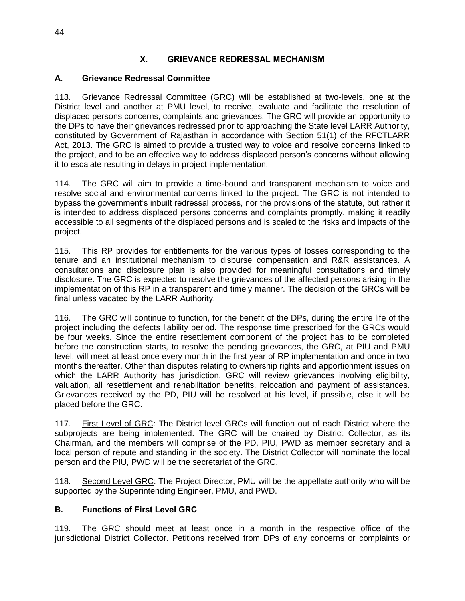#### **X. GRIEVANCE REDRESSAL MECHANISM**

#### **A. Grievance Redressal Committee**

113. Grievance Redressal Committee (GRC) will be established at two-levels, one at the District level and another at PMU level, to receive, evaluate and facilitate the resolution of displaced persons concerns, complaints and grievances. The GRC will provide an opportunity to the DPs to have their grievances redressed prior to approaching the State level LARR Authority, constituted by Government of Rajasthan in accordance with Section 51(1) of the RFCTLARR Act, 2013. The GRC is aimed to provide a trusted way to voice and resolve concerns linked to the project, and to be an effective way to address displaced person's concerns without allowing it to escalate resulting in delays in project implementation.

114. The GRC will aim to provide a time-bound and transparent mechanism to voice and resolve social and environmental concerns linked to the project. The GRC is not intended to bypass the government's inbuilt redressal process, nor the provisions of the statute, but rather it is intended to address displaced persons concerns and complaints promptly, making it readily accessible to all segments of the displaced persons and is scaled to the risks and impacts of the project.

115. This RP provides for entitlements for the various types of losses corresponding to the tenure and an institutional mechanism to disburse compensation and R&R assistances. A consultations and disclosure plan is also provided for meaningful consultations and timely disclosure. The GRC is expected to resolve the grievances of the affected persons arising in the implementation of this RP in a transparent and timely manner. The decision of the GRCs will be final unless vacated by the LARR Authority.

116. The GRC will continue to function, for the benefit of the DPs, during the entire life of the project including the defects liability period. The response time prescribed for the GRCs would be four weeks. Since the entire resettlement component of the project has to be completed before the construction starts, to resolve the pending grievances, the GRC, at PIU and PMU level, will meet at least once every month in the first year of RP implementation and once in two months thereafter. Other than disputes relating to ownership rights and apportionment issues on which the LARR Authority has jurisdiction, GRC will review grievances involving eligibility, valuation, all resettlement and rehabilitation benefits, relocation and payment of assistances. Grievances received by the PD, PIU will be resolved at his level, if possible, else it will be placed before the GRC.

117. First Level of GRC: The District level GRCs will function out of each District where the subprojects are being implemented. The GRC will be chaired by District Collector, as its Chairman, and the members will comprise of the PD, PIU, PWD as member secretary and a local person of repute and standing in the society. The District Collector will nominate the local person and the PIU, PWD will be the secretariat of the GRC.

118. Second Level GRC: The Project Director, PMU will be the appellate authority who will be supported by the Superintending Engineer, PMU, and PWD.

#### **B. Functions of First Level GRC**

119. The GRC should meet at least once in a month in the respective office of the jurisdictional District Collector. Petitions received from DPs of any concerns or complaints or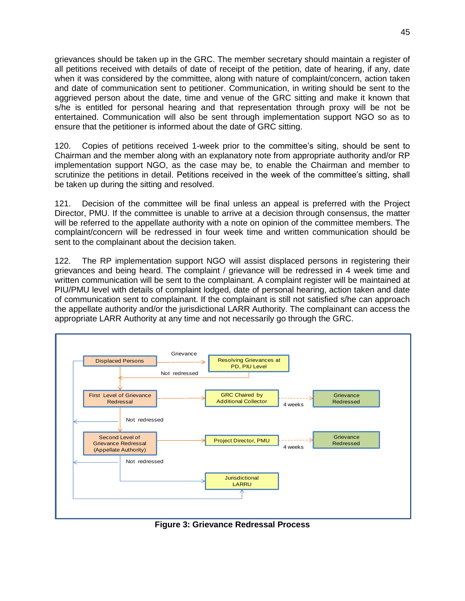grievances should be taken up in the GRC. The member secretary should maintain a register of all petitions received with details of date of receipt of the petition, date of hearing, if any, date when it was considered by the committee, along with nature of complaint/concern, action taken and date of communication sent to petitioner. Communication, in writing should be sent to the aggrieved person about the date, time and venue of the GRC sitting and make it known that s/he is entitled for personal hearing and that representation through proxy will be not be entertained. Communication will also be sent through implementation support NGO so as to ensure that the petitioner is informed about the date of GRC sitting.

120. Copies of petitions received 1-week prior to the committee's siting, should be sent to Chairman and the member along with an explanatory note from appropriate authority and/or RP implementation support NGO, as the case may be, to enable the Chairman and member to scrutinize the petitions in detail. Petitions received in the week of the committee's sitting, shall be taken up during the sitting and resolved.

121. Decision of the committee will be final unless an appeal is preferred with the Project Director, PMU. If the committee is unable to arrive at a decision through consensus, the matter will be referred to the appellate authority with a note on opinion of the committee members. The complaint/concern will be redressed in four week time and written communication should be sent to the complainant about the decision taken.

122. The RP implementation support NGO will assist displaced persons in registering their grievances and being heard. The complaint / grievance will be redressed in 4 week time and written communication will be sent to the complainant. A complaint register will be maintained at PIU/PMU level with details of complaint lodged, date of personal hearing, action taken and date of communication sent to complainant. If the complainant is still not satisfied s/he can approach the appellate authority and/or the jurisdictional LARR Authority. The complainant can access the appropriate LARR Authority at any time and not necessarily go through the GRC.



**Figure 3: Grievance Redressal Process**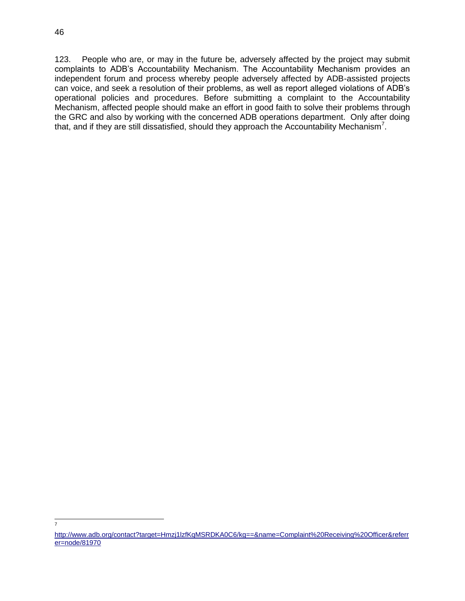7

123. People who are, or may in the future be, adversely affected by the project may submit complaints to ADB's Accountability Mechanism. The Accountability Mechanism provides an independent forum and process whereby people adversely affected by ADB-assisted projects can voice, and seek a resolution of their problems, as well as report alleged violations of ADB's operational policies and procedures. Before submitting a complaint to the Accountability Mechanism, affected people should make an effort in good faith to solve their problems through the GRC and also by working with the concerned ADB operations department. Only after doing that, and if they are still dissatisfied, should they approach the Accountability Mechanism<sup>7</sup>.

[http://www.adb.org/contact?target=Hmzj1lzfKqMSRDKA0C6/kg==&name=Complaint%20Receiving%20Officer&referr](http://www.adb.org/contact?target=Hmzj1lzfKqMSRDKA0C6/kg==&name=Complaint%20Receiving%20Officer&referrer=node/81970) [er=node/81970](http://www.adb.org/contact?target=Hmzj1lzfKqMSRDKA0C6/kg==&name=Complaint%20Receiving%20Officer&referrer=node/81970)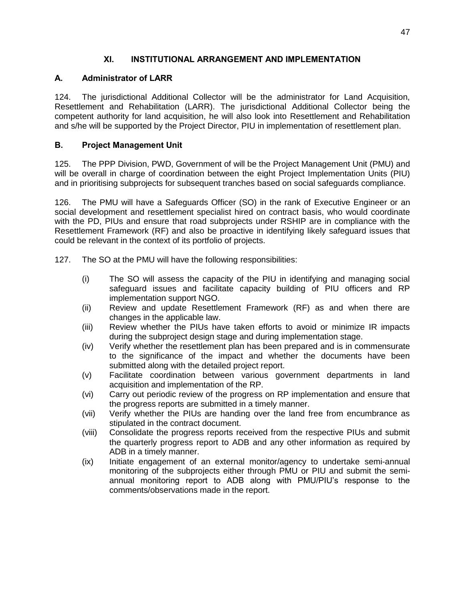#### **XI. INSTITUTIONAL ARRANGEMENT AND IMPLEMENTATION**

#### **A. Administrator of LARR**

124. The jurisdictional Additional Collector will be the administrator for Land Acquisition, Resettlement and Rehabilitation (LARR). The jurisdictional Additional Collector being the competent authority for land acquisition, he will also look into Resettlement and Rehabilitation and s/he will be supported by the Project Director, PIU in implementation of resettlement plan.

#### **B. Project Management Unit**

125. The PPP Division, PWD, Government of will be the Project Management Unit (PMU) and will be overall in charge of coordination between the eight Project Implementation Units (PIU) and in prioritising subprojects for subsequent tranches based on social safeguards compliance.

126. The PMU will have a Safeguards Officer (SO) in the rank of Executive Engineer or an social development and resettlement specialist hired on contract basis, who would coordinate with the PD, PIUs and ensure that road subprojects under RSHIP are in compliance with the Resettlement Framework (RF) and also be proactive in identifying likely safeguard issues that could be relevant in the context of its portfolio of projects.

127. The SO at the PMU will have the following responsibilities:

- (i) The SO will assess the capacity of the PIU in identifying and managing social safeguard issues and facilitate capacity building of PIU officers and RP implementation support NGO.
- (ii) Review and update Resettlement Framework (RF) as and when there are changes in the applicable law.
- (iii) Review whether the PIUs have taken efforts to avoid or minimize IR impacts during the subproject design stage and during implementation stage.
- (iv) Verify whether the resettlement plan has been prepared and is in commensurate to the significance of the impact and whether the documents have been submitted along with the detailed project report.
- (v) Facilitate coordination between various government departments in land acquisition and implementation of the RP.
- (vi) Carry out periodic review of the progress on RP implementation and ensure that the progress reports are submitted in a timely manner.
- (vii) Verify whether the PIUs are handing over the land free from encumbrance as stipulated in the contract document.
- (viii) Consolidate the progress reports received from the respective PIUs and submit the quarterly progress report to ADB and any other information as required by ADB in a timely manner.
- (ix) Initiate engagement of an external monitor/agency to undertake semi-annual monitoring of the subprojects either through PMU or PIU and submit the semiannual monitoring report to ADB along with PMU/PIU's response to the comments/observations made in the report.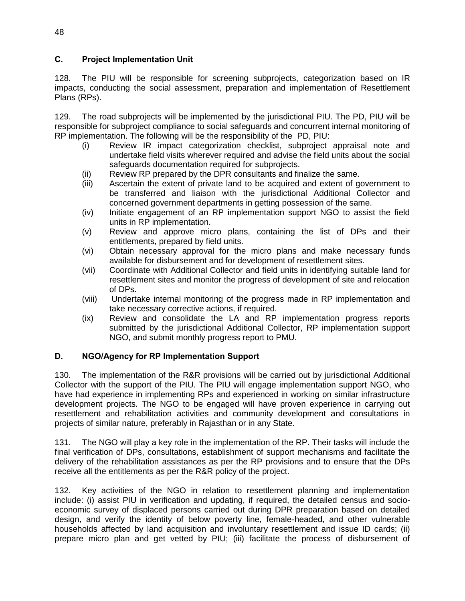#### **C. Project Implementation Unit**

128. The PIU will be responsible for screening subprojects, categorization based on IR impacts, conducting the social assessment, preparation and implementation of Resettlement Plans (RPs).

129. The road subprojects will be implemented by the jurisdictional PIU. The PD, PIU will be responsible for subproject compliance to social safeguards and concurrent internal monitoring of RP implementation. The following will be the responsibility of the PD, PIU:

- (i) Review IR impact categorization checklist, subproject appraisal note and undertake field visits wherever required and advise the field units about the social safeguards documentation required for subprojects.
- (ii) Review RP prepared by the DPR consultants and finalize the same.
- (iii) Ascertain the extent of private land to be acquired and extent of government to be transferred and liaison with the jurisdictional Additional Collector and concerned government departments in getting possession of the same.
- (iv) Initiate engagement of an RP implementation support NGO to assist the field units in RP implementation.
- (v) Review and approve micro plans, containing the list of DPs and their entitlements, prepared by field units.
- (vi) Obtain necessary approval for the micro plans and make necessary funds available for disbursement and for development of resettlement sites.
- (vii) Coordinate with Additional Collector and field units in identifying suitable land for resettlement sites and monitor the progress of development of site and relocation of DPs.
- (viii) Undertake internal monitoring of the progress made in RP implementation and take necessary corrective actions, if required.
- (ix) Review and consolidate the LA and RP implementation progress reports submitted by the jurisdictional Additional Collector, RP implementation support NGO, and submit monthly progress report to PMU.

#### **D. NGO/Agency for RP Implementation Support**

130. The implementation of the R&R provisions will be carried out by jurisdictional Additional Collector with the support of the PIU. The PIU will engage implementation support NGO, who have had experience in implementing RPs and experienced in working on similar infrastructure development projects. The NGO to be engaged will have proven experience in carrying out resettlement and rehabilitation activities and community development and consultations in projects of similar nature, preferably in Rajasthan or in any State.

131. The NGO will play a key role in the implementation of the RP. Their tasks will include the final verification of DPs, consultations, establishment of support mechanisms and facilitate the delivery of the rehabilitation assistances as per the RP provisions and to ensure that the DPs receive all the entitlements as per the R&R policy of the project.

132. Key activities of the NGO in relation to resettlement planning and implementation include: (i) assist PIU in verification and updating, if required, the detailed census and socioeconomic survey of displaced persons carried out during DPR preparation based on detailed design, and verify the identity of below poverty line, female-headed, and other vulnerable households affected by land acquisition and involuntary resettlement and issue ID cards; (ii) prepare micro plan and get vetted by PIU; (iii) facilitate the process of disbursement of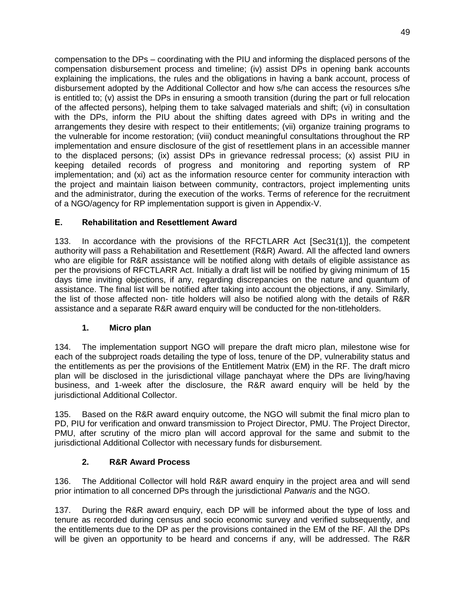compensation to the DPs – coordinating with the PIU and informing the displaced persons of the compensation disbursement process and timeline; (iv) assist DPs in opening bank accounts explaining the implications, the rules and the obligations in having a bank account, process of disbursement adopted by the Additional Collector and how s/he can access the resources s/he is entitled to; (v) assist the DPs in ensuring a smooth transition (during the part or full relocation of the affected persons), helping them to take salvaged materials and shift; (vi) in consultation with the DPs, inform the PIU about the shifting dates agreed with DPs in writing and the arrangements they desire with respect to their entitlements; (vii) organize training programs to the vulnerable for income restoration; (viii) conduct meaningful consultations throughout the RP implementation and ensure disclosure of the gist of resettlement plans in an accessible manner to the displaced persons; (ix) assist DPs in grievance redressal process; (x) assist PIU in keeping detailed records of progress and monitoring and reporting system of RP implementation; and (xi) act as the information resource center for community interaction with the project and maintain liaison between community, contractors, project implementing units and the administrator, during the execution of the works. Terms of reference for the recruitment of a NGO/agency for RP implementation support is given in Appendix-V.

## **E. Rehabilitation and Resettlement Award**

133. In accordance with the provisions of the RFCTLARR Act [Sec31(1)], the competent authority will pass a Rehabilitation and Resettlement (R&R) Award. All the affected land owners who are eligible for R&R assistance will be notified along with details of eligible assistance as per the provisions of RFCTLARR Act. Initially a draft list will be notified by giving minimum of 15 days time inviting objections, if any, regarding discrepancies on the nature and quantum of assistance. The final list will be notified after taking into account the objections, if any. Similarly, the list of those affected non- title holders will also be notified along with the details of R&R assistance and a separate R&R award enquiry will be conducted for the non-titleholders.

#### **1. Micro plan**

134. The implementation support NGO will prepare the draft micro plan, milestone wise for each of the subproject roads detailing the type of loss, tenure of the DP, vulnerability status and the entitlements as per the provisions of the Entitlement Matrix (EM) in the RF. The draft micro plan will be disclosed in the jurisdictional village panchayat where the DPs are living/having business, and 1-week after the disclosure, the R&R award enquiry will be held by the jurisdictional Additional Collector.

135. Based on the R&R award enquiry outcome, the NGO will submit the final micro plan to PD, PIU for verification and onward transmission to Project Director, PMU. The Project Director, PMU, after scrutiny of the micro plan will accord approval for the same and submit to the jurisdictional Additional Collector with necessary funds for disbursement.

## **2. R&R Award Process**

136. The Additional Collector will hold R&R award enquiry in the project area and will send prior intimation to all concerned DPs through the jurisdictional *Patwaris* and the NGO.

137. During the R&R award enquiry, each DP will be informed about the type of loss and tenure as recorded during census and socio economic survey and verified subsequently, and the entitlements due to the DP as per the provisions contained in the EM of the RF. All the DPs will be given an opportunity to be heard and concerns if any, will be addressed. The R&R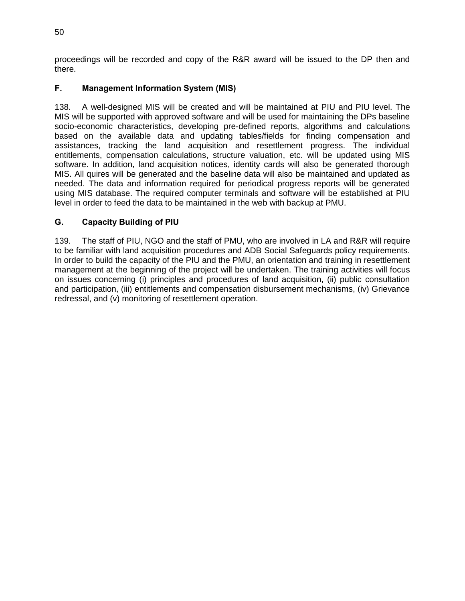proceedings will be recorded and copy of the R&R award will be issued to the DP then and there.

## **F. Management Information System (MIS)**

138. A well-designed MIS will be created and will be maintained at PIU and PIU level. The MIS will be supported with approved software and will be used for maintaining the DPs baseline socio-economic characteristics, developing pre-defined reports, algorithms and calculations based on the available data and updating tables/fields for finding compensation and assistances, tracking the land acquisition and resettlement progress. The individual entitlements, compensation calculations, structure valuation, etc. will be updated using MIS software. In addition, land acquisition notices, identity cards will also be generated thorough MIS. All quires will be generated and the baseline data will also be maintained and updated as needed. The data and information required for periodical progress reports will be generated using MIS database. The required computer terminals and software will be established at PIU level in order to feed the data to be maintained in the web with backup at PMU.

## **G. Capacity Building of PIU**

139. The staff of PIU, NGO and the staff of PMU, who are involved in LA and R&R will require to be familiar with land acquisition procedures and ADB Social Safeguards policy requirements. In order to build the capacity of the PIU and the PMU, an orientation and training in resettlement management at the beginning of the project will be undertaken. The training activities will focus on issues concerning (i) principles and procedures of land acquisition, (ii) public consultation and participation, (iii) entitlements and compensation disbursement mechanisms, (iv) Grievance redressal, and (v) monitoring of resettlement operation.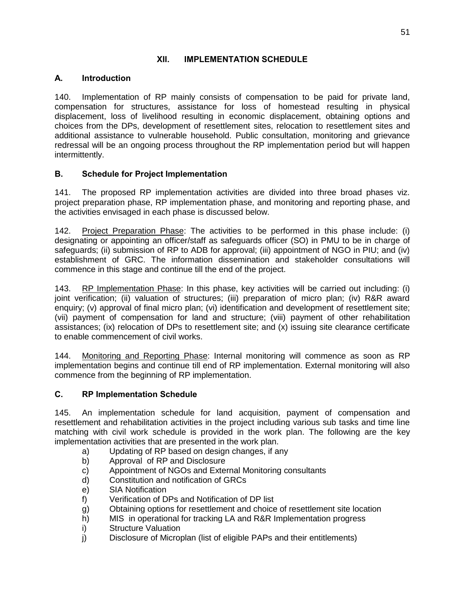#### **XII. IMPLEMENTATION SCHEDULE**

#### **A. Introduction**

140. Implementation of RP mainly consists of compensation to be paid for private land, compensation for structures, assistance for loss of homestead resulting in physical displacement, loss of livelihood resulting in economic displacement, obtaining options and choices from the DPs, development of resettlement sites, relocation to resettlement sites and additional assistance to vulnerable household. Public consultation, monitoring and grievance redressal will be an ongoing process throughout the RP implementation period but will happen intermittently.

#### **B. Schedule for Project Implementation**

141. The proposed RP implementation activities are divided into three broad phases viz. project preparation phase, RP implementation phase, and monitoring and reporting phase, and the activities envisaged in each phase is discussed below.

142. Project Preparation Phase: The activities to be performed in this phase include: (i) designating or appointing an officer/staff as safeguards officer (SO) in PMU to be in charge of safeguards; (ii) submission of RP to ADB for approval; (iii) appointment of NGO in PIU; and (iv) establishment of GRC. The information dissemination and stakeholder consultations will commence in this stage and continue till the end of the project.

143. RP Implementation Phase: In this phase, key activities will be carried out including: (i) joint verification; (ii) valuation of structures; (iii) preparation of micro plan; (iv) R&R award enquiry; (v) approval of final micro plan; (vi) identification and development of resettlement site; (vii) payment of compensation for land and structure; (viii) payment of other rehabilitation assistances; (ix) relocation of DPs to resettlement site; and (x) issuing site clearance certificate to enable commencement of civil works.

144. Monitoring and Reporting Phase: Internal monitoring will commence as soon as RP implementation begins and continue till end of RP implementation. External monitoring will also commence from the beginning of RP implementation.

#### **C. RP Implementation Schedule**

145. An implementation schedule for land acquisition, payment of compensation and resettlement and rehabilitation activities in the project including various sub tasks and time line matching with civil work schedule is provided in the work plan. The following are the key implementation activities that are presented in the work plan.

- a) Updating of RP based on design changes, if any
- b) Approval of RP and Disclosure
- c) Appointment of NGOs and External Monitoring consultants
- d) Constitution and notification of GRCs
- e) SIA Notification
- f) Verification of DPs and Notification of DP list
- g) Obtaining options for resettlement and choice of resettlement site location
- h) MIS in operational for tracking LA and R&R Implementation progress
- i) Structure Valuation
- j) Disclosure of Microplan (list of eligible PAPs and their entitlements)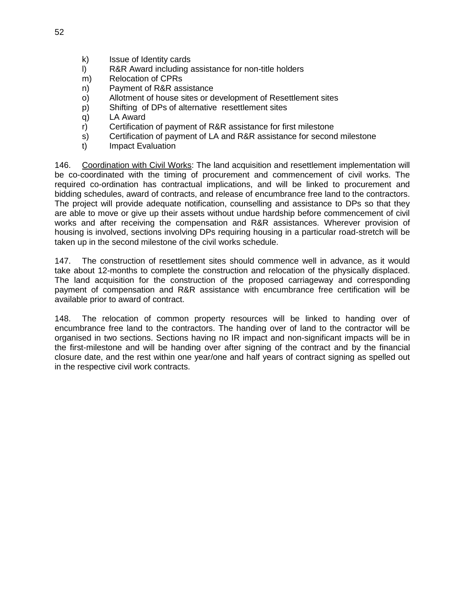- k) Issue of Identity cards
- l) R&R Award including assistance for non-title holders
- m) Relocation of CPRs
- n) Payment of R&R assistance
- o) Allotment of house sites or development of Resettlement sites
- p) Shifting of DPs of alternative resettlement sites
- q) LA Award
- r) Certification of payment of R&R assistance for first milestone
- s) Certification of payment of LA and R&R assistance for second milestone
- t) Impact Evaluation

146. Coordination with Civil Works: The land acquisition and resettlement implementation will be co-coordinated with the timing of procurement and commencement of civil works. The required co-ordination has contractual implications, and will be linked to procurement and bidding schedules, award of contracts, and release of encumbrance free land to the contractors. The project will provide adequate notification, counselling and assistance to DPs so that they are able to move or give up their assets without undue hardship before commencement of civil works and after receiving the compensation and R&R assistances. Wherever provision of housing is involved, sections involving DPs requiring housing in a particular road-stretch will be taken up in the second milestone of the civil works schedule.

147. The construction of resettlement sites should commence well in advance, as it would take about 12-months to complete the construction and relocation of the physically displaced. The land acquisition for the construction of the proposed carriageway and corresponding payment of compensation and R&R assistance with encumbrance free certification will be available prior to award of contract.

148. The relocation of common property resources will be linked to handing over of encumbrance free land to the contractors. The handing over of land to the contractor will be organised in two sections. Sections having no IR impact and non-significant impacts will be in the first-milestone and will be handing over after signing of the contract and by the financial closure date, and the rest within one year/one and half years of contract signing as spelled out in the respective civil work contracts.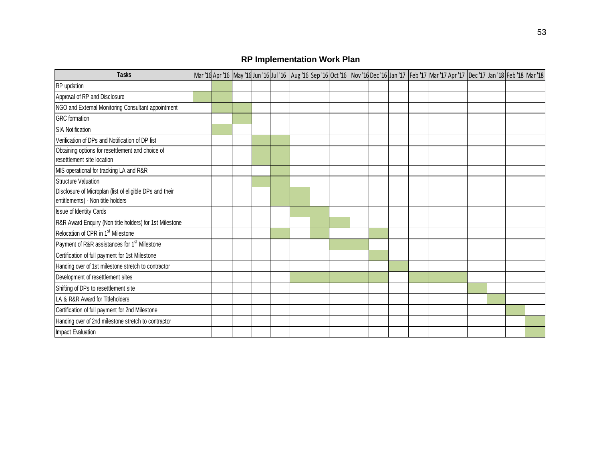# **RP Implementation Work Plan**

| <b>Tasks</b>                                                                                 |  |  |  |  |  |  |  |  | Mar '16 Apr '16 May '16 Jun '16 Jul '16 Aug '16 Sep '16 Oct '16 Nov '16 Dec '16 Jan '17 Feb '17 Mar '17 Apr '17 Dec '17 Jan '18 Feb '18 Mar '18 |  |
|----------------------------------------------------------------------------------------------|--|--|--|--|--|--|--|--|-------------------------------------------------------------------------------------------------------------------------------------------------|--|
| RP updation                                                                                  |  |  |  |  |  |  |  |  |                                                                                                                                                 |  |
| Approval of RP and Disclosure                                                                |  |  |  |  |  |  |  |  |                                                                                                                                                 |  |
| NGO and External Monitoring Consultant appointment                                           |  |  |  |  |  |  |  |  |                                                                                                                                                 |  |
| <b>GRC</b> formation                                                                         |  |  |  |  |  |  |  |  |                                                                                                                                                 |  |
| <b>SIA Notification</b>                                                                      |  |  |  |  |  |  |  |  |                                                                                                                                                 |  |
| Verification of DPs and Notification of DP list                                              |  |  |  |  |  |  |  |  |                                                                                                                                                 |  |
| Obtaining options for resettlement and choice of<br>resettlement site location               |  |  |  |  |  |  |  |  |                                                                                                                                                 |  |
| MIS operational for tracking LA and R&R                                                      |  |  |  |  |  |  |  |  |                                                                                                                                                 |  |
| <b>Structure Valuation</b>                                                                   |  |  |  |  |  |  |  |  |                                                                                                                                                 |  |
| Disclosure of Microplan (list of eligible DPs and their<br>entitlements) - Non title holders |  |  |  |  |  |  |  |  |                                                                                                                                                 |  |
| Issue of Identity Cards                                                                      |  |  |  |  |  |  |  |  |                                                                                                                                                 |  |
| R&R Award Enquiry (Non title holders) for 1st Milestone                                      |  |  |  |  |  |  |  |  |                                                                                                                                                 |  |
| Relocation of CPR in 1 <sup>st</sup> Milestone                                               |  |  |  |  |  |  |  |  |                                                                                                                                                 |  |
| Payment of R&R assistances for 1 <sup>st</sup> Milestone                                     |  |  |  |  |  |  |  |  |                                                                                                                                                 |  |
| Certification of full payment for 1st Milestone                                              |  |  |  |  |  |  |  |  |                                                                                                                                                 |  |
| Handing over of 1st milestone stretch to contractor                                          |  |  |  |  |  |  |  |  |                                                                                                                                                 |  |
| Development of resettlement sites                                                            |  |  |  |  |  |  |  |  |                                                                                                                                                 |  |
| Shifting of DPs to resettlement site                                                         |  |  |  |  |  |  |  |  |                                                                                                                                                 |  |
| LA & R&R Award for Titleholders                                                              |  |  |  |  |  |  |  |  |                                                                                                                                                 |  |
| Certification of full payment for 2nd Milestone                                              |  |  |  |  |  |  |  |  |                                                                                                                                                 |  |
| Handing over of 2nd milestone stretch to contractor                                          |  |  |  |  |  |  |  |  |                                                                                                                                                 |  |
| Impact Evaluation                                                                            |  |  |  |  |  |  |  |  |                                                                                                                                                 |  |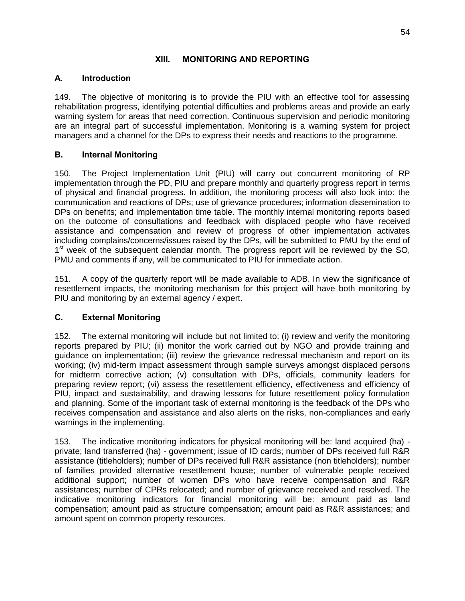#### **XIII. MONITORING AND REPORTING**

#### **A. Introduction**

149. The objective of monitoring is to provide the PIU with an effective tool for assessing rehabilitation progress, identifying potential difficulties and problems areas and provide an early warning system for areas that need correction. Continuous supervision and periodic monitoring are an integral part of successful implementation. Monitoring is a warning system for project managers and a channel for the DPs to express their needs and reactions to the programme.

## **B. Internal Monitoring**

150. The Project Implementation Unit (PIU) will carry out concurrent monitoring of RP implementation through the PD, PIU and prepare monthly and quarterly progress report in terms of physical and financial progress. In addition, the monitoring process will also look into: the communication and reactions of DPs; use of grievance procedures; information dissemination to DPs on benefits; and implementation time table. The monthly internal monitoring reports based on the outcome of consultations and feedback with displaced people who have received assistance and compensation and review of progress of other implementation activates including complains/concerns/issues raised by the DPs, will be submitted to PMU by the end of 1<sup>st</sup> week of the subsequent calendar month. The progress report will be reviewed by the SO, PMU and comments if any, will be communicated to PIU for immediate action.

151. A copy of the quarterly report will be made available to ADB. In view the significance of resettlement impacts, the monitoring mechanism for this project will have both monitoring by PIU and monitoring by an external agency / expert.

#### **C. External Monitoring**

152. The external monitoring will include but not limited to: (i) review and verify the monitoring reports prepared by PIU; (ii) monitor the work carried out by NGO and provide training and guidance on implementation; (iii) review the grievance redressal mechanism and report on its working; (iv) mid-term impact assessment through sample surveys amongst displaced persons for midterm corrective action; (v) consultation with DPs, officials, community leaders for preparing review report; (vi) assess the resettlement efficiency, effectiveness and efficiency of PIU, impact and sustainability, and drawing lessons for future resettlement policy formulation and planning. Some of the important task of external monitoring is the feedback of the DPs who receives compensation and assistance and also alerts on the risks, non-compliances and early warnings in the implementing.

153. The indicative monitoring indicators for physical monitoring will be: land acquired (ha) private; land transferred (ha) - government; issue of ID cards; number of DPs received full R&R assistance (titleholders); number of DPs received full R&R assistance (non titleholders); number of families provided alternative resettlement house; number of vulnerable people received additional support; number of women DPs who have receive compensation and R&R assistances; number of CPRs relocated; and number of grievance received and resolved. The indicative monitoring indicators for financial monitoring will be: amount paid as land compensation; amount paid as structure compensation; amount paid as R&R assistances; and amount spent on common property resources.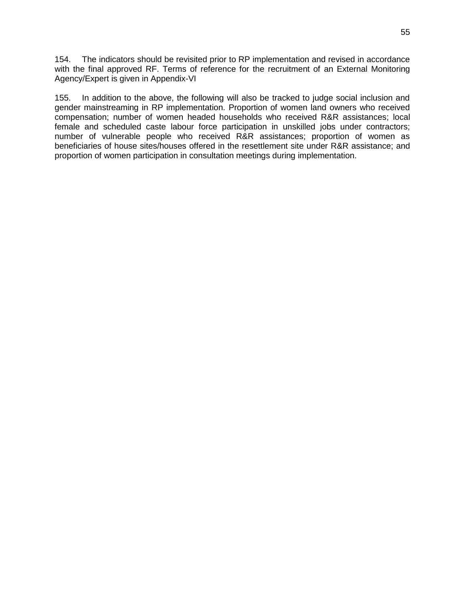154. The indicators should be revisited prior to RP implementation and revised in accordance with the final approved RF. Terms of reference for the recruitment of an External Monitoring Agency/Expert is given in Appendix-VI

155. In addition to the above, the following will also be tracked to judge social inclusion and gender mainstreaming in RP implementation. Proportion of women land owners who received compensation; number of women headed households who received R&R assistances; local female and scheduled caste labour force participation in unskilled jobs under contractors; number of vulnerable people who received R&R assistances; proportion of women as beneficiaries of house sites/houses offered in the resettlement site under R&R assistance; and proportion of women participation in consultation meetings during implementation.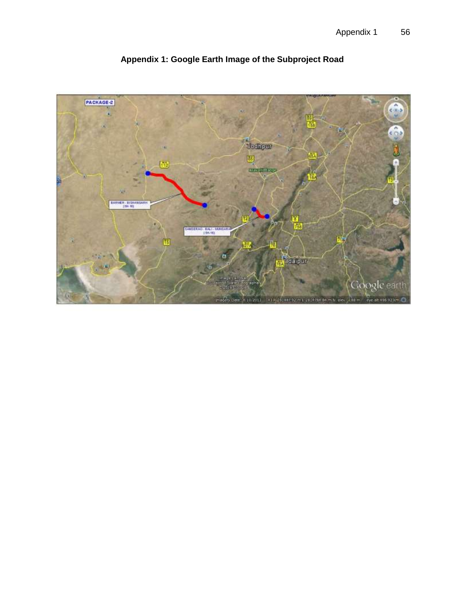

**Appendix 1: Google Earth Image of the Subproject Road**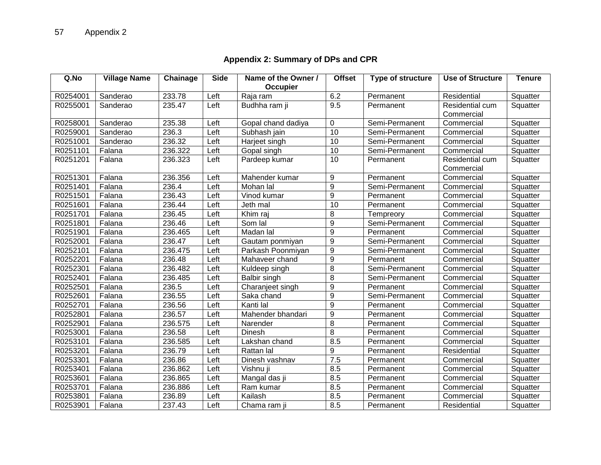# **Appendix 2: Summary of DPs and CPR**

| Q.No     | <b>Village Name</b> | Chainage | <b>Side</b> | Name of the Owner / | <b>Offset</b>    | <b>Type of structure</b> | <b>Use of Structure</b> | <b>Tenure</b> |
|----------|---------------------|----------|-------------|---------------------|------------------|--------------------------|-------------------------|---------------|
|          |                     |          |             | Occupier            |                  |                          |                         |               |
| R0254001 | Sanderao            | 233.78   | Left        | Raja ram            | 6.2              | Permanent                | Residential             | Squatter      |
| R0255001 | Sanderao            | 235.47   | Left        | Budhha ram ji       | 9.5              | Permanent                | Residential cum         | Squatter      |
|          |                     |          |             |                     |                  |                          | Commercial              |               |
| R0258001 | Sanderao            | 235.38   | Left        | Gopal chand dadiya  | 0                | Semi-Permanent           | Commercial              | Squatter      |
| R0259001 | Sanderao            | 236.3    | Left        | Subhash jain        | 10               | Semi-Permanent           | Commercial              | Squatter      |
| R0251001 | Sanderao            | 236.32   | Left        | Harjeet singh       | 10               | Semi-Permanent           | Commercial              | Squatter      |
| R0251101 | Falana              | 236.322  | Left        | 10<br>Gopal singh   |                  | Semi-Permanent           | Commercial              | Squatter      |
| R0251201 | Falana              | 236.323  | Left        | Pardeep kumar       | 10               | Permanent                | Residential cum         | Squatter      |
|          |                     |          |             |                     |                  |                          | Commercial              |               |
| R0251301 | Falana              | 236.356  | Left        | Mahender kumar      | 9<br>Permanent   |                          | Commercial              | Squatter      |
| R0251401 | Falana              | 236.4    | Left        | Mohan lal           | $\boldsymbol{9}$ | Semi-Permanent           | Commercial              | Squatter      |
| R0251501 | Falana              | 236.43   | Left        | Vinod kumar         | $\boldsymbol{9}$ | Permanent                | Commercial              | Squatter      |
| R0251601 | Falana              | 236.44   | Left        | Jeth mal            | 10               | Permanent                | Commercial              | Squatter      |
| R0251701 | Falana              | 236.45   | Left        | Khim raj            | 8                | Tempreory                | Commercial              | Squatter      |
| R0251801 | Falana              | 236.46   | Left        | Som lal             | $\overline{9}$   | Semi-Permanent           | Commercial              | Squatter      |
| R0251901 | Falana              | 236.465  | Left        | Madan lal           | 9                | Permanent                | Commercial              | Squatter      |
| R0252001 | Falana              | 236.47   | Left        | Gautam ponmiyan     | 9                | Semi-Permanent           | Commercial              | Squatter      |
| R0252101 | Falana              | 236.475  | Left        | Parkash Poonmiyan   | 9                | Semi-Permanent           | Commercial              | Squatter      |
| R0252201 | Falana              | 236.48   | Left        | Mahaveer chand      | 9                | Permanent                | Commercial              | Squatter      |
| R0252301 | Falana              | 236.482  | Left        | Kuldeep singh       | $\overline{8}$   | Semi-Permanent           | Commercial              | Squatter      |
| R0252401 | Falana              | 236.485  | Left        | Balbir singh        | 8                | Semi-Permanent           | Commercial              | Squatter      |
| R0252501 | Falana              | 236.5    | Left        | Charanjeet singh    | $\boldsymbol{9}$ | Permanent                | Commercial              | Squatter      |
| R0252601 | Falana              | 236.55   | Left        | Saka chand          | 9                | Semi-Permanent           | Commercial              | Squatter      |
| R0252701 | Falana              | 236.56   | Left        | Kanti lal           | 9                | Permanent                | Commercial              | Squatter      |
| R0252801 | Falana              | 236.57   | Left        | Mahender bhandari   | 9                | Permanent                | Commercial              | Squatter      |
| R0252901 | Falana              | 236.575  | Left        | Narender            | 8                | Permanent                | Commercial              | Squatter      |
| R0253001 | Falana              | 236.58   | Left        | Dinesh              | 8                | Permanent                | Commercial              | Squatter      |
| R0253101 | Falana              | 236.585  | Left        | Lakshan chand       | 8.5              | Permanent                | Commercial              | Squatter      |
| R0253201 | Falana              | 236.79   | Left        | Rattan lal          | 9                | Permanent                | Residential             | Squatter      |
| R0253301 | Falana              | 236.86   | Left        | Dinesh vashnav      | 7.5              | Permanent                | Commercial              | Squatter      |
| R0253401 | Falana              | 236.862  | Left        | Vishnu ji           | 8.5              | Permanent                | Commercial              | Squatter      |
| R0253601 | Falana              | 236.865  | Left        | Mangal das ji       | 8.5              | Permanent                | Commercial              | Squatter      |
| R0253701 | Falana              | 236.886  | Left        | Ram kumar           | 8.5              | Permanent                | Commercial              | Squatter      |
| R0253801 | Falana              | 236.89   | Left        | Kailash             | 8.5              | Permanent                | Commercial              | Squatter      |
| R0253901 | Falana              | 237.43   | Left        | Chama ram ji        | 8.5              | Permanent                | Residential             | Squatter      |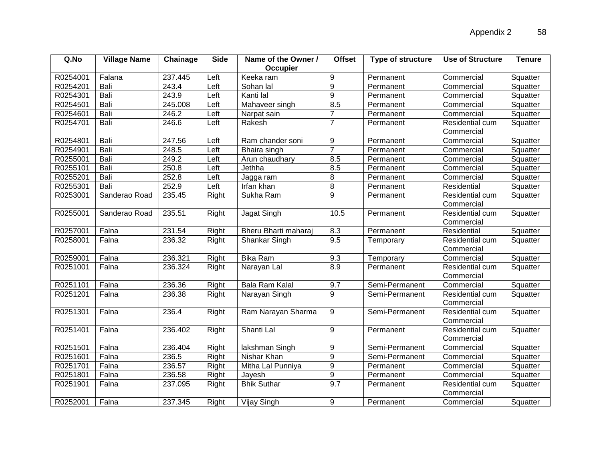| Q.No     | <b>Village Name</b> | Chainage | <b>Side</b> | Name of the Owner /<br>Occupier | <b>Offset</b>    | Type of structure | <b>Use of Structure</b> | <b>Tenure</b> |
|----------|---------------------|----------|-------------|---------------------------------|------------------|-------------------|-------------------------|---------------|
| R0254001 | Falana              | 237.445  | Left        | Keeka ram                       | 9                | Permanent         | Commercial              | Squatter      |
| R0254201 | Bali                | 243.4    | Left        | Sohan lal                       | $\mathsf g$      | Permanent         | Commercial              | Squatter      |
| R0254301 | Bali                | 243.9    | Left        | Kanti lal                       | 9                | Permanent         | Commercial              | Squatter      |
| R0254501 | Bali                | 245.008  | Left        | Mahaveer singh                  | 8.5              | Permanent         | Commercial              | Squatter      |
| R0254601 | Bali                | 246.2    | Left        | Narpat sain                     | $\overline{7}$   | Permanent         | Commercial              | Squatter      |
| R0254701 | Bali                | 246.6    | Left        | Rakesh                          | $\overline{7}$   | Permanent         | Residential cum         | Squatter      |
|          |                     |          |             |                                 |                  |                   | Commercial              |               |
| R0254801 | Bali                | 247.56   | Left        | Ram chander soni                | 9                | Permanent         | Commercial              | Squatter      |
| R0254901 | Bali                | 248.5    | Left        | Bhaira singh                    | $\overline{7}$   | Permanent         | Commercial              | Squatter      |
| R0255001 | Bali                | 249.2    | Left        | Arun chaudhary                  | 8.5<br>Permanent |                   | Commercial              | Squatter      |
| R0255101 | Bali                | 250.8    | Left        | Jethha<br>8.5<br>Permanent      |                  | Commercial        | Squatter                |               |
| R0255201 | Bali                | 252.8    | Left        | Jagga ram                       | 8                | Permanent         | Commercial              | Squatter      |
| R0255301 | Bali                | 252.9    | Left        | Irfan khan                      | $\overline{8}$   | Permanent         | Residential             | Squatter      |
| R0253001 | Sanderao Road       | 235.45   | Right       | Sukha Ram                       | $\overline{9}$   | Permanent         | Residential cum         | Squatter      |
|          |                     |          |             |                                 |                  |                   | Commercial              |               |
| R0255001 | Sanderao Road       | 235.51   | Right       | Jagat Singh                     | 10.5             | Permanent         | Residential cum         | Squatter      |
|          |                     |          |             |                                 |                  |                   | Commercial              |               |
| R0257001 | Falna               | 231.54   | Right       | Bheru Bharti maharaj            | 8.3              | Permanent         | Residential             | Squatter      |
| R0258001 | Falna               | 236.32   | Right       | Shankar Singh                   | 9.5              | Temporary         | Residential cum         | Squatter      |
|          |                     |          |             |                                 |                  |                   | Commercial              |               |
| R0259001 | Falna               | 236.321  | Right       | <b>Bika Ram</b>                 | 9.3              | Temporary         | Commercial              | Squatter      |
| R0251001 | Falna               | 236.324  | Right       | Narayan Lal                     | 8.9              | Permanent         | Residential cum         | Squatter      |
|          |                     |          |             |                                 |                  |                   | Commercial              |               |
| R0251101 | Falna               | 236.36   | Right       | <b>Bala Ram Kalal</b>           | 9.7              | Semi-Permanent    | Commercial              | Squatter      |
| R0251201 | Falna               | 236.38   | Right       | Narayan Singh                   | 9                | Semi-Permanent    | Residential cum         | Squatter      |
|          |                     |          |             |                                 |                  |                   | Commercial              |               |
| R0251301 | Falna               | 236.4    | Right       | Ram Narayan Sharma              | 9                | Semi-Permanent    | Residential cum         | Squatter      |
|          |                     |          |             |                                 |                  |                   | Commercial              |               |
| R0251401 | Falna               | 236.402  | Right       | Shanti Lal                      | 9                | Permanent         | Residential cum         | Squatter      |
|          |                     |          |             |                                 |                  |                   | Commercial              |               |
| R0251501 | Falna               | 236.404  | Right       | lakshman Singh                  | 9                | Semi-Permanent    | Commercial              | Squatter      |
| R0251601 | Falna               | 236.5    | Right       | Nishar Khan                     | 9                | Semi-Permanent    | Commercial              | Squatter      |
| R0251701 | Falna               | 236.57   | Right       | Mitha Lal Punniya               | $\boldsymbol{9}$ | Permanent         | Commercial              | Squatter      |
| R0251801 | Falna               | 236.58   | Right       | Jayesh                          | $\boldsymbol{9}$ | Permanent         | Commercial              | Squatter      |
| R0251901 | Falna               | 237.095  | Right       | <b>Bhik Suthar</b>              | 9.7              | Permanent         | Residential cum         | Squatter      |
|          |                     |          |             |                                 |                  |                   | Commercial              |               |
| R0252001 | Falna               | 237.345  | Right       | Vijay Singh                     | 9                | Permanent         | Commercial              | Squatter      |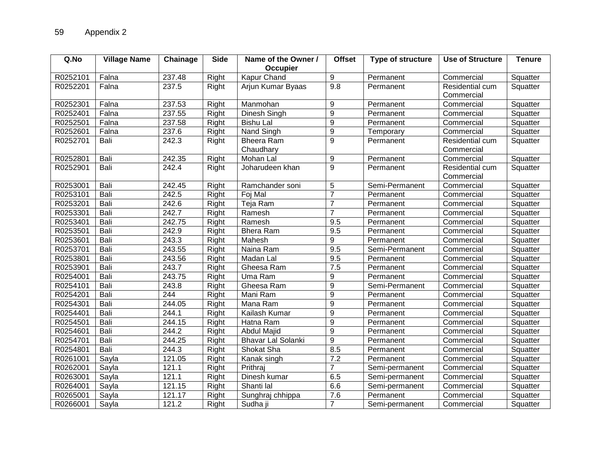| Q.No     | <b>Village Name</b> | Chainage | <b>Side</b> | Name of the Owner /                                  | <b>Offset</b>    | <b>Type of structure</b> | <b>Use of Structure</b> | <b>Tenure</b> |
|----------|---------------------|----------|-------------|------------------------------------------------------|------------------|--------------------------|-------------------------|---------------|
|          |                     |          |             | Occupier                                             |                  |                          |                         |               |
| R0252101 | Falna               | 237.48   | Right       | Kapur Chand                                          | 9                | Permanent                | Commercial              | Squatter      |
| R0252201 | Falna               | 237.5    | Right       | Arjun Kumar Byaas                                    | 9.8              | Permanent                | Residential cum         | Squatter      |
|          |                     |          |             |                                                      |                  |                          | Commercial              |               |
| R0252301 | Falna               | 237.53   | Right       | Manmohan                                             | 9                | Permanent                | Commercial              | Squatter      |
| R0252401 | Falna               | 237.55   | Right       | Dinesh Singh                                         | 9                | Permanent                | Commercial              | Squatter      |
| R0252501 | Falna               | 237.58   | Right       | <b>Bishu Lal</b>                                     | $\overline{9}$   | Permanent                | Commercial              | Squatter      |
| R0252601 | Falna               | 237.6    | Right       | Nand Singh                                           | 9                | Temporary                | Commercial              | Squatter      |
| R0252701 | Bali                | 242.3    | Right       | $\overline{9}$<br>Bheera Ram<br>Permanent            |                  | Residential cum          | Squatter                |               |
|          |                     |          |             | Chaudhary                                            |                  |                          | Commercial              |               |
| R0252801 | Bali                | 242.35   | Right       | Mohan Lal                                            | 9                | Permanent                | Commercial              | Squatter      |
| R0252901 | Bali                | 242.4    | Right       | Joharudeen khan                                      | $\overline{9}$   | Permanent                | Residential cum         | Squatter      |
|          |                     |          |             |                                                      |                  |                          | Commercial              |               |
| R0253001 | Bali                | 242.45   | Right       | 5<br>Semi-Permanent<br>Ramchander soni<br>Commercial |                  | Squatter                 |                         |               |
| R0253101 | Bali                | 242.5    | Right       | Foj Mal                                              | $\overline{7}$   | Permanent                | Commercial              | Squatter      |
| R0253201 | Bali                | 242.6    | Right       | Teja Ram                                             | $\overline{7}$   | Permanent                | Commercial              | Squatter      |
| R0253301 | Bali                | 242.7    | Right       | $\overline{7}$<br>Ramesh<br>Permanent<br>Commercial  |                  |                          | Squatter                |               |
| R0253401 | Bali                | 242.75   | Right       | 9.5<br>Ramesh<br>Permanent                           |                  | Commercial               | Squatter                |               |
| R0253501 | Bali                | 242.9    | Right       | 9.5<br><b>Bhera Ram</b><br>Permanent                 |                  | Commercial               | Squatter                |               |
| R0253601 | Bali                | 243.3    | Right       | Mahesh                                               | 9                | Permanent                | Commercial              | Squatter      |
| R0253701 | Bali                | 243.55   | Right       | Naina Ram                                            | 9.5              | Semi-Permanent           | Commercial              | Squatter      |
| R0253801 | Bali                | 243.56   | Right       | Madan Lal                                            | 9.5              | Permanent                | Commercial              | Squatter      |
| R0253901 | Bali                | 243.7    | Right       | Gheesa Ram                                           | 7.5              | Permanent                | Commercial              | Squatter      |
| R0254001 | Bali                | 243.75   | Right       | Uma Ram                                              | 9                | Permanent                | Commercial              | Squatter      |
| R0254101 | Bali                | 243.8    | Right       | Gheesa Ram                                           | 9                | Semi-Permanent           | Commercial              | Squatter      |
| R0254201 | Bali                | 244      | Right       | Mani Ram                                             | 9                | Permanent                | Commercial              | Squatter      |
| R0254301 | Bali                | 244.05   | Right       | Mana Ram                                             | 9                | Permanent                | Commercial              | Squatter      |
| R0254401 | Bali                | 244.1    | Right       | Kailash Kumar                                        | $\boldsymbol{9}$ | Permanent                | Commercial              | Squatter      |
| R0254501 | Bali                | 244.15   | Right       | Hatna Ram                                            | $\boldsymbol{9}$ | Permanent                | Commercial              | Squatter      |
| R0254601 | Bali                | 244.2    | Right       | <b>Abdul Majid</b>                                   | $\mathsf g$      | Permanent                | Commercial              | Squatter      |
| R0254701 | Bali                | 244.25   | Right       | <b>Bhavar Lal Solanki</b>                            | 9                | Permanent                | Commercial              | Squatter      |
| R0254801 | Bali                | 244.3    | Right       | Shokat Sha                                           | 8.5              | Permanent                | Commercial              | Squatter      |
| R0261001 | Sayla               | 121.05   | Right       | Kanak singh                                          | 7.2              | Permanent                | Commercial              | Squatter      |
| R0262001 | Sayla               | 121.1    | Right       | Prithraj                                             | $\overline{7}$   | Semi-permanent           | Commercial              | Squatter      |
| R0263001 | Sayla               | 121.1    | Right       | Dinesh kumar                                         | 6.5              | Semi-permanent           | Commercial              | Squatter      |
| R0264001 | Sayla               | 121.15   | Right       | Shanti lal                                           | 6.6              | Semi-permanent           | Commercial              | Squatter      |
| R0265001 | Sayla               | 121.17   | Right       | Sunghraj chhippa                                     | 7.6              | Permanent                | Commercial              | Squatter      |
| R0266001 | Sayla               | 121.2    | Right       | Sudha ji                                             | $\overline{7}$   | Semi-permanent           | Commercial              | Squatter      |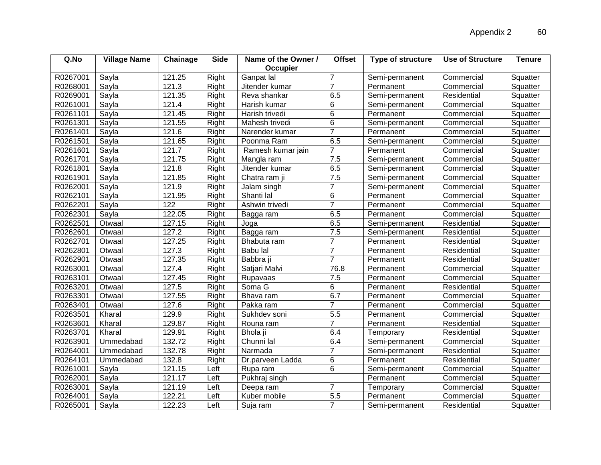| Q.No     | <b>Village Name</b> | Chainage | <b>Side</b> | Name of the Owner / | <b>Offset</b>  | <b>Type of structure</b> | <b>Use of Structure</b> | <b>Tenure</b> |
|----------|---------------------|----------|-------------|---------------------|----------------|--------------------------|-------------------------|---------------|
|          |                     |          |             | <b>Occupier</b>     |                |                          |                         |               |
| R0267001 | Sayla               | 121.25   | Right       | Ganpat lal          | 7              | Semi-permanent           | Commercial              | Squatter      |
| R0268001 | Sayla               | 121.3    | Right       | Jitender kumar      | $\overline{7}$ | Permanent                | Commercial              | Squatter      |
| R0269001 | Sayla               | 121.35   | Right       | Reva shankar        | 6.5            | Semi-permanent           | Residential             | Squatter      |
| R0261001 | Sayla               | 121.4    | Right       | Harish kumar        | 6              | Semi-permanent           | Commercial              | Squatter      |
| R0261101 | Sayla               | 121.45   | Right       | Harish trivedi      | 6              | Permanent                | Commercial              | Squatter      |
| R0261301 | Sayla               | 121.55   | Right       | Mahesh trivedi      | 6              | Semi-permanent           | Commercial              | Squatter      |
| R0261401 | Sayla               | 121.6    | Right       | Narender kumar      | $\overline{7}$ | Permanent                | Commercial              | Squatter      |
| R0261501 | Sayla               | 121.65   | Right       | Poonma Ram          | 6.5            | Semi-permanent           | Commercial              | Squatter      |
| R0261601 | Sayla               | 121.7    | Right       | Ramesh kumar jain   | $\overline{7}$ | Permanent                | Commercial              | Squatter      |
| R0261701 | Sayla               | 121.75   | Right       | Mangla ram          | 7.5            | Semi-permanent           | Commercial              | Squatter      |
| R0261801 | Sayla               | 121.8    | Right       | Jitender kumar      | 6.5            | Semi-permanent           | Commercial              | Squatter      |
| R0261901 | Sayla               | 121.85   | Right       | Chatra ram ji       | 7.5            | Semi-permanent           | Commercial              | Squatter      |
| R0262001 | Sayla               | 121.9    | Right       | Jalam singh         | 7              | Semi-permanent           | Commercial              | Squatter      |
| R0262101 | Sayla               | 121.95   | Right       | Shanti lal          | 6              | Permanent                | Commercial              | Squatter      |
| R0262201 | Sayla               | 122      | Right       | Ashwin trivedi      | $\overline{7}$ | Permanent                | Commercial              | Squatter      |
| R0262301 | Sayla               | 122.05   | Right       | Bagga ram           | 6.5            | Permanent                | Commercial              | Squatter      |
| R0262501 | Otwaal              | 127.15   | Right       | Joga                | 6.5            | Semi-permanent           | Residential             | Squatter      |
| R0262601 | Otwaal              | 127.2    | Right       | Bagga ram           | 7.5            | Semi-permanent           | Residential             | Squatter      |
| R0262701 | Otwaal              | 127.25   | Right       | Bhabuta ram         | $\overline{7}$ | Permanent                | Residential             | Squatter      |
| R0262801 | Otwaal              | 127.3    | Right       | Babu lal            | $\overline{7}$ | Permanent                | Residential             | Squatter      |
| R0262901 | Otwaal              | 127.35   | Right       | Babbra ji           | $\overline{7}$ | Permanent                | Residential             | Squatter      |
| R0263001 | Otwaal              | 127.4    | Right       | Satjari Malvi       | 76.8           | Permanent                | Commercial              | Squatter      |
| R0263101 | Otwaal              | 127.45   | Right       | Rupavaas            | 7.5            | Permanent                | Commercial              | Squatter      |
| R0263201 | Otwaal              | 127.5    | Right       | Soma G              | 6              | Permanent                | Residential             | Squatter      |
| R0263301 | Otwaal              | 127.55   | Right       | Bhava ram           | 6.7            | Permanent                | Commercial              | Squatter      |
| R0263401 | Otwaal              | 127.6    | Right       | Pakka ram           | $\overline{7}$ | Permanent                | Commercial              | Squatter      |
| R0263501 | Kharal              | 129.9    | Right       | Sukhdev soni        | 5.5            | Permanent                | Commercial              | Squatter      |
| R0263601 | Kharal              | 129.87   | Right       | Rouna ram           | $\overline{7}$ | Permanent                | Residential             | Squatter      |
| R0263701 | Kharal              | 129.91   | Right       | Bhola ji            | 6.4            | Temporary                | Residential             | Squatter      |
| R0263901 | Ummedabad           | 132.72   | Right       | Chunni lal          | 6.4            | Semi-permanent           | Commercial              | Squatter      |
| R0264001 | Ummedabad           | 132.78   | Right       | Narmada             | 7              | Semi-permanent           | Residential             | Squatter      |
| R0264101 | Ummedabad           | 132.8    | Right       | Dr.parveen Ladda    | 6              | Permanent                | Residential             | Squatter      |
| R0261001 | Sayla               | 121.15   | Left        | Rupa ram            | 6              | Semi-permanent           | Commercial              | Squatter      |
| R0262001 | Sayla               | 121.17   | Left        | Pukhraj singh       |                | Permanent                | Commercial              | Squatter      |
| R0263001 | Sayla               | 121.19   | Left        | Deepa ram           | $\overline{7}$ | Temporary                | Commercial              | Squatter      |
| R0264001 | Sayla               | 122.21   | Left        | Kuber mobile        | 5.5            | Permanent                | Commercial              | Squatter      |
| R0265001 | Sayla               | 122.23   | Left        | Suja ram            | $\overline{7}$ | Semi-permanent           | Residential             | Squatter      |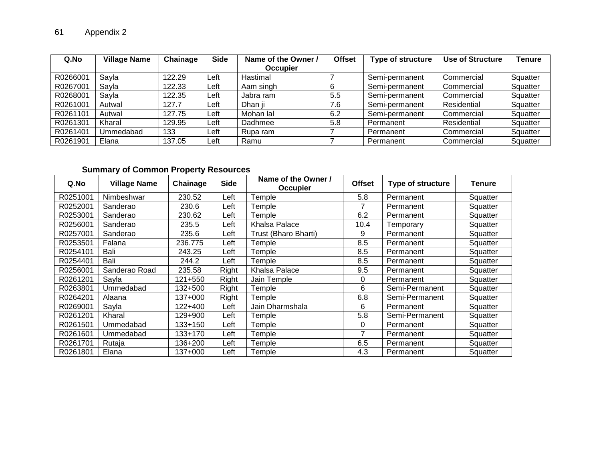| Q.No     | <b>Village Name</b> | Chainage | <b>Side</b> | Name of the Owner / | <b>Offset</b> | <b>Type of structure</b> | Use of Structure | <b>Tenure</b> |
|----------|---------------------|----------|-------------|---------------------|---------------|--------------------------|------------------|---------------|
|          |                     |          |             | Occupier            |               |                          |                  |               |
| R0266001 | Sayla               | 122.29   | Left        | Hastimal            |               | Semi-permanent           | Commercial       | Squatter      |
| R0267001 | Sayla               | 122.33   | Left        | Aam singh           | 6             | Semi-permanent           | Commercial       | Squatter      |
| R0268001 | Sayla               | 122.35   | Left        | Jabra ram           | 5.5           | Semi-permanent           | Commercial       | Squatter      |
| R0261001 | Autwal              | 127.7    | Left        | Dhan ii             | 7.6           | Semi-permanent           | Residential      | Squatter      |
| R0261101 | Autwal              | 127.75   | Left        | Mohan lal           | 6.2           | Semi-permanent           | Commercial       | Squatter      |
| R0261301 | Kharal              | 129.95   | Left        | Dadhmee             | 5.8           | Permanent                | Residential      | Squatter      |
| R0261401 | Ummedabad           | 133      | Left        | Rupa ram            |               | Permanent                | Commercial       | Squatter      |
| R0261901 | Elana               | 137.05   | ∟eft        | Ramu                |               | Permanent                | Commercial       | Squatter      |

# **Summary of Common Property Resources**

| Q.No     | <b>Village Name</b> | Chainage  | <b>Side</b> | Name of the Owner /<br><b>Occupier</b> | <b>Offset</b> | <b>Type of structure</b> | Tenure   |
|----------|---------------------|-----------|-------------|----------------------------------------|---------------|--------------------------|----------|
| R0251001 | Nimbeshwar          | 230.52    | Left        | <b>Temple</b>                          | 5.8           | Permanent                | Squatter |
| R0252001 | Sanderao            | 230.6     | Left        | <b>Femple</b>                          | 7             | Permanent                | Squatter |
| R0253001 | Sanderao            | 230.62    | Left        | Гemple                                 | 6.2           | Permanent                | Squatter |
| R0256001 | Sanderao            | 235.5     | Left        | Khalsa Palace                          | 10.4          | Temporary                | Squatter |
| R0257001 | Sanderao            | 235.6     | Left        | Trust (Bharo Bharti)                   | 9             | Permanent                | Squatter |
| R0253501 | Falana              | 236.775   | Left        | <b>Femple</b>                          | 8.5           | Permanent                | Squatter |
| R0254101 | Bali                | 243.25    | Left        | <b>Temple</b>                          | 8.5           | Permanent                | Squatter |
| R0254401 | Bali                | 244.2     | Left        | ⊺emple                                 | 8.5           | Permanent                | Squatter |
| R0256001 | Sanderao Road       | 235.58    | Right       | Khalsa Palace                          | 9.5           | Permanent                | Squatter |
| R0261201 | Sayla               | 121+550   | Right       | Jain Temple                            | 0             | Permanent                | Squatter |
| R0263801 | Ummedabad           | 132+500   | Right       | emple                                  | 6             | Semi-Permanent           | Squatter |
| R0264201 | Alaana              | 137+000   | Right       | ⊺emple                                 | 6.8           | Semi-Permanent           | Squatter |
| R0269001 | Sayla               | 122+400   | Left        | Jain Dharmshala                        | 6             | Permanent                | Squatter |
| R0261201 | Kharal              | 129+900   | Left        | ⊺emple                                 | 5.8           | Semi-Permanent           | Squatter |
| R0261501 | Ummedabad           | $133+150$ | Left        | Гemple                                 | 0             | Permanent                | Squatter |
| R0261601 | Ummedabad           | 133+170   | Left        | <b>Femple</b>                          | 7             | Permanent                | Squatter |
| R0261701 | Rutaja              | 136+200   | Left        | <b>Femple</b>                          | 6.5           | Permanent                | Squatter |
| R0261801 | Elana               | 137+000   | Left        | Гemple                                 | 4.3           | Permanent                | Squatter |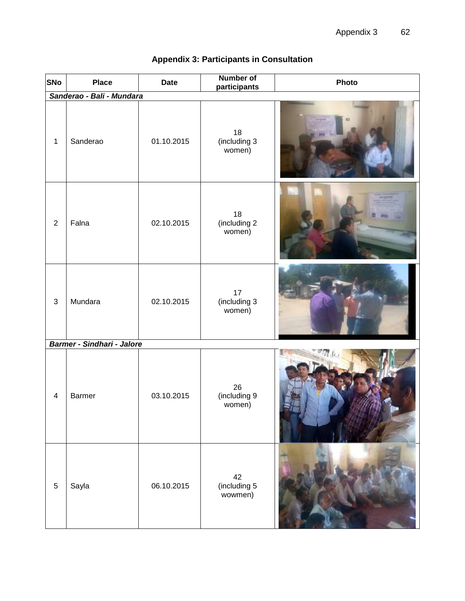| SNo                       | <b>Place</b>                      | <b>Date</b> | <b>Number of</b><br>participants | Photo |  |  |  |  |
|---------------------------|-----------------------------------|-------------|----------------------------------|-------|--|--|--|--|
| Sanderao - Bali - Mundara |                                   |             |                                  |       |  |  |  |  |
| $\mathbf 1$               | Sanderao                          | 01.10.2015  | 18<br>(including 3<br>women)     |       |  |  |  |  |
| $\overline{2}$            | Falna                             | 02.10.2015  | 18<br>(including 2<br>women)     |       |  |  |  |  |
| $\mathfrak{S}$            | Mundara                           | 02.10.2015  | 17<br>(including 3<br>women)     |       |  |  |  |  |
|                           | <b>Barmer - Sindhari - Jalore</b> |             |                                  |       |  |  |  |  |
| $\overline{\mathbf{4}}$   | <b>Barmer</b>                     | 03.10.2015  | 26<br>(including 9<br>women)     |       |  |  |  |  |
| $\overline{5}$            | Sayla                             | 06.10.2015  | 42<br>(including 5<br>wowmen)    |       |  |  |  |  |

# **Appendix 3: Participants in Consultation**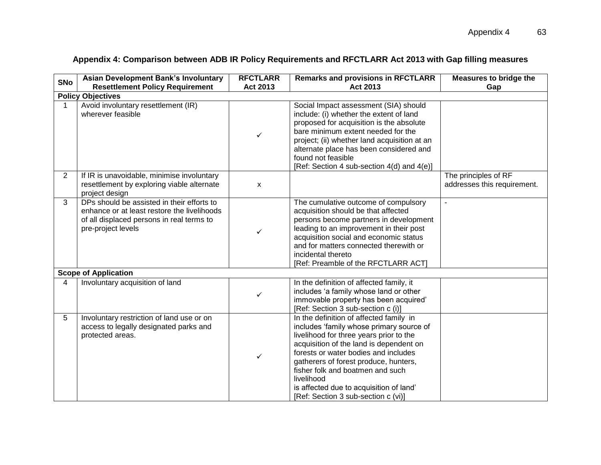|                | <b>Asian Development Bank's Involuntary</b>                                                                                                                  | <b>RFCTLARR</b> | <b>Remarks and provisions in RFCTLARR</b>                                                                                                                                                                                                                                                                                                                                                      | <b>Measures to bridge the</b>                       |
|----------------|--------------------------------------------------------------------------------------------------------------------------------------------------------------|-----------------|------------------------------------------------------------------------------------------------------------------------------------------------------------------------------------------------------------------------------------------------------------------------------------------------------------------------------------------------------------------------------------------------|-----------------------------------------------------|
| <b>SNo</b>     | <b>Resettlement Policy Requirement</b>                                                                                                                       | Act 2013        | Act 2013                                                                                                                                                                                                                                                                                                                                                                                       | Gap                                                 |
|                | <b>Policy Objectives</b>                                                                                                                                     |                 |                                                                                                                                                                                                                                                                                                                                                                                                |                                                     |
| 1              | Avoid involuntary resettlement (IR)<br>wherever feasible                                                                                                     | ✓               | Social Impact assessment (SIA) should<br>include: (i) whether the extent of land<br>proposed for acquisition is the absolute<br>bare minimum extent needed for the<br>project; (ii) whether land acquisition at an<br>alternate place has been considered and<br>found not feasible<br>[Ref: Section 4 sub-section 4(d) and 4(e)]                                                              |                                                     |
| $\overline{2}$ | If IR is unavoidable, minimise involuntary<br>resettlement by exploring viable alternate<br>project design                                                   | X               |                                                                                                                                                                                                                                                                                                                                                                                                | The principles of RF<br>addresses this requirement. |
| 3              | DPs should be assisted in their efforts to<br>enhance or at least restore the livelihoods<br>of all displaced persons in real terms to<br>pre-project levels | ✓               | The cumulative outcome of compulsory<br>acquisition should be that affected<br>persons become partners in development<br>leading to an improvement in their post<br>acquisition social and economic status<br>and for matters connected therewith or<br>incidental thereto<br>[Ref: Preamble of the RFCTLARR ACT]                                                                              | $\blacksquare$                                      |
|                | <b>Scope of Application</b>                                                                                                                                  |                 |                                                                                                                                                                                                                                                                                                                                                                                                |                                                     |
| 4              | Involuntary acquisition of land                                                                                                                              | $\checkmark$    | In the definition of affected family, it<br>includes 'a family whose land or other<br>immovable property has been acquired'<br>[Ref: Section 3 sub-section c (i)]                                                                                                                                                                                                                              |                                                     |
| 5              | Involuntary restriction of land use or on<br>access to legally designated parks and<br>protected areas.                                                      | ✓               | In the definition of affected family in<br>includes 'family whose primary source of<br>livelihood for three years prior to the<br>acquisition of the land is dependent on<br>forests or water bodies and includes<br>gatherers of forest produce, hunters,<br>fisher folk and boatmen and such<br>livelihood<br>is affected due to acquisition of land'<br>[Ref: Section 3 sub-section c (vi)] |                                                     |

# **Appendix 4: Comparison between ADB IR Policy Requirements and RFCTLARR Act 2013 with Gap filling measures**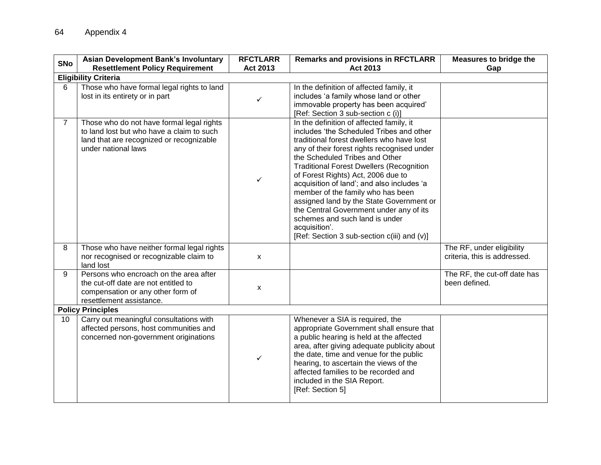| <b>SNo</b>               | <b>Asian Development Bank's Involuntary</b><br><b>Resettlement Policy Requirement</b>                                                                     | <b>RFCTLARR</b><br><b>Act 2013</b> | <b>Remarks and provisions in RFCTLARR</b><br>Act 2013                                                                                                                                                                                                                                                                                                                                                                                                                                                                                                                                   | <b>Measures to bridge the</b><br>Gap                      |
|--------------------------|-----------------------------------------------------------------------------------------------------------------------------------------------------------|------------------------------------|-----------------------------------------------------------------------------------------------------------------------------------------------------------------------------------------------------------------------------------------------------------------------------------------------------------------------------------------------------------------------------------------------------------------------------------------------------------------------------------------------------------------------------------------------------------------------------------------|-----------------------------------------------------------|
|                          | <b>Eligibility Criteria</b>                                                                                                                               |                                    |                                                                                                                                                                                                                                                                                                                                                                                                                                                                                                                                                                                         |                                                           |
| 6                        | Those who have formal legal rights to land<br>lost in its entirety or in part                                                                             | $\checkmark$                       | In the definition of affected family, it<br>includes 'a family whose land or other<br>immovable property has been acquired'<br>[Ref: Section 3 sub-section c (i)]                                                                                                                                                                                                                                                                                                                                                                                                                       |                                                           |
| $\overline{7}$           | Those who do not have formal legal rights<br>to land lost but who have a claim to such<br>land that are recognized or recognizable<br>under national laws | $\checkmark$                       | In the definition of affected family, it<br>includes 'the Scheduled Tribes and other<br>traditional forest dwellers who have lost<br>any of their forest rights recognised under<br>the Scheduled Tribes and Other<br><b>Traditional Forest Dwellers (Recognition</b><br>of Forest Rights) Act, 2006 due to<br>acquisition of land'; and also includes 'a<br>member of the family who has been<br>assigned land by the State Government or<br>the Central Government under any of its<br>schemes and such land is under<br>acquisition'.<br>[Ref: Section 3 sub-section c(iii) and (v)] |                                                           |
| 8                        | Those who have neither formal legal rights<br>nor recognised or recognizable claim to<br>land lost                                                        | X                                  |                                                                                                                                                                                                                                                                                                                                                                                                                                                                                                                                                                                         | The RF, under eligibility<br>criteria, this is addressed. |
| 9                        | Persons who encroach on the area after<br>the cut-off date are not entitled to<br>compensation or any other form of<br>resettlement assistance.           | X                                  |                                                                                                                                                                                                                                                                                                                                                                                                                                                                                                                                                                                         | The RF, the cut-off date has<br>been defined.             |
| <b>Policy Principles</b> |                                                                                                                                                           |                                    |                                                                                                                                                                                                                                                                                                                                                                                                                                                                                                                                                                                         |                                                           |
| 10                       | Carry out meaningful consultations with<br>affected persons, host communities and<br>concerned non-government originations                                | $\checkmark$                       | Whenever a SIA is required, the<br>appropriate Government shall ensure that<br>a public hearing is held at the affected<br>area, after giving adequate publicity about<br>the date, time and venue for the public<br>hearing, to ascertain the views of the<br>affected families to be recorded and<br>included in the SIA Report.<br>[Ref: Section 5]                                                                                                                                                                                                                                  |                                                           |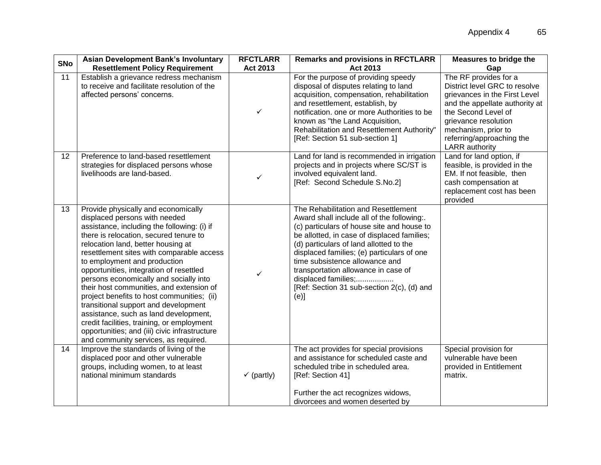| <b>SNo</b> | <b>Asian Development Bank's Involuntary</b><br><b>Resettlement Policy Requirement</b>                                                                                                                                                                                                                                                                                                                                                                                                                                                                                                                                                                                                   | <b>RFCTLARR</b><br>Act 2013 | <b>Remarks and provisions in RFCTLARR</b><br>Act 2013                                                                                                                                                                                                                                                                                                                                                                            | <b>Measures to bridge the</b><br>Gap                                                                                                                                                                                                                  |
|------------|-----------------------------------------------------------------------------------------------------------------------------------------------------------------------------------------------------------------------------------------------------------------------------------------------------------------------------------------------------------------------------------------------------------------------------------------------------------------------------------------------------------------------------------------------------------------------------------------------------------------------------------------------------------------------------------------|-----------------------------|----------------------------------------------------------------------------------------------------------------------------------------------------------------------------------------------------------------------------------------------------------------------------------------------------------------------------------------------------------------------------------------------------------------------------------|-------------------------------------------------------------------------------------------------------------------------------------------------------------------------------------------------------------------------------------------------------|
| 11         | Establish a grievance redress mechanism<br>to receive and facilitate resolution of the<br>affected persons' concerns.                                                                                                                                                                                                                                                                                                                                                                                                                                                                                                                                                                   | $\checkmark$                | For the purpose of providing speedy<br>disposal of disputes relating to land<br>acquisition, compensation, rehabilitation<br>and resettlement, establish, by<br>notification. one or more Authorities to be<br>known as "the Land Acquisition,<br>Rehabilitation and Resettlement Authority"<br>[Ref: Section 51 sub-section 1]                                                                                                  | The RF provides for a<br>District level GRC to resolve<br>grievances in the First Level<br>and the appellate authority at<br>the Second Level of<br>grievance resolution<br>mechanism, prior to<br>referring/approaching the<br><b>LARR</b> authority |
| 12         | Preference to land-based resettlement<br>strategies for displaced persons whose<br>livelihoods are land-based.                                                                                                                                                                                                                                                                                                                                                                                                                                                                                                                                                                          | ✓                           | Land for land is recommended in irrigation<br>projects and in projects where SC/ST is<br>involved equivalent land.<br>[Ref: Second Schedule S.No.2]                                                                                                                                                                                                                                                                              | Land for land option, if<br>feasible, is provided in the<br>EM. If not feasible, then<br>cash compensation at<br>replacement cost has been<br>provided                                                                                                |
| 13         | Provide physically and economically<br>displaced persons with needed<br>assistance, including the following: (i) if<br>there is relocation, secured tenure to<br>relocation land, better housing at<br>resettlement sites with comparable access<br>to employment and production<br>opportunities, integration of resettled<br>persons economically and socially into<br>their host communities, and extension of<br>project benefits to host communities; (ii)<br>transitional support and development<br>assistance, such as land development,<br>credit facilities, training, or employment<br>opportunities; and (iii) civic infrastructure<br>and community services, as required. | ✓                           | The Rehabilitation and Resettlement<br>Award shall include all of the following:.<br>(c) particulars of house site and house to<br>be allotted, in case of displaced families;<br>(d) particulars of land allotted to the<br>displaced families; (e) particulars of one<br>time subsistence allowance and<br>transportation allowance in case of<br>displaced families;<br>[Ref: Section 31 sub-section 2(c), (d) and<br>$(e)$ ] |                                                                                                                                                                                                                                                       |
| 14         | Improve the standards of living of the<br>displaced poor and other vulnerable<br>groups, including women, to at least<br>national minimum standards                                                                                                                                                                                                                                                                                                                                                                                                                                                                                                                                     | $\checkmark$ (partly)       | The act provides for special provisions<br>and assistance for scheduled caste and<br>scheduled tribe in scheduled area.<br>[Ref: Section 41]<br>Further the act recognizes widows,<br>divorcees and women deserted by                                                                                                                                                                                                            | Special provision for<br>vulnerable have been<br>provided in Entitlement<br>matrix.                                                                                                                                                                   |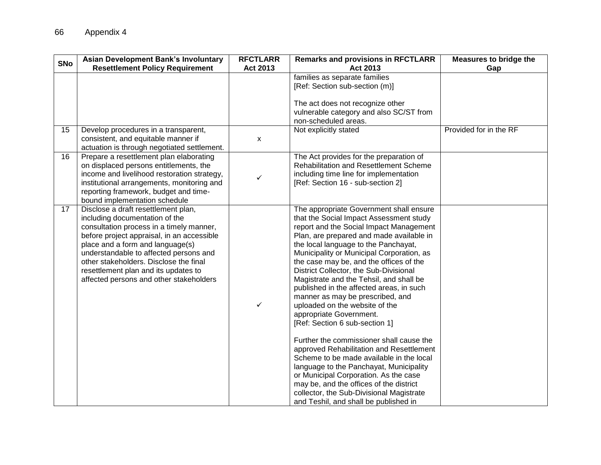| <b>SNo</b> | <b>Asian Development Bank's Involuntary</b><br><b>Resettlement Policy Requirement</b>                                                                                                                                                                                                                                                                                      | <b>RFCTLARR</b><br>Act 2013 | <b>Remarks and provisions in RFCTLARR</b><br>Act 2013                                                                                                                                                                                                                                                                                                                                                                                                                                                                                                                                                                                                                                                                                                                                                                                                                                                                                 | <b>Measures to bridge the</b><br>Gap |
|------------|----------------------------------------------------------------------------------------------------------------------------------------------------------------------------------------------------------------------------------------------------------------------------------------------------------------------------------------------------------------------------|-----------------------------|---------------------------------------------------------------------------------------------------------------------------------------------------------------------------------------------------------------------------------------------------------------------------------------------------------------------------------------------------------------------------------------------------------------------------------------------------------------------------------------------------------------------------------------------------------------------------------------------------------------------------------------------------------------------------------------------------------------------------------------------------------------------------------------------------------------------------------------------------------------------------------------------------------------------------------------|--------------------------------------|
|            |                                                                                                                                                                                                                                                                                                                                                                            |                             | families as separate families<br>[Ref: Section sub-section (m)]<br>The act does not recognize other<br>vulnerable category and also SC/ST from<br>non-scheduled areas.                                                                                                                                                                                                                                                                                                                                                                                                                                                                                                                                                                                                                                                                                                                                                                |                                      |
| 15         | Develop procedures in a transparent,<br>consistent, and equitable manner if<br>actuation is through negotiated settlement.                                                                                                                                                                                                                                                 | x                           | Not explicitly stated                                                                                                                                                                                                                                                                                                                                                                                                                                                                                                                                                                                                                                                                                                                                                                                                                                                                                                                 | Provided for in the RF               |
| 16         | Prepare a resettlement plan elaborating<br>on displaced persons entitlements, the<br>income and livelihood restoration strategy,<br>institutional arrangements, monitoring and<br>reporting framework, budget and time-<br>bound implementation schedule                                                                                                                   | ✓                           | The Act provides for the preparation of<br><b>Rehabilitation and Resettlement Scheme</b><br>including time line for implementation<br>[Ref: Section 16 - sub-section 2]                                                                                                                                                                                                                                                                                                                                                                                                                                                                                                                                                                                                                                                                                                                                                               |                                      |
| 17         | Disclose a draft resettlement plan,<br>including documentation of the<br>consultation process in a timely manner,<br>before project appraisal, in an accessible<br>place and a form and language(s)<br>understandable to affected persons and<br>other stakeholders. Disclose the final<br>resettlement plan and its updates to<br>affected persons and other stakeholders | $\checkmark$                | The appropriate Government shall ensure<br>that the Social Impact Assessment study<br>report and the Social Impact Management<br>Plan, are prepared and made available in<br>the local language to the Panchayat,<br>Municipality or Municipal Corporation, as<br>the case may be, and the offices of the<br>District Collector, the Sub-Divisional<br>Magistrate and the Tehsil, and shall be<br>published in the affected areas, in such<br>manner as may be prescribed, and<br>uploaded on the website of the<br>appropriate Government.<br>[Ref: Section 6 sub-section 1]<br>Further the commissioner shall cause the<br>approved Rehabilitation and Resettlement<br>Scheme to be made available in the local<br>language to the Panchayat, Municipality<br>or Municipal Corporation. As the case<br>may be, and the offices of the district<br>collector, the Sub-Divisional Magistrate<br>and Teshil, and shall be published in |                                      |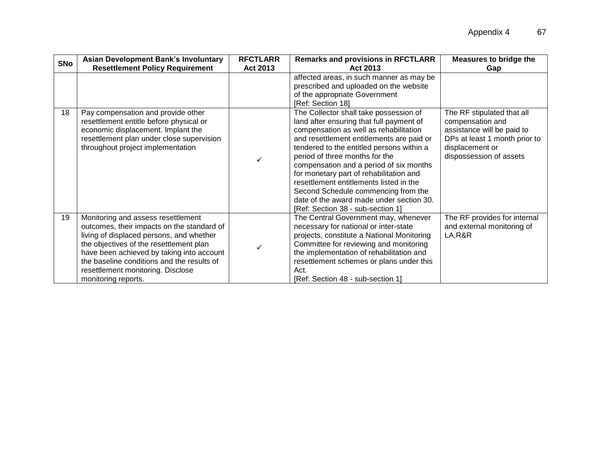| <b>SNo</b> | <b>Asian Development Bank's Involuntary</b><br><b>Resettlement Policy Requirement</b>                                                                                                                                                                                                                                          | <b>RFCTLARR</b><br>Act 2013 | <b>Remarks and provisions in RFCTLARR</b><br>Act 2013                                                                                                                                                                                                                                                                                                                                                                                                                                                             | <b>Measures to bridge the</b><br>Gap                                                                                                                        |
|------------|--------------------------------------------------------------------------------------------------------------------------------------------------------------------------------------------------------------------------------------------------------------------------------------------------------------------------------|-----------------------------|-------------------------------------------------------------------------------------------------------------------------------------------------------------------------------------------------------------------------------------------------------------------------------------------------------------------------------------------------------------------------------------------------------------------------------------------------------------------------------------------------------------------|-------------------------------------------------------------------------------------------------------------------------------------------------------------|
|            |                                                                                                                                                                                                                                                                                                                                |                             | affected areas, in such manner as may be<br>prescribed and uploaded on the website<br>of the appropriate Government<br>[Ref: Section 18]                                                                                                                                                                                                                                                                                                                                                                          |                                                                                                                                                             |
| 18         | Pay compensation and provide other<br>resettlement entitle before physical or<br>economic displacement. Implant the<br>resettlement plan under close supervision<br>throughout project implementation                                                                                                                          |                             | The Collector shall take possession of<br>land after ensuring that full payment of<br>compensation as well as rehabilitation<br>and resettlement entitlements are paid or<br>tendered to the entitled persons within a<br>period of three months for the<br>compensation and a period of six months<br>for monetary part of rehabilitation and<br>resettlement entitlements listed in the<br>Second Schedule commencing from the<br>date of the award made under section 30.<br>[Ref: Section 38 - sub-section 1] | The RF stipulated that all<br>compensation and<br>assistance will be paid to<br>DPs at least 1 month prior to<br>displacement or<br>dispossession of assets |
| 19         | Monitoring and assess resettlement<br>outcomes, their impacts on the standard of<br>living of displaced persons, and whether<br>the objectives of the resettlement plan<br>have been achieved by taking into account<br>the baseline conditions and the results of<br>resettlement monitoring. Disclose<br>monitoring reports. |                             | The Central Government may, whenever<br>necessary for national or inter-state<br>projects, constitute a National Monitoring<br>Committee for reviewing and monitoring<br>the implementation of rehabilitation and<br>resettlement schemes or plans under this<br>Act.<br>[Ref: Section 48 - sub-section 1]                                                                                                                                                                                                        | The RF provides for internal<br>and external monitoring of<br>LA, R&R                                                                                       |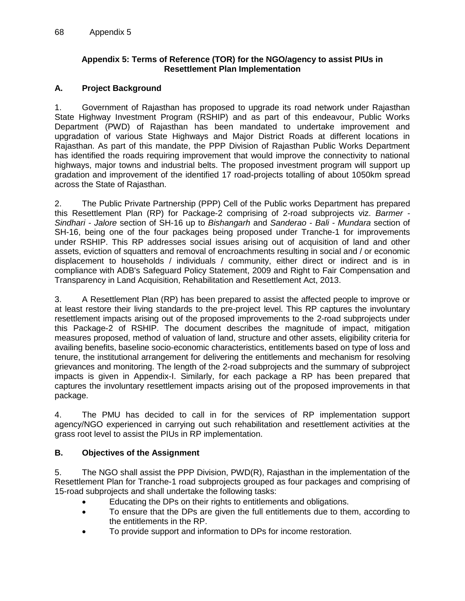#### **Appendix 5: Terms of Reference (TOR) for the NGO/agency to assist PIUs in Resettlement Plan Implementation**

### **A. Project Background**

1. Government of Rajasthan has proposed to upgrade its road network under Rajasthan State Highway Investment Program (RSHIP) and as part of this endeavour, Public Works Department (PWD) of Rajasthan has been mandated to undertake improvement and upgradation of various State Highways and Major District Roads at different locations in Rajasthan. As part of this mandate, the PPP Division of Rajasthan Public Works Department has identified the roads requiring improvement that would improve the connectivity to national highways, major towns and industrial belts. The proposed investment program will support up gradation and improvement of the identified 17 road-projects totalling of about 1050km spread across the State of Rajasthan.

2. The Public Private Partnership (PPP) Cell of the Public works Department has prepared this Resettlement Plan (RP) for Package-2 comprising of 2-road subprojects viz. *Barmer - Sindhari - Jalore* section of SH-16 up to *Bishangarh* and *Sanderao - Bali - Mundara* section of SH-16, being one of the four packages being proposed under Tranche-1 for improvements under RSHIP. This RP addresses social issues arising out of acquisition of land and other assets, eviction of squatters and removal of encroachments resulting in social and / or economic displacement to households / individuals / community, either direct or indirect and is in compliance with ADB's Safeguard Policy Statement, 2009 and Right to Fair Compensation and Transparency in Land Acquisition, Rehabilitation and Resettlement Act, 2013.

3. A Resettlement Plan (RP) has been prepared to assist the affected people to improve or at least restore their living standards to the pre-project level. This RP captures the involuntary resettlement impacts arising out of the proposed improvements to the 2-road subprojects under this Package-2 of RSHIP. The document describes the magnitude of impact, mitigation measures proposed, method of valuation of land, structure and other assets, eligibility criteria for availing benefits, baseline socio-economic characteristics, entitlements based on type of loss and tenure, the institutional arrangement for delivering the entitlements and mechanism for resolving grievances and monitoring. The length of the 2-road subprojects and the summary of subproject impacts is given in Appendix-I. Similarly, for each package a RP has been prepared that captures the involuntary resettlement impacts arising out of the proposed improvements in that package.

4. The PMU has decided to call in for the services of RP implementation support agency/NGO experienced in carrying out such rehabilitation and resettlement activities at the grass root level to assist the PIUs in RP implementation.

### **B. Objectives of the Assignment**

5. The NGO shall assist the PPP Division, PWD(R), Rajasthan in the implementation of the Resettlement Plan for Tranche-1 road subprojects grouped as four packages and comprising of 15-road subprojects and shall undertake the following tasks:

- Educating the DPs on their rights to entitlements and obligations.
- To ensure that the DPs are given the full entitlements due to them, according to the entitlements in the RP.
- To provide support and information to DPs for income restoration.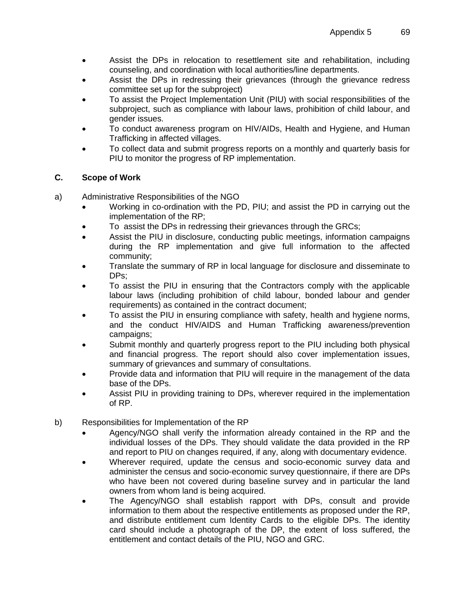- Assist the DPs in relocation to resettlement site and rehabilitation, including counseling, and coordination with local authorities/line departments.
- Assist the DPs in redressing their grievances (through the grievance redress committee set up for the subproject)
- To assist the Project Implementation Unit (PIU) with social responsibilities of the subproject, such as compliance with labour laws, prohibition of child labour, and gender issues.
- To conduct awareness program on HIV/AIDs, Health and Hygiene, and Human Trafficking in affected villages.
- To collect data and submit progress reports on a monthly and quarterly basis for PIU to monitor the progress of RP implementation.

# **C. Scope of Work**

- a) Administrative Responsibilities of the NGO
	- Working in co-ordination with the PD, PIU; and assist the PD in carrying out the implementation of the RP;
	- To assist the DPs in redressing their grievances through the GRCs;
	- Assist the PIU in disclosure, conducting public meetings, information campaigns during the RP implementation and give full information to the affected community;
	- Translate the summary of RP in local language for disclosure and disseminate to DPs;
	- To assist the PIU in ensuring that the Contractors comply with the applicable labour laws (including prohibition of child labour, bonded labour and gender requirements) as contained in the contract document;
	- To assist the PIU in ensuring compliance with safety, health and hygiene norms, and the conduct HIV/AIDS and Human Trafficking awareness/prevention campaigns;
	- Submit monthly and quarterly progress report to the PIU including both physical and financial progress. The report should also cover implementation issues, summary of grievances and summary of consultations.
	- Provide data and information that PIU will require in the management of the data base of the DPs.
	- Assist PIU in providing training to DPs, wherever required in the implementation of RP.
- b) Responsibilities for Implementation of the RP
	- Agency/NGO shall verify the information already contained in the RP and the individual losses of the DPs. They should validate the data provided in the RP and report to PIU on changes required, if any, along with documentary evidence.
	- Wherever required, update the census and socio-economic survey data and administer the census and socio-economic survey questionnaire, if there are DPs who have been not covered during baseline survey and in particular the land owners from whom land is being acquired.
	- The Agency/NGO shall establish rapport with DPs, consult and provide information to them about the respective entitlements as proposed under the RP, and distribute entitlement cum Identity Cards to the eligible DPs. The identity card should include a photograph of the DP, the extent of loss suffered, the entitlement and contact details of the PIU, NGO and GRC.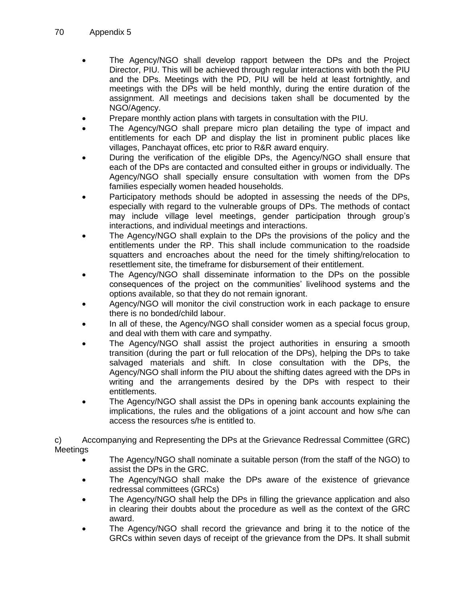- The Agency/NGO shall develop rapport between the DPs and the Project Director, PIU. This will be achieved through regular interactions with both the PIU and the DPs. Meetings with the PD, PIU will be held at least fortnightly, and meetings with the DPs will be held monthly, during the entire duration of the assignment. All meetings and decisions taken shall be documented by the NGO/Agency.
- Prepare monthly action plans with targets in consultation with the PIU.
- The Agency/NGO shall prepare micro plan detailing the type of impact and entitlements for each DP and display the list in prominent public places like villages, Panchayat offices, etc prior to R&R award enquiry.
- During the verification of the eligible DPs, the Agency/NGO shall ensure that each of the DPs are contacted and consulted either in groups or individually. The Agency/NGO shall specially ensure consultation with women from the DPs families especially women headed households.
- Participatory methods should be adopted in assessing the needs of the DPs, especially with regard to the vulnerable groups of DPs. The methods of contact may include village level meetings, gender participation through group's interactions, and individual meetings and interactions.
- The Agency/NGO shall explain to the DPs the provisions of the policy and the entitlements under the RP. This shall include communication to the roadside squatters and encroaches about the need for the timely shifting/relocation to resettlement site, the timeframe for disbursement of their entitlement.
- The Agency/NGO shall disseminate information to the DPs on the possible consequences of the project on the communities' livelihood systems and the options available, so that they do not remain ignorant.
- Agency/NGO will monitor the civil construction work in each package to ensure there is no bonded/child labour.
- In all of these, the Agency/NGO shall consider women as a special focus group, and deal with them with care and sympathy.
- The Agency/NGO shall assist the project authorities in ensuring a smooth transition (during the part or full relocation of the DPs), helping the DPs to take salvaged materials and shift. In close consultation with the DPs, the Agency/NGO shall inform the PIU about the shifting dates agreed with the DPs in writing and the arrangements desired by the DPs with respect to their entitlements.
- The Agency/NGO shall assist the DPs in opening bank accounts explaining the implications, the rules and the obligations of a joint account and how s/he can access the resources s/he is entitled to.

c) Accompanying and Representing the DPs at the Grievance Redressal Committee (GRC) Meetings

- The Agency/NGO shall nominate a suitable person (from the staff of the NGO) to assist the DPs in the GRC.
- The Agency/NGO shall make the DPs aware of the existence of grievance redressal committees (GRCs)
- The Agency/NGO shall help the DPs in filling the grievance application and also in clearing their doubts about the procedure as well as the context of the GRC award.
- The Agency/NGO shall record the grievance and bring it to the notice of the GRCs within seven days of receipt of the grievance from the DPs. It shall submit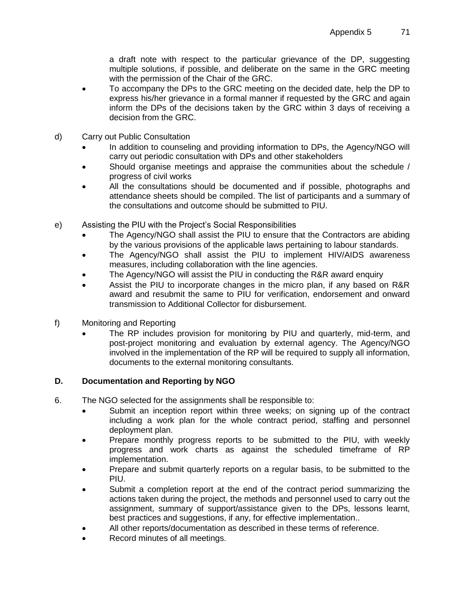a draft note with respect to the particular grievance of the DP, suggesting multiple solutions, if possible, and deliberate on the same in the GRC meeting with the permission of the Chair of the GRC.

- To accompany the DPs to the GRC meeting on the decided date, help the DP to express his/her grievance in a formal manner if requested by the GRC and again inform the DPs of the decisions taken by the GRC within 3 days of receiving a decision from the GRC.
- d) Carry out Public Consultation
	- In addition to counseling and providing information to DPs, the Agency/NGO will carry out periodic consultation with DPs and other stakeholders
	- Should organise meetings and appraise the communities about the schedule / progress of civil works
	- All the consultations should be documented and if possible, photographs and attendance sheets should be compiled. The list of participants and a summary of the consultations and outcome should be submitted to PIU.
- e) Assisting the PIU with the Project's Social Responsibilities
	- The Agency/NGO shall assist the PIU to ensure that the Contractors are abiding by the various provisions of the applicable laws pertaining to labour standards.
	- The Agency/NGO shall assist the PIU to implement HIV/AIDS awareness measures, including collaboration with the line agencies.
	- The Agency/NGO will assist the PIU in conducting the R&R award enquiry
	- Assist the PIU to incorporate changes in the micro plan, if any based on R&R award and resubmit the same to PIU for verification, endorsement and onward transmission to Additional Collector for disbursement.
- f) Monitoring and Reporting
	- The RP includes provision for monitoring by PIU and quarterly, mid-term, and post-project monitoring and evaluation by external agency. The Agency/NGO involved in the implementation of the RP will be required to supply all information, documents to the external monitoring consultants.

### **D. Documentation and Reporting by NGO**

- 6. The NGO selected for the assignments shall be responsible to:
	- Submit an inception report within three weeks; on signing up of the contract including a work plan for the whole contract period, staffing and personnel deployment plan.
	- Prepare monthly progress reports to be submitted to the PIU, with weekly progress and work charts as against the scheduled timeframe of RP implementation.
	- Prepare and submit quarterly reports on a regular basis, to be submitted to the PIU.
	- Submit a completion report at the end of the contract period summarizing the actions taken during the project, the methods and personnel used to carry out the assignment, summary of support/assistance given to the DPs, lessons learnt, best practices and suggestions, if any, for effective implementation..
	- All other reports/documentation as described in these terms of reference.
	- Record minutes of all meetings.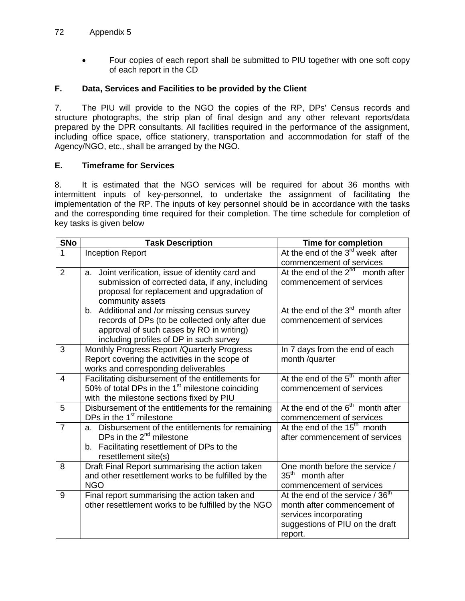#### 72 Appendix 5

 Four copies of each report shall be submitted to PIU together with one soft copy of each report in the CD

#### **F. Data, Services and Facilities to be provided by the Client**

7. The PIU will provide to the NGO the copies of the RP, DPs' Census records and structure photographs, the strip plan of final design and any other relevant reports/data prepared by the DPR consultants. All facilities required in the performance of the assignment, including office space, office stationery, transportation and accommodation for staff of the Agency/NGO, etc., shall be arranged by the NGO.

#### **E. Timeframe for Services**

8. It is estimated that the NGO services will be required for about 36 months with intermittent inputs of key-personnel, to undertake the assignment of facilitating the implementation of the RP. The inputs of key personnel should be in accordance with the tasks and the corresponding time required for their completion. The time schedule for completion of key tasks is given below

| <b>SNo</b>     | <b>Task Description</b>                                                                        | Time for completion                          |
|----------------|------------------------------------------------------------------------------------------------|----------------------------------------------|
| 1              | <b>Inception Report</b>                                                                        | At the end of the $3rd$ week after           |
|                |                                                                                                | commencement of services                     |
| $\overline{2}$ | Joint verification, issue of identity card and<br>а.                                           | At the end of the $2^{nd}$ month after       |
|                | submission of corrected data, if any, including                                                | commencement of services                     |
|                | proposal for replacement and upgradation of                                                    |                                              |
|                | community assets                                                                               |                                              |
|                | b. Additional and /or missing census survey                                                    | At the end of the $3rd$ month after          |
|                | records of DPs (to be collected only after due                                                 | commencement of services                     |
|                | approval of such cases by RO in writing)                                                       |                                              |
|                | including profiles of DP in such survey                                                        |                                              |
| 3              | Monthly Progress Report / Quarterly Progress<br>Report covering the activities in the scope of | In 7 days from the end of each               |
|                | works and corresponding deliverables                                                           | month /quarter                               |
| 4              | Facilitating disbursement of the entitlements for                                              | At the end of the $5th$ month after          |
|                | 50% of total DPs in the $1st$ milestone coinciding                                             | commencement of services                     |
|                | with the milestone sections fixed by PIU                                                       |                                              |
| 5              | Disbursement of the entitlements for the remaining                                             | At the end of the $6th$ month after          |
|                | DPs in the 1 <sup>st</sup> milestone                                                           | commencement of services                     |
| $\overline{7}$ | a. Disbursement of the entitlements for remaining                                              | At the end of the 15 <sup>th</sup> month     |
|                | DPs in the $2^{nd}$ milestone                                                                  | after commencement of services               |
|                | b. Facilitating resettlement of DPs to the                                                     |                                              |
|                | resettlement site(s)                                                                           |                                              |
| 8              | Draft Final Report summarising the action taken                                                | One month before the service /               |
|                | and other resettlement works to be fulfilled by the                                            | $35^{\text{th}}$<br>month after              |
|                | <b>NGO</b>                                                                                     | commencement of services                     |
| 9              | Final report summarising the action taken and                                                  | At the end of the service / 36 <sup>th</sup> |
|                | other resettlement works to be fulfilled by the NGO                                            | month after commencement of                  |
|                |                                                                                                | services incorporating                       |
|                |                                                                                                | suggestions of PIU on the draft              |
|                |                                                                                                | report.                                      |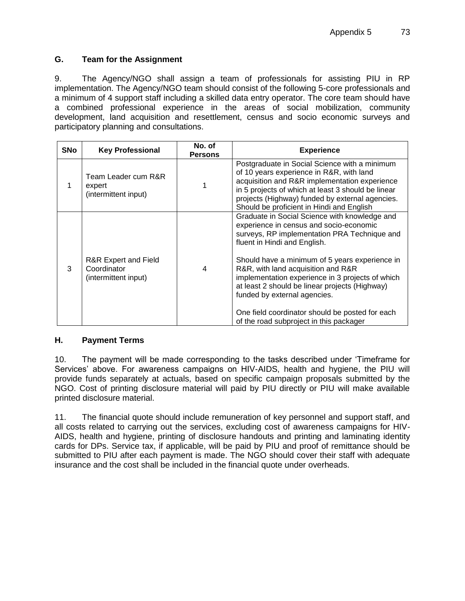### **G. Team for the Assignment**

9. The Agency/NGO shall assign a team of professionals for assisting PIU in RP implementation. The Agency/NGO team should consist of the following 5-core professionals and a minimum of 4 support staff including a skilled data entry operator. The core team should have a combined professional experience in the areas of social mobilization, community development, land acquisition and resettlement, census and socio economic surveys and participatory planning and consultations.

| <b>SNo</b> | <b>Key Professional</b>                                                | No. of<br><b>Persons</b> | <b>Experience</b>                                                                                                                                                                                                                                                                                                                                                                                                                                                                                    |
|------------|------------------------------------------------------------------------|--------------------------|------------------------------------------------------------------------------------------------------------------------------------------------------------------------------------------------------------------------------------------------------------------------------------------------------------------------------------------------------------------------------------------------------------------------------------------------------------------------------------------------------|
|            | Team Leader cum R&R<br>expert<br>(intermittent input)                  |                          | Postgraduate in Social Science with a minimum<br>of 10 years experience in R&R, with land<br>acquisition and R&R implementation experience<br>in 5 projects of which at least 3 should be linear<br>projects (Highway) funded by external agencies.<br>Should be proficient in Hindi and English                                                                                                                                                                                                     |
| 3          | <b>R&amp;R Expert and Field</b><br>Coordinator<br>(intermittent input) | 4                        | Graduate in Social Science with knowledge and<br>experience in census and socio-economic<br>surveys, RP implementation PRA Technique and<br>fluent in Hindi and English.<br>Should have a minimum of 5 years experience in<br>R&R, with land acquisition and R&R<br>implementation experience in 3 projects of which<br>at least 2 should be linear projects (Highway)<br>funded by external agencies.<br>One field coordinator should be posted for each<br>of the road subproject in this packager |

### **H. Payment Terms**

10. The payment will be made corresponding to the tasks described under 'Timeframe for Services' above. For awareness campaigns on HIV-AIDS, health and hygiene, the PIU will provide funds separately at actuals, based on specific campaign proposals submitted by the NGO. Cost of printing disclosure material will paid by PIU directly or PIU will make available printed disclosure material.

11. The financial quote should include remuneration of key personnel and support staff, and all costs related to carrying out the services, excluding cost of awareness campaigns for HIV-AIDS, health and hygiene, printing of disclosure handouts and printing and laminating identity cards for DPs. Service tax, if applicable, will be paid by PIU and proof of remittance should be submitted to PIU after each payment is made. The NGO should cover their staff with adequate insurance and the cost shall be included in the financial quote under overheads.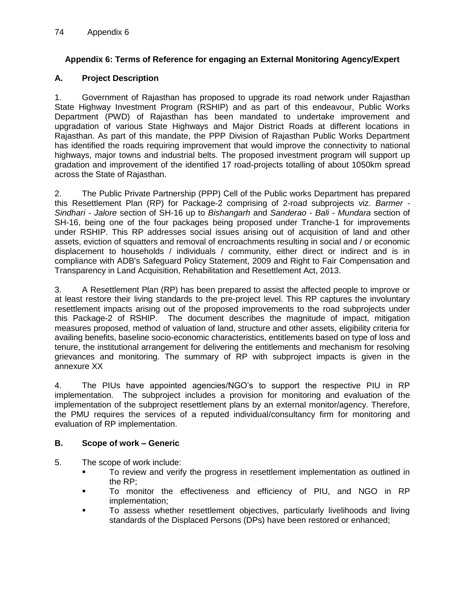### **Appendix 6: Terms of Reference for engaging an External Monitoring Agency/Expert**

### **A. Project Description**

1. Government of Rajasthan has proposed to upgrade its road network under Rajasthan State Highway Investment Program (RSHIP) and as part of this endeavour, Public Works Department (PWD) of Rajasthan has been mandated to undertake improvement and upgradation of various State Highways and Major District Roads at different locations in Rajasthan. As part of this mandate, the PPP Division of Rajasthan Public Works Department has identified the roads requiring improvement that would improve the connectivity to national highways, major towns and industrial belts. The proposed investment program will support up gradation and improvement of the identified 17 road-projects totalling of about 1050km spread across the State of Rajasthan.

2. The Public Private Partnership (PPP) Cell of the Public works Department has prepared this Resettlement Plan (RP) for Package-2 comprising of 2-road subprojects viz. *Barmer - Sindhari - Jalore* section of SH-16 up to *Bishangarh* and *Sanderao - Bali - Mundara* section of SH-16, being one of the four packages being proposed under Tranche-1 for improvements under RSHIP. This RP addresses social issues arising out of acquisition of land and other assets, eviction of squatters and removal of encroachments resulting in social and / or economic displacement to households / individuals / community, either direct or indirect and is in compliance with ADB's Safeguard Policy Statement, 2009 and Right to Fair Compensation and Transparency in Land Acquisition, Rehabilitation and Resettlement Act, 2013.

3. A Resettlement Plan (RP) has been prepared to assist the affected people to improve or at least restore their living standards to the pre-project level. This RP captures the involuntary resettlement impacts arising out of the proposed improvements to the road subprojects under this Package-2 of RSHIP. The document describes the magnitude of impact, mitigation measures proposed, method of valuation of land, structure and other assets, eligibility criteria for availing benefits, baseline socio-economic characteristics, entitlements based on type of loss and tenure, the institutional arrangement for delivering the entitlements and mechanism for resolving grievances and monitoring. The summary of RP with subproject impacts is given in the annexure XX

4. The PIUs have appointed agencies/NGO's to support the respective PIU in RP implementation. The subproject includes a provision for monitoring and evaluation of the implementation of the subproject resettlement plans by an external monitor/agency. Therefore, the PMU requires the services of a reputed individual/consultancy firm for monitoring and evaluation of RP implementation.

### **B. Scope of work – Generic**

- 5. The scope of work include:
	- To review and verify the progress in resettlement implementation as outlined in the RP;
	- To monitor the effectiveness and efficiency of PIU, and NGO in RP implementation;
	- **To assess whether resettlement objectives, particularly livelihoods and living** standards of the Displaced Persons (DPs) have been restored or enhanced;